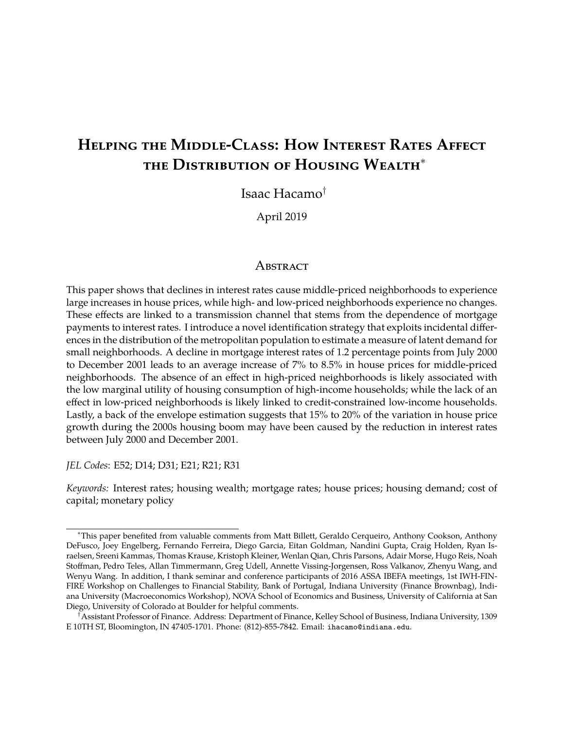# <span id="page-0-0"></span>**Helping the Middle-Class: How Interest Rates Affect the Distribution of Housing Wealth**<sup>∗</sup>

Isaac Hacamo†

April 2019

# **ABSTRACT**

This paper shows that declines in interest rates cause middle-priced neighborhoods to experience large increases in house prices, while high- and low-priced neighborhoods experience no changes. These effects are linked to a transmission channel that stems from the dependence of mortgage payments to interest rates. I introduce a novel identification strategy that exploits incidental differences in the distribution of the metropolitan population to estimate a measure of latent demand for small neighborhoods. A decline in mortgage interest rates of 1.2 percentage points from July 2000 to December 2001 leads to an average increase of 7% to 8.5% in house prices for middle-priced neighborhoods. The absence of an effect in high-priced neighborhoods is likely associated with the low marginal utility of housing consumption of high-income households; while the lack of an effect in low-priced neighborhoods is likely linked to credit-constrained low-income households. Lastly, a back of the envelope estimation suggests that 15% to 20% of the variation in house price growth during the 2000s housing boom may have been caused by the reduction in interest rates between July 2000 and December 2001.

*JEL Codes*: E52; D14; D31; E21; R21; R31

*Keywords:* Interest rates; housing wealth; mortgage rates; house prices; housing demand; cost of capital; monetary policy

<sup>∗</sup>This paper benefited from valuable comments from Matt Billett, Geraldo Cerqueiro, Anthony Cookson, Anthony DeFusco, Joey Engelberg, Fernando Ferreira, Diego Garcia, Eitan Goldman, Nandini Gupta, Craig Holden, Ryan Israelsen, Sreeni Kammas, Thomas Krause, Kristoph Kleiner, Wenlan Qian, Chris Parsons, Adair Morse, Hugo Reis, Noah Stoffman, Pedro Teles, Allan Timmermann, Greg Udell, Annette Vissing-Jorgensen, Ross Valkanov, Zhenyu Wang, and Wenyu Wang. In addition, I thank seminar and conference participants of 2016 ASSA IBEFA meetings, 1st IWH-FIN-FIRE Workshop on Challenges to Financial Stability, Bank of Portugal, Indiana University (Finance Brownbag), Indiana University (Macroeconomics Workshop), NOVA School of Economics and Business, University of California at San Diego, University of Colorado at Boulder for helpful comments.

<sup>†</sup>Assistant Professor of Finance. Address: Department of Finance, Kelley School of Business, Indiana University, 1309 E 10TH ST, Bloomington, IN 47405-1701. Phone: (812)-855-7842. Email: ihacamo@indiana.edu.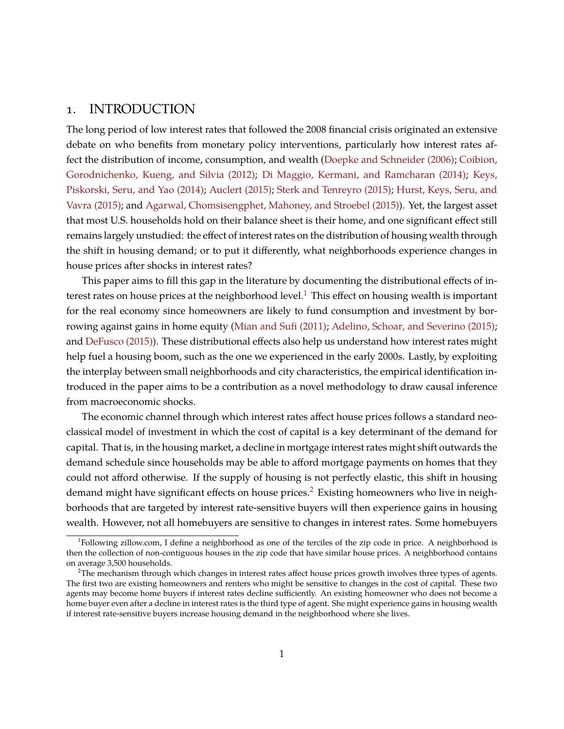# 1. INTRODUCTION

The long period of low interest rates that followed the 2008 financial crisis originated an extensive debate on who benefits from monetary policy interventions, particularly how interest rates affect the distribution of income, consumption, and wealth [\(Doepke and Schneider \(2006\);](#page-40-0) [Coibion,](#page-39-0) [Gorodnichenko, Kueng, and Silvia \(2012\);](#page-39-0) [Di Maggio, Kermani, and Ramcharan \(2014\);](#page-40-1) [Keys,](#page-41-0) [Piskorski, Seru, and Yao \(2014\);](#page-41-0) [Auclert \(2015\);](#page-39-1) [Sterk and Tenreyro \(2015\);](#page-42-0) [Hurst, Keys, Seru, and](#page-41-1) [Vavra \(2015\);](#page-41-1) and [Agarwal, Chomsisengphet, Mahoney, and Stroebel \(2015\)\)](#page-39-2). Yet, the largest asset that most U.S. households hold on their balance sheet is their home, and one significant effect still remains largely unstudied: the effect of interest rates on the distribution of housing wealth through the shift in housing demand; or to put it differently, what neighborhoods experience changes in house prices after shocks in interest rates?

This paper aims to fill this gap in the literature by documenting the distributional effects of in-terest rates on house prices at the neighborhood level.<sup>[1](#page-0-0)</sup> This effect on housing wealth is important for the real economy since homeowners are likely to fund consumption and investment by borrowing against gains in home equity [\(Mian and Sufi \(2011\);](#page-41-2) [Adelino, Schoar, and Severino \(2015\);](#page-39-3) and [DeFusco \(2015\)\)](#page-40-2). These distributional effects also help us understand how interest rates might help fuel a housing boom, such as the one we experienced in the early 2000s. Lastly, by exploiting the interplay between small neighborhoods and city characteristics, the empirical identification introduced in the paper aims to be a contribution as a novel methodology to draw causal inference from macroeconomic shocks.

The economic channel through which interest rates affect house prices follows a standard neoclassical model of investment in which the cost of capital is a key determinant of the demand for capital. That is, in the housing market, a decline in mortgage interest rates might shift outwards the demand schedule since households may be able to afford mortgage payments on homes that they could not afford otherwise. If the supply of housing is not perfectly elastic, this shift in housing demand might have significant effects on house prices.<sup>[2](#page-0-0)</sup> Existing homeowners who live in neighborhoods that are targeted by interest rate-sensitive buyers will then experience gains in housing wealth. However, not all homebuyers are sensitive to changes in interest rates. Some homebuyers

 $1$ Following zillow.com. I define a neighborhood as one of the terciles of the zip code in price. A neighborhood is then the collection of non-contiguous houses in the zip code that have similar house prices. A neighborhood contains on average 3,500 households.

<sup>&</sup>lt;sup>2</sup>The mechanism through which changes in interest rates affect house prices growth involves three types of agents. The first two are existing homeowners and renters who might be sensitive to changes in the cost of capital. These two agents may become home buyers if interest rates decline sufficiently. An existing homeowner who does not become a home buyer even after a decline in interest rates is the third type of agent. She might experience gains in housing wealth if interest rate-sensitive buyers increase housing demand in the neighborhood where she lives.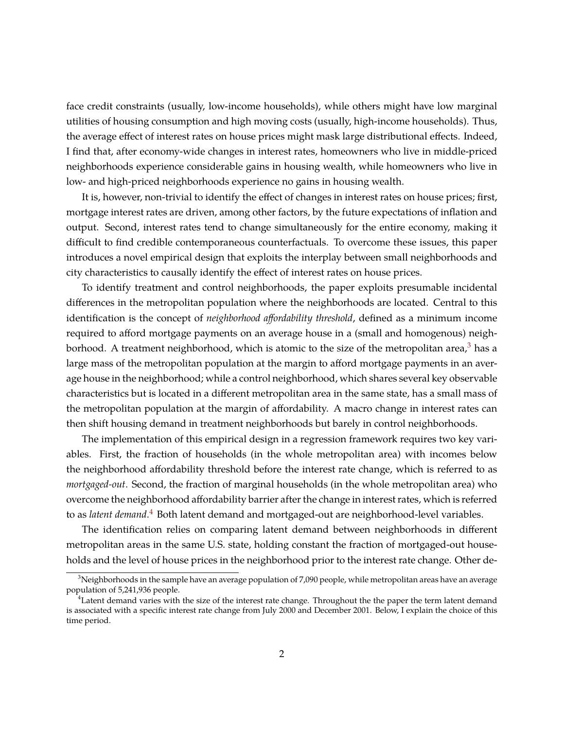face credit constraints (usually, low-income households), while others might have low marginal utilities of housing consumption and high moving costs (usually, high-income households). Thus, the average effect of interest rates on house prices might mask large distributional effects. Indeed, I find that, after economy-wide changes in interest rates, homeowners who live in middle-priced neighborhoods experience considerable gains in housing wealth, while homeowners who live in low- and high-priced neighborhoods experience no gains in housing wealth.

It is, however, non-trivial to identify the effect of changes in interest rates on house prices; first, mortgage interest rates are driven, among other factors, by the future expectations of inflation and output. Second, interest rates tend to change simultaneously for the entire economy, making it difficult to find credible contemporaneous counterfactuals. To overcome these issues, this paper introduces a novel empirical design that exploits the interplay between small neighborhoods and city characteristics to causally identify the effect of interest rates on house prices.

To identify treatment and control neighborhoods, the paper exploits presumable incidental differences in the metropolitan population where the neighborhoods are located. Central to this identification is the concept of *neighborhood affordability threshold*, defined as a minimum income required to afford mortgage payments on an average house in a (small and homogenous) neighborhood. A treatment neighborhood, which is atomic to the size of the metropolitan area, $3$  has a large mass of the metropolitan population at the margin to afford mortgage payments in an average house in the neighborhood; while a control neighborhood, which shares several key observable characteristics but is located in a different metropolitan area in the same state, has a small mass of the metropolitan population at the margin of affordability. A macro change in interest rates can then shift housing demand in treatment neighborhoods but barely in control neighborhoods.

The implementation of this empirical design in a regression framework requires two key variables. First, the fraction of households (in the whole metropolitan area) with incomes below the neighborhood affordability threshold before the interest rate change, which is referred to as *mortgaged-out*. Second, the fraction of marginal households (in the whole metropolitan area) who overcome the neighborhood affordability barrier after the change in interest rates, which is referred to as *latent demand*.<sup>[4](#page-0-0)</sup> Both latent demand and mortgaged-out are neighborhood-level variables.

The identification relies on comparing latent demand between neighborhoods in different metropolitan areas in the same U.S. state, holding constant the fraction of mortgaged-out households and the level of house prices in the neighborhood prior to the interest rate change. Other de-

 $3$ Neighborhoods in the sample have an average population of 7,090 people, while metropolitan areas have an average population of 5,241,936 people.

 ${}^{4}$ Latent demand varies with the size of the interest rate change. Throughout the the paper the term latent demand is associated with a specific interest rate change from July 2000 and December 2001. Below, I explain the choice of this time period.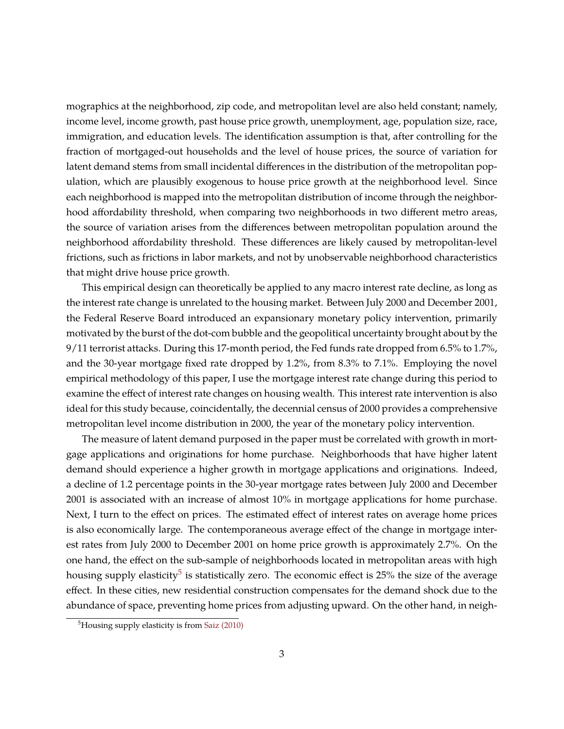mographics at the neighborhood, zip code, and metropolitan level are also held constant; namely, income level, income growth, past house price growth, unemployment, age, population size, race, immigration, and education levels. The identification assumption is that, after controlling for the fraction of mortgaged-out households and the level of house prices, the source of variation for latent demand stems from small incidental differences in the distribution of the metropolitan population, which are plausibly exogenous to house price growth at the neighborhood level. Since each neighborhood is mapped into the metropolitan distribution of income through the neighborhood affordability threshold, when comparing two neighborhoods in two different metro areas, the source of variation arises from the differences between metropolitan population around the neighborhood affordability threshold. These differences are likely caused by metropolitan-level frictions, such as frictions in labor markets, and not by unobservable neighborhood characteristics that might drive house price growth.

This empirical design can theoretically be applied to any macro interest rate decline, as long as the interest rate change is unrelated to the housing market. Between July 2000 and December 2001, the Federal Reserve Board introduced an expansionary monetary policy intervention, primarily motivated by the burst of the dot-com bubble and the geopolitical uncertainty brought about by the 9/11 terrorist attacks. During this 17-month period, the Fed funds rate dropped from 6.5% to 1.7%, and the 30-year mortgage fixed rate dropped by 1.2%, from 8.3% to 7.1%. Employing the novel empirical methodology of this paper, I use the mortgage interest rate change during this period to examine the effect of interest rate changes on housing wealth. This interest rate intervention is also ideal for this study because, coincidentally, the decennial census of 2000 provides a comprehensive metropolitan level income distribution in 2000, the year of the monetary policy intervention.

The measure of latent demand purposed in the paper must be correlated with growth in mortgage applications and originations for home purchase. Neighborhoods that have higher latent demand should experience a higher growth in mortgage applications and originations. Indeed, a decline of 1.2 percentage points in the 30-year mortgage rates between July 2000 and December 2001 is associated with an increase of almost 10% in mortgage applications for home purchase. Next, I turn to the effect on prices. The estimated effect of interest rates on average home prices is also economically large. The contemporaneous average effect of the change in mortgage interest rates from July 2000 to December 2001 on home price growth is approximately 2.7%. On the one hand, the effect on the sub-sample of neighborhoods located in metropolitan areas with high housing supply elasticity<sup>[5](#page-0-0)</sup> is statistically zero. The economic effect is 25% the size of the average effect. In these cities, new residential construction compensates for the demand shock due to the abundance of space, preventing home prices from adjusting upward. On the other hand, in neigh-

 $<sup>5</sup>$ Housing supply elasticity is from [Saiz \(2010\)](#page-42-1)</sup>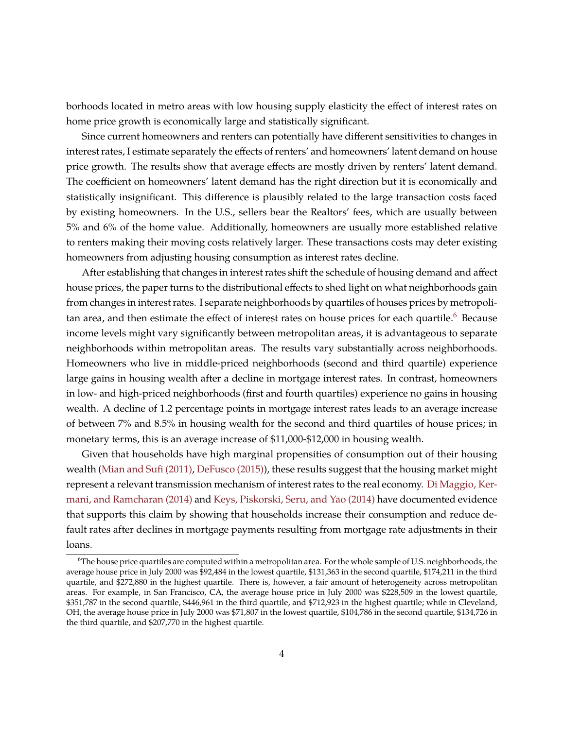borhoods located in metro areas with low housing supply elasticity the effect of interest rates on home price growth is economically large and statistically significant.

Since current homeowners and renters can potentially have different sensitivities to changes in interest rates, I estimate separately the effects of renters' and homeowners' latent demand on house price growth. The results show that average effects are mostly driven by renters' latent demand. The coefficient on homeowners' latent demand has the right direction but it is economically and statistically insignificant. This difference is plausibly related to the large transaction costs faced by existing homeowners. In the U.S., sellers bear the Realtors' fees, which are usually between 5% and 6% of the home value. Additionally, homeowners are usually more established relative to renters making their moving costs relatively larger. These transactions costs may deter existing homeowners from adjusting housing consumption as interest rates decline.

After establishing that changes in interest rates shift the schedule of housing demand and affect house prices, the paper turns to the distributional effects to shed light on what neighborhoods gain from changes in interest rates. I separate neighborhoods by quartiles of houses prices by metropoli-tan area, and then estimate the effect of interest rates on house prices for each quartile.<sup>[6](#page-0-0)</sup> Because income levels might vary significantly between metropolitan areas, it is advantageous to separate neighborhoods within metropolitan areas. The results vary substantially across neighborhoods. Homeowners who live in middle-priced neighborhoods (second and third quartile) experience large gains in housing wealth after a decline in mortgage interest rates. In contrast, homeowners in low- and high-priced neighborhoods (first and fourth quartiles) experience no gains in housing wealth. A decline of 1.2 percentage points in mortgage interest rates leads to an average increase of between 7% and 8.5% in housing wealth for the second and third quartiles of house prices; in monetary terms, this is an average increase of \$11,000-\$12,000 in housing wealth.

Given that households have high marginal propensities of consumption out of their housing wealth [\(Mian and Sufi \(2011\),](#page-41-2) [DeFusco \(2015\)\)](#page-40-2), these results suggest that the housing market might represent a relevant transmission mechanism of interest rates to the real economy. [Di Maggio, Ker](#page-40-1)[mani, and Ramcharan \(2014\)](#page-40-1) and [Keys, Piskorski, Seru, and Yao \(2014\)](#page-41-0) have documented evidence that supports this claim by showing that households increase their consumption and reduce default rates after declines in mortgage payments resulting from mortgage rate adjustments in their loans.

<sup>&</sup>lt;sup>6</sup>The house price quartiles are computed within a metropolitan area. For the whole sample of U.S. neighborhoods, the average house price in July 2000 was \$92,484 in the lowest quartile, \$131,363 in the second quartile, \$174,211 in the third quartile, and \$272,880 in the highest quartile. There is, however, a fair amount of heterogeneity across metropolitan areas. For example, in San Francisco, CA, the average house price in July 2000 was \$228,509 in the lowest quartile, \$351,787 in the second quartile, \$446,961 in the third quartile, and \$712,923 in the highest quartile; while in Cleveland, OH, the average house price in July 2000 was \$71,807 in the lowest quartile, \$104,786 in the second quartile, \$134,726 in the third quartile, and \$207,770 in the highest quartile.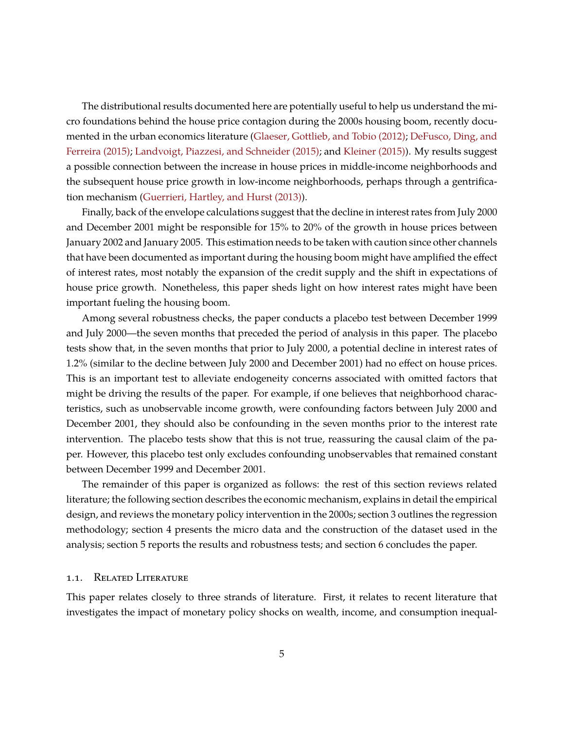The distributional results documented here are potentially useful to help us understand the micro foundations behind the house price contagion during the 2000s housing boom, recently documented in the urban economics literature [\(Glaeser, Gottlieb, and Tobio \(2012\);](#page-40-3) [DeFusco, Ding, and](#page-39-4) [Ferreira \(2015\);](#page-39-4) [Landvoigt, Piazzesi, and Schneider \(2015\);](#page-41-3) and [Kleiner \(2015\)\)](#page-41-4). My results suggest a possible connection between the increase in house prices in middle-income neighborhoods and the subsequent house price growth in low-income neighborhoods, perhaps through a gentrification mechanism [\(Guerrieri, Hartley, and Hurst \(2013\)\)](#page-40-4).

Finally, back of the envelope calculations suggest that the decline in interest rates from July 2000 and December 2001 might be responsible for 15% to 20% of the growth in house prices between January 2002 and January 2005. This estimation needs to be taken with caution since other channels that have been documented as important during the housing boom might have amplified the effect of interest rates, most notably the expansion of the credit supply and the shift in expectations of house price growth. Nonetheless, this paper sheds light on how interest rates might have been important fueling the housing boom.

Among several robustness checks, the paper conducts a placebo test between December 1999 and July 2000—the seven months that preceded the period of analysis in this paper. The placebo tests show that, in the seven months that prior to July 2000, a potential decline in interest rates of 1.2% (similar to the decline between July 2000 and December 2001) had no effect on house prices. This is an important test to alleviate endogeneity concerns associated with omitted factors that might be driving the results of the paper. For example, if one believes that neighborhood characteristics, such as unobservable income growth, were confounding factors between July 2000 and December 2001, they should also be confounding in the seven months prior to the interest rate intervention. The placebo tests show that this is not true, reassuring the causal claim of the paper. However, this placebo test only excludes confounding unobservables that remained constant between December 1999 and December 2001.

The remainder of this paper is organized as follows: the rest of this section reviews related literature; the following section describes the economic mechanism, explains in detail the empirical design, and reviews the monetary policy intervention in the 2000s; section 3 outlines the regression methodology; section 4 presents the micro data and the construction of the dataset used in the analysis; section 5 reports the results and robustness tests; and section 6 concludes the paper.

#### 1.1. Related Literature

This paper relates closely to three strands of literature. First, it relates to recent literature that investigates the impact of monetary policy shocks on wealth, income, and consumption inequal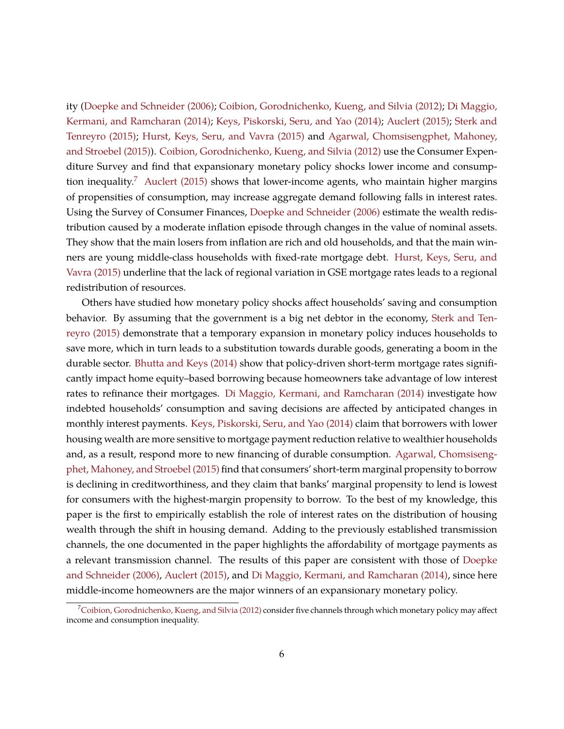ity [\(Doepke and Schneider \(2006\);](#page-40-0) [Coibion, Gorodnichenko, Kueng, and Silvia \(2012\);](#page-39-0) [Di Maggio,](#page-40-1) [Kermani, and Ramcharan \(2014\);](#page-40-1) [Keys, Piskorski, Seru, and Yao \(2014\);](#page-41-0) [Auclert \(2015\);](#page-39-1) [Sterk and](#page-42-0) [Tenreyro \(2015\);](#page-42-0) [Hurst, Keys, Seru, and Vavra \(2015\)](#page-41-1) and [Agarwal, Chomsisengphet, Mahoney,](#page-39-2) [and Stroebel \(2015\)\)](#page-39-2). [Coibion, Gorodnichenko, Kueng, and Silvia \(2012\)](#page-39-0) use the Consumer Expenditure Survey and find that expansionary monetary policy shocks lower income and consump-tion inequality.<sup>[7](#page-0-0)</sup> [Auclert \(2015\)](#page-39-1) shows that lower-income agents, who maintain higher margins of propensities of consumption, may increase aggregate demand following falls in interest rates. Using the Survey of Consumer Finances, [Doepke and Schneider \(2006\)](#page-40-0) estimate the wealth redistribution caused by a moderate inflation episode through changes in the value of nominal assets. They show that the main losers from inflation are rich and old households, and that the main winners are young middle-class households with fixed-rate mortgage debt. [Hurst, Keys, Seru, and](#page-41-1) [Vavra \(2015\)](#page-41-1) underline that the lack of regional variation in GSE mortgage rates leads to a regional redistribution of resources.

Others have studied how monetary policy shocks affect households' saving and consumption behavior. By assuming that the government is a big net debtor in the economy, [Sterk and Ten](#page-42-0)[reyro \(2015\)](#page-42-0) demonstrate that a temporary expansion in monetary policy induces households to save more, which in turn leads to a substitution towards durable goods, generating a boom in the durable sector. [Bhutta and Keys \(2014\)](#page-39-5) show that policy-driven short-term mortgage rates significantly impact home equity–based borrowing because homeowners take advantage of low interest rates to refinance their mortgages. [Di Maggio, Kermani, and Ramcharan \(2014\)](#page-40-1) investigate how indebted households' consumption and saving decisions are affected by anticipated changes in monthly interest payments. [Keys, Piskorski, Seru, and Yao \(2014\)](#page-41-0) claim that borrowers with lower housing wealth are more sensitive to mortgage payment reduction relative to wealthier households and, as a result, respond more to new financing of durable consumption. [Agarwal, Chomsiseng](#page-39-2)[phet, Mahoney, and Stroebel \(2015\)](#page-39-2) find that consumers' short-term marginal propensity to borrow is declining in creditworthiness, and they claim that banks' marginal propensity to lend is lowest for consumers with the highest-margin propensity to borrow. To the best of my knowledge, this paper is the first to empirically establish the role of interest rates on the distribution of housing wealth through the shift in housing demand. Adding to the previously established transmission channels, the one documented in the paper highlights the affordability of mortgage payments as a relevant transmission channel. The results of this paper are consistent with those of [Doepke](#page-40-0) [and Schneider \(2006\),](#page-40-0) [Auclert \(2015\),](#page-39-1) and [Di Maggio, Kermani, and Ramcharan \(2014\),](#page-40-1) since here middle-income homeowners are the major winners of an expansionary monetary policy.

<sup>&</sup>lt;sup>7</sup>[Coibion, Gorodnichenko, Kueng, and Silvia \(2012\)](#page-39-0) consider five channels through which monetary policy may affect income and consumption inequality.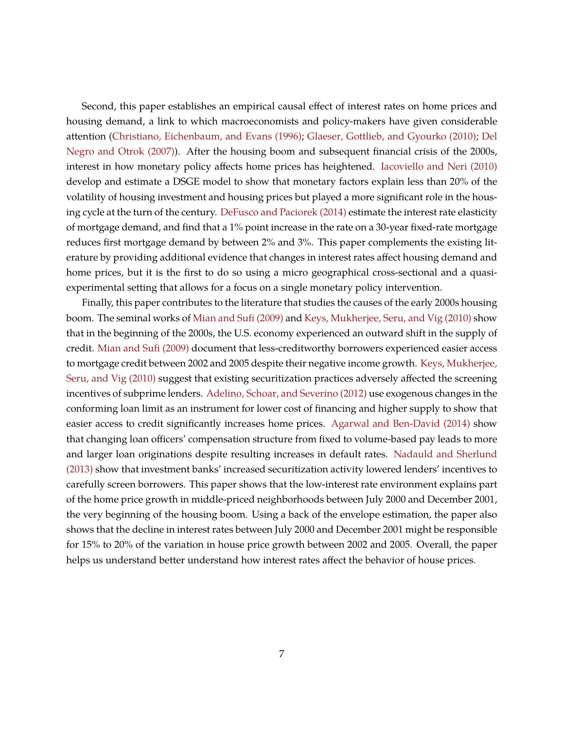Second, this paper establishes an empirical causal effect of interest rates on home prices and housing demand, a link to which macroeconomists and policy-makers have given considerable attention [\(Christiano, Eichenbaum, and Evans \(1996\);](#page-39-6) [Glaeser, Gottlieb, and Gyourko \(2010\);](#page-40-5) [Del](#page-40-6) [Negro and Otrok \(2007\)\)](#page-40-6). After the housing boom and subsequent financial crisis of the 2000s, interest in how monetary policy affects home prices has heightened. [Iacoviello and Neri \(2010\)](#page-41-5) develop and estimate a DSGE model to show that monetary factors explain less than 20% of the volatility of housing investment and housing prices but played a more significant role in the housing cycle at the turn of the century. [DeFusco and Paciorek \(2014\)](#page-40-7) estimate the interest rate elasticity of mortgage demand, and find that a 1% point increase in the rate on a 30-year fixed-rate mortgage reduces first mortgage demand by between 2% and 3%. This paper complements the existing literature by providing additional evidence that changes in interest rates affect housing demand and home prices, but it is the first to do so using a micro geographical cross-sectional and a quasiexperimental setting that allows for a focus on a single monetary policy intervention.

Finally, this paper contributes to the literature that studies the causes of the early 2000s housing boom. The seminal works of [Mian and Sufi \(2009\)](#page-41-6) and [Keys, Mukherjee, Seru, and Vig \(2010\)](#page-41-7) show that in the beginning of the 2000s, the U.S. economy experienced an outward shift in the supply of credit. [Mian and Sufi \(2009\)](#page-41-6) document that less-creditworthy borrowers experienced easier access to mortgage credit between 2002 and 2005 despite their negative income growth. [Keys, Mukherjee,](#page-41-7) [Seru, and Vig \(2010\)](#page-41-7) suggest that existing securitization practices adversely affected the screening incentives of subprime lenders. [Adelino, Schoar, and Severino \(2012\)](#page-39-7) use exogenous changes in the conforming loan limit as an instrument for lower cost of financing and higher supply to show that easier access to credit significantly increases home prices. [Agarwal and Ben-David \(2014\)](#page-39-8) show that changing loan officers' compensation structure from fixed to volume-based pay leads to more and larger loan originations despite resulting increases in default rates. [Nadauld and Sherlund](#page-41-8) [\(2013\)](#page-41-8) show that investment banks' increased securitization activity lowered lenders' incentives to carefully screen borrowers. This paper shows that the low-interest rate environment explains part of the home price growth in middle-priced neighborhoods between July 2000 and December 2001, the very beginning of the housing boom. Using a back of the envelope estimation, the paper also shows that the decline in interest rates between July 2000 and December 2001 might be responsible for 15% to 20% of the variation in house price growth between 2002 and 2005. Overall, the paper helps us understand better understand how interest rates affect the behavior of house prices.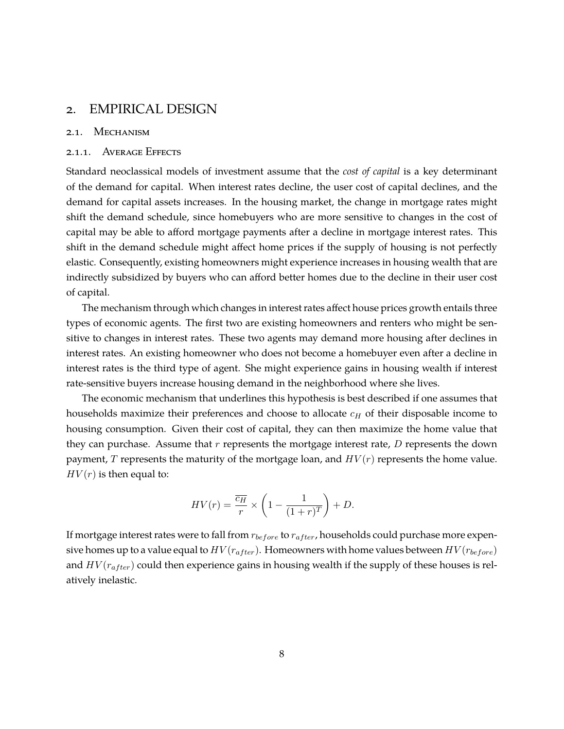# 2. EMPIRICAL DESIGN

## 2.1. MECHANISM

# 2.1.1. AVERAGE EFFECTS

Standard neoclassical models of investment assume that the *cost of capital* is a key determinant of the demand for capital. When interest rates decline, the user cost of capital declines, and the demand for capital assets increases. In the housing market, the change in mortgage rates might shift the demand schedule, since homebuyers who are more sensitive to changes in the cost of capital may be able to afford mortgage payments after a decline in mortgage interest rates. This shift in the demand schedule might affect home prices if the supply of housing is not perfectly elastic. Consequently, existing homeowners might experience increases in housing wealth that are indirectly subsidized by buyers who can afford better homes due to the decline in their user cost of capital.

The mechanism through which changes in interest rates affect house prices growth entails three types of economic agents. The first two are existing homeowners and renters who might be sensitive to changes in interest rates. These two agents may demand more housing after declines in interest rates. An existing homeowner who does not become a homebuyer even after a decline in interest rates is the third type of agent. She might experience gains in housing wealth if interest rate-sensitive buyers increase housing demand in the neighborhood where she lives.

The economic mechanism that underlines this hypothesis is best described if one assumes that households maximize their preferences and choose to allocate  $c_H$  of their disposable income to housing consumption. Given their cost of capital, they can then maximize the home value that they can purchase. Assume that  $r$  represents the mortgage interest rate,  $D$  represents the down payment,  $T$  represents the maturity of the mortgage loan, and  $HV(r)$  represents the home value.  $HV(r)$  is then equal to:

$$
HV(r) = \frac{\overline{c_H}}{r} \times \left(1 - \frac{1}{(1+r)^T}\right) + D.
$$

If mortgage interest rates were to fall from  $r_{before}$  to  $r_{after}$ , households could purchase more expensive homes up to a value equal to  $HV(r_{after})$ . Homeowners with home values between  $HV(r_{before})$ and  $HV(r_{after})$  could then experience gains in housing wealth if the supply of these houses is relatively inelastic.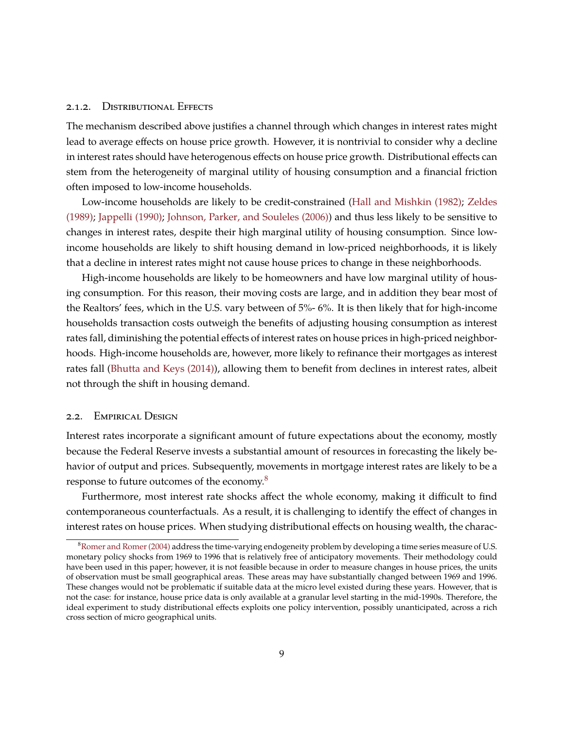## 2.1.2. DISTRIBUTIONAL EFFECTS

The mechanism described above justifies a channel through which changes in interest rates might lead to average effects on house price growth. However, it is nontrivial to consider why a decline in interest rates should have heterogenous effects on house price growth. Distributional effects can stem from the heterogeneity of marginal utility of housing consumption and a financial friction often imposed to low-income households.

Low-income households are likely to be credit-constrained [\(Hall and Mishkin \(1982\);](#page-40-8) [Zeldes](#page-42-2) [\(1989\);](#page-42-2) [Jappelli \(1990\);](#page-41-9) [Johnson, Parker, and Souleles \(2006\)\)](#page-41-10) and thus less likely to be sensitive to changes in interest rates, despite their high marginal utility of housing consumption. Since lowincome households are likely to shift housing demand in low-priced neighborhoods, it is likely that a decline in interest rates might not cause house prices to change in these neighborhoods.

High-income households are likely to be homeowners and have low marginal utility of housing consumption. For this reason, their moving costs are large, and in addition they bear most of the Realtors' fees, which in the U.S. vary between of 5%- 6%. It is then likely that for high-income households transaction costs outweigh the benefits of adjusting housing consumption as interest rates fall, diminishing the potential effects of interest rates on house prices in high-priced neighborhoods. High-income households are, however, more likely to refinance their mortgages as interest rates fall [\(Bhutta and Keys \(2014\)\)](#page-39-5), allowing them to benefit from declines in interest rates, albeit not through the shift in housing demand.

## <span id="page-9-0"></span>2.2. Empirical Design

Interest rates incorporate a significant amount of future expectations about the economy, mostly because the Federal Reserve invests a substantial amount of resources in forecasting the likely behavior of output and prices. Subsequently, movements in mortgage interest rates are likely to be a response to future outcomes of the economy.[8](#page-0-0)

Furthermore, most interest rate shocks affect the whole economy, making it difficult to find contemporaneous counterfactuals. As a result, it is challenging to identify the effect of changes in interest rates on house prices. When studying distributional effects on housing wealth, the charac-

<sup>&</sup>lt;sup>8</sup>[Romer and Romer \(2004\)](#page-41-11) address the time-varying endogeneity problem by developing a time series measure of U.S. monetary policy shocks from 1969 to 1996 that is relatively free of anticipatory movements. Their methodology could have been used in this paper; however, it is not feasible because in order to measure changes in house prices, the units of observation must be small geographical areas. These areas may have substantially changed between 1969 and 1996. These changes would not be problematic if suitable data at the micro level existed during these years. However, that is not the case: for instance, house price data is only available at a granular level starting in the mid-1990s. Therefore, the ideal experiment to study distributional effects exploits one policy intervention, possibly unanticipated, across a rich cross section of micro geographical units.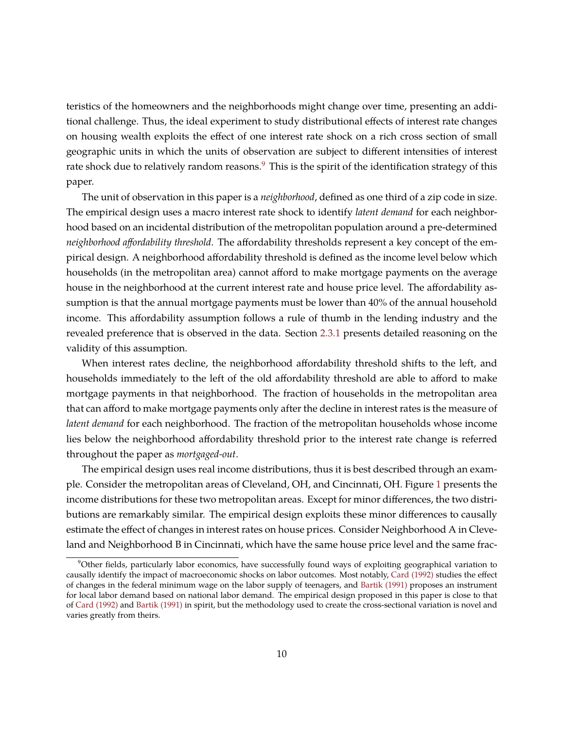teristics of the homeowners and the neighborhoods might change over time, presenting an additional challenge. Thus, the ideal experiment to study distributional effects of interest rate changes on housing wealth exploits the effect of one interest rate shock on a rich cross section of small geographic units in which the units of observation are subject to different intensities of interest rate shock due to relatively random reasons.<sup>[9](#page-0-0)</sup> This is the spirit of the identification strategy of this paper.

The unit of observation in this paper is a *neighborhood*, defined as one third of a zip code in size. The empirical design uses a macro interest rate shock to identify *latent demand* for each neighborhood based on an incidental distribution of the metropolitan population around a pre-determined *neighborhood affordability threshold*. The affordability thresholds represent a key concept of the empirical design. A neighborhood affordability threshold is defined as the income level below which households (in the metropolitan area) cannot afford to make mortgage payments on the average house in the neighborhood at the current interest rate and house price level. The affordability assumption is that the annual mortgage payments must be lower than 40% of the annual household income. This affordability assumption follows a rule of thumb in the lending industry and the revealed preference that is observed in the data. Section [2.3.1](#page-17-0) presents detailed reasoning on the validity of this assumption.

When interest rates decline, the neighborhood affordability threshold shifts to the left, and households immediately to the left of the old affordability threshold are able to afford to make mortgage payments in that neighborhood. The fraction of households in the metropolitan area that can afford to make mortgage payments only after the decline in interest rates is the measure of *latent demand* for each neighborhood. The fraction of the metropolitan households whose income lies below the neighborhood affordability threshold prior to the interest rate change is referred throughout the paper as *mortgaged-out*.

The empirical design uses real income distributions, thus it is best described through an example. Consider the metropolitan areas of Cleveland, OH, and Cincinnati, OH. Figure [1](#page-11-0) presents the income distributions for these two metropolitan areas. Except for minor differences, the two distributions are remarkably similar. The empirical design exploits these minor differences to causally estimate the effect of changes in interest rates on house prices. Consider Neighborhood A in Cleveland and Neighborhood B in Cincinnati, which have the same house price level and the same frac-

<sup>9</sup>Other fields, particularly labor economics, have successfully found ways of exploiting geographical variation to causally identify the impact of macroeconomic shocks on labor outcomes. Most notably, [Card \(1992\)](#page-39-9) studies the effect of changes in the federal minimum wage on the labor supply of teenagers, and [Bartik \(1991\)](#page-39-10) proposes an instrument for local labor demand based on national labor demand. The empirical design proposed in this paper is close to that of [Card \(1992\)](#page-39-9) and [Bartik \(1991\)](#page-39-10) in spirit, but the methodology used to create the cross-sectional variation is novel and varies greatly from theirs.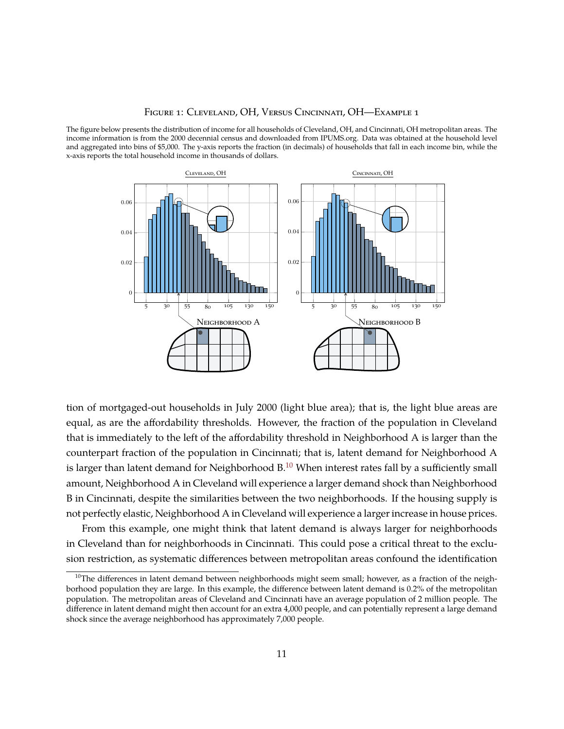## Figure 1: Cleveland, OH, Versus Cincinnati, OH—Example 1

<span id="page-11-0"></span>The figure below presents the distribution of income for all households of Cleveland, OH, and Cincinnati, OH metropolitan areas. The<br>income information is from the 2000 decennial capsus and dounleaded from IPLIMS are. Data income information is from the 2000 decennial census and downloaded from IPUMS.org. Data was obtained at the household level and aggregated into bins of \$5,000. The y-axis reports the fraction (in decimals) of households that fall in each income bin, while the x-axis reports the total household income in thousands of dollars.



amount, Neighbornood A in Cleveland will experience a larger demand snock than Neighbornood<br>B in Cincinnati, despite the similarities between the two neighborhoods. If the housing supply is tion of mortgaged-out households in July 2000 (light blue area); that is, the light blue areas are<br> amount, Neighborhood A in Cleveland will experience a larger demand shock than Neighborhood equal, as are the affordability thresholds. However, the fraction of the population in Cleveland that is immediately to the left of the affordability threshold in Neighborhood A is larger than the counterpart fraction of the population in Cincinnati; that is, latent demand for Neighborhood A is larger than latent demand for Neighborhood  $B<sup>10</sup>$  $B<sup>10</sup>$  $B<sup>10</sup>$  When interest rates fall by a sufficiently small not perfectly elastic, Neighborhood A in Cleveland will experience a larger increase in house prices.

From this example, one might think that latent demand is always larger for neighborhoods<br>From this example, one might think that latent demand is always larger for neighborhoods in Cleveland than for neighborhoods in Cincinnati. This could pose a critical threat to the exclusion restriction, as systematic differences between metropolitan areas confound the identification

SION TESTICUON, AS SYSTEMATIC UNTERFENCES DETWEEN INEUTOPOINANT AFEAS CONFOUND THE IDENTIFICATION<br><sup>10</sup>The differences in latent demand between neighborhoods might seem small; however, as a fraction of the neighborhood population they are large. In this example, the difference between latent demand is 0.2% of the metropolitan population. The metropolitan areas of Cleveland and Cincinnati have an average population of 2 million people. The difference in latent demand might then account for an extra 4,000 people, and can potentially represent a large demand shock since the average neighborhood has approximately 7,000 people.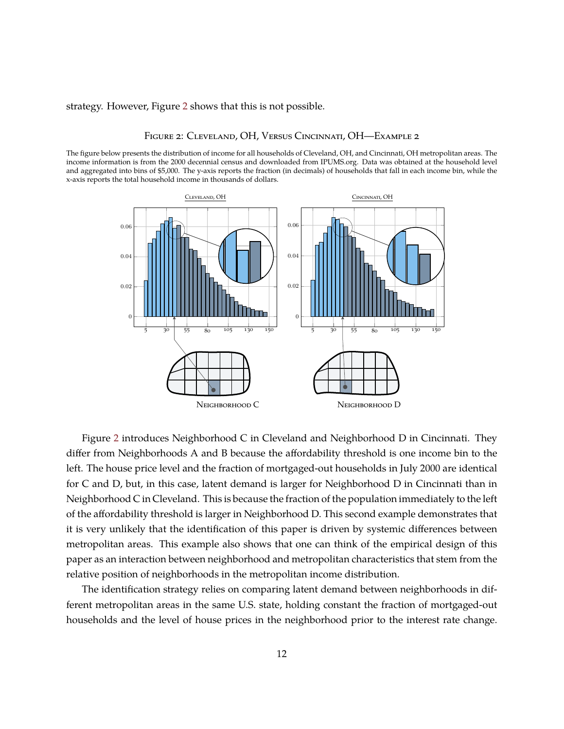#### <span id="page-12-0"></span>strategy. However, Figure [2](#page-12-0) shows that this is not possible.



Figure 2: Cleveland, OH, Versus Cincinnati, OH—Example 2

The figure below presents the distribution of income for all households of Cleveland, OH, and Cincinnati, OH metropolitan areas. The<br>income information is from the 2000 decennial census and downloaded from IPHMS org. Data income information is from the 2000 decennial census and downloaded from IPUMS.org. Data was obtained at the household level<br>and agreement in the 2000 decennial census and downloaded from IPUMS.org. Data was obtained at t and aggregated into bins of \$5,000. The y-axis reports the fraction (in decimals) of households that fall in each income bin, while the x-axis reports the total household income in thousands of dollars.

. This example also shows that one can think of the empirical design of this<br>ion between neighborhood and metropolitan characteristics that stem from the 0 of the affordability threshold is larger in Neighborhood D. This second example demonstrates that 0.02 0.02 Figure [2](#page-12-0) introduces Neighborhood C in Cleveland and Neighborhood D in Cincinnati. They paper as an interaction between neighborhood and metropolitan characteristics that stem from the of the anordability threshold is larger in reeghborhood *D*. This second example demonstrates that it is very unlikely that the identification of this paper is driven by systemic differences between differ from Neighborhoods A and B because the affordability threshold is one income bin to the left. The house price level and the fraction of mortgaged-out households in July 2000 are identical for C and D, but, in this case, latent demand is larger for Neighborhood D in Cincinnati than in Neighborhood C in Cleveland. This is because the fraction of the population immediately to the left metropolitan areas. This example also shows that one can think of the empirical design of this relative position of neighborhoods in the metropolitan income distribution.

> The identification strategy relies on comparing latent demand between neighborhoods in different metropolitan areas in the same U.S. state, holding constant the fraction of mortgaged-out households and the level of house prices in the neighborhood prior to the interest rate change.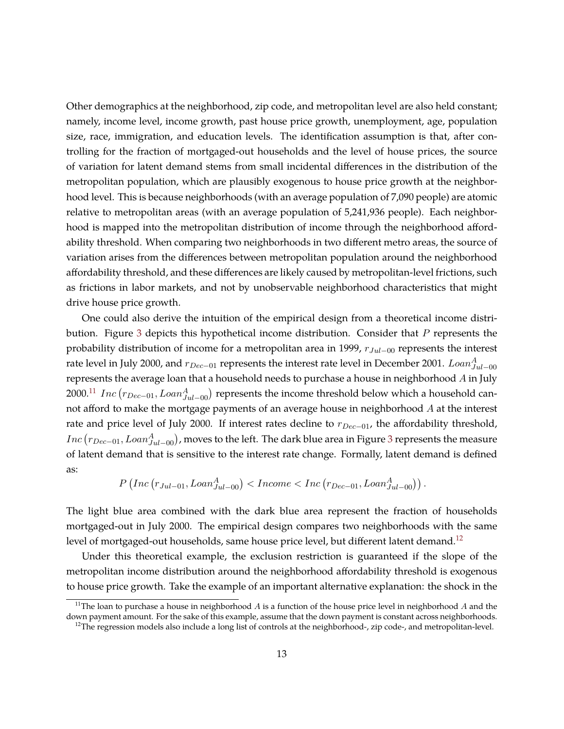Other demographics at the neighborhood, zip code, and metropolitan level are also held constant; namely, income level, income growth, past house price growth, unemployment, age, population size, race, immigration, and education levels. The identification assumption is that, after controlling for the fraction of mortgaged-out households and the level of house prices, the source of variation for latent demand stems from small incidental differences in the distribution of the metropolitan population, which are plausibly exogenous to house price growth at the neighborhood level. This is because neighborhoods (with an average population of 7,090 people) are atomic relative to metropolitan areas (with an average population of 5,241,936 people). Each neighborhood is mapped into the metropolitan distribution of income through the neighborhood affordability threshold. When comparing two neighborhoods in two different metro areas, the source of variation arises from the differences between metropolitan population around the neighborhood affordability threshold, and these differences are likely caused by metropolitan-level frictions, such as frictions in labor markets, and not by unobservable neighborhood characteristics that might drive house price growth.

One could also derive the intuition of the empirical design from a theoretical income distri-bution. Figure [3](#page-14-0) depicts this hypothetical income distribution. Consider that P represents the probability distribution of income for a metropolitan area in 1999,  $r_{Jul-00}$  represents the interest rate level in July 2000, and  $r_{Dec-01}$  represents the interest rate level in December 2001.  $\emph{Loan}_{Jul-00}^{A}$ represents the average loan that a household needs to purchase a house in neighborhood A in July  $2000.^{11}$  $2000.^{11}$  $2000.^{11}$   $Inc$   $\left(r_{Dec-01}, Loan_{Jul-00}^{A}\right)$  represents the income threshold below which a household cannot afford to make the mortgage payments of an average house in neighborhood A at the interest rate and price level of July 2000. If interest rates decline to  $r_{Dec-01}$ , the affordability threshold,  $Inc\left(r_{Dec-01}, Loan_{Jul-00}^{A}\right)$ , moves to the left. The dark blue area in Figure [3](#page-14-0) represents the measure of latent demand that is sensitive to the interest rate change. Formally, latent demand is defined as:

$$
P\left(Inc\left(r_{Jul-01}, Loan_{Jul-00}^{A}\right) < Income < Inc\left(r_{Dec-01}, Loan_{Jul-00}^{A}\right)\right).
$$

The light blue area combined with the dark blue area represent the fraction of households mortgaged-out in July 2000. The empirical design compares two neighborhoods with the same level of mortgaged-out households, same house price level, but different latent demand.<sup>[12](#page-0-0)</sup>

Under this theoretical example, the exclusion restriction is guaranteed if the slope of the metropolitan income distribution around the neighborhood affordability threshold is exogenous to house price growth. Take the example of an important alternative explanation: the shock in the

<sup>&</sup>lt;sup>11</sup>The loan to purchase a house in neighborhood A is a function of the house price level in neighborhood A and the down payment amount. For the sake of this example, assume that the down payment is constant across neighborhoods. <sup>12</sup>The regression models also include a long list of controls at the neighborhood-, zip code-, and metropolitan-level.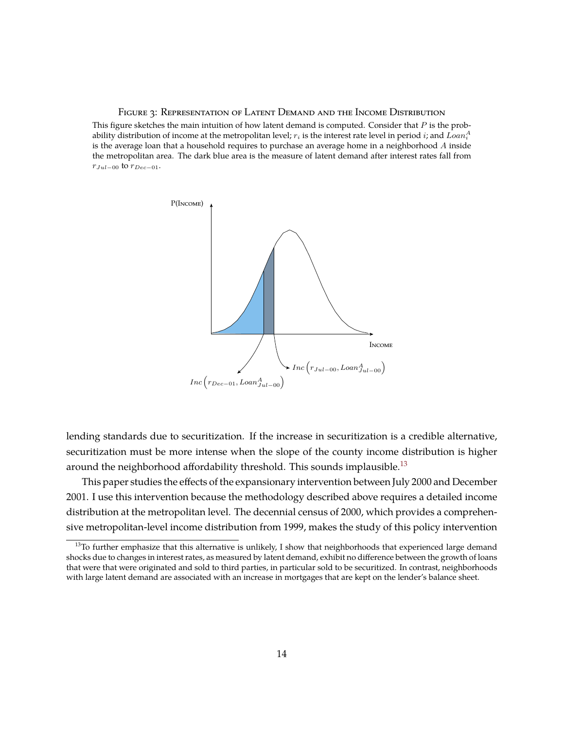Figure 3: Representation of Latent Demand and the Income Distribution

<span id="page-14-0"></span>This figure sketches the main intuition of how latent demand is computed. Consider that  $P$  is the probability distribution of income at the metropolitan level;  $r_i$  is the interest rate level in period i; and  $\hat{L}oan^A_i$ is the average loan that a household requires to purchase an average home in a neighborhood A inside the metropolitan area. The dark blue area is the measure of latent demand after interest rates fall from  $r_{Jul-00}$  to  $r_{Dec-01}$ .



lending standards due to securitization. If the increase in securitization is a credible alternative, securitization must be more intense when the slope of the county income distribution is higher around the neighborhood affordability threshold. This sounds implausible.<sup>[13](#page-0-0)</sup>

This paper studies the effects of the expansionary intervention between July 2000 and December 2001. I use this intervention because the methodology described above requires a detailed income distribution at the metropolitan level. The decennial census of 2000, which provides a comprehensive metropolitan-level income distribution from 1999, makes the study of this policy intervention

 $13$ To further emphasize that this alternative is unlikely, I show that neighborhoods that experienced large demand shocks due to changes in interest rates, as measured by latent demand, exhibit no difference between the growth of loans that were that were originated and sold to third parties, in particular sold to be securitized. In contrast, neighborhoods with large latent demand are associated with an increase in mortgages that are kept on the lender's balance sheet.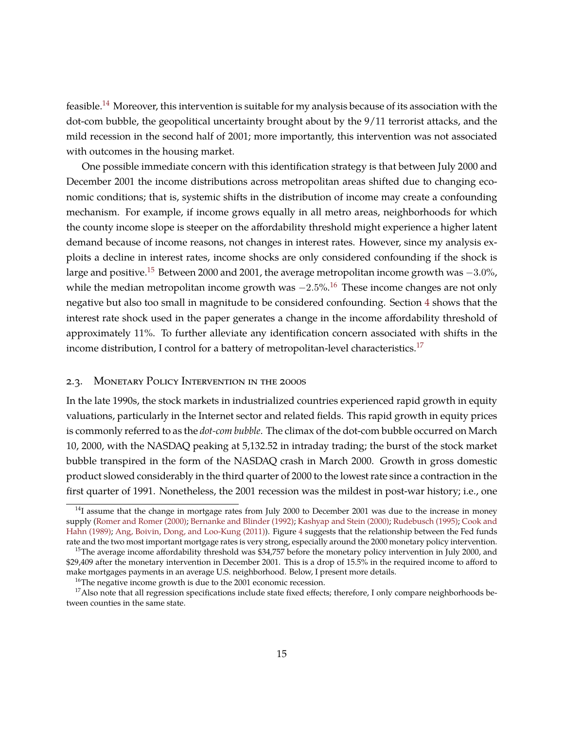feasible.[14](#page-0-0) Moreover, this intervention is suitable for my analysis because of its association with the dot-com bubble, the geopolitical uncertainty brought about by the 9/11 terrorist attacks, and the mild recession in the second half of 2001; more importantly, this intervention was not associated with outcomes in the housing market.

One possible immediate concern with this identification strategy is that between July 2000 and December 2001 the income distributions across metropolitan areas shifted due to changing economic conditions; that is, systemic shifts in the distribution of income may create a confounding mechanism. For example, if income grows equally in all metro areas, neighborhoods for which the county income slope is steeper on the affordability threshold might experience a higher latent demand because of income reasons, not changes in interest rates. However, since my analysis exploits a decline in interest rates, income shocks are only considered confounding if the shock is large and positive.<sup>[15](#page-0-0)</sup> Between 2000 and 2001, the average metropolitan income growth was  $-3.0\%$ , while the median metropolitan income growth was  $-2.5\%$ <sup>[16](#page-0-0)</sup> These income changes are not only negative but also too small in magnitude to be considered confounding. Section [4](#page-24-0) shows that the interest rate shock used in the paper generates a change in the income affordability threshold of approximately 11%. To further alleviate any identification concern associated with shifts in the income distribution, I control for a battery of metropolitan-level characteristics.<sup>[17](#page-0-0)</sup>

# 2.3. Monetary Policy Intervention in the 2000s

In the late 1990s, the stock markets in industrialized countries experienced rapid growth in equity valuations, particularly in the Internet sector and related fields. This rapid growth in equity prices is commonly referred to as the *dot-com bubble*. The climax of the dot-com bubble occurred on March 10, 2000, with the NASDAQ peaking at 5,132.52 in intraday trading; the burst of the stock market bubble transpired in the form of the NASDAQ crash in March 2000. Growth in gross domestic product slowed considerably in the third quarter of 2000 to the lowest rate since a contraction in the first quarter of 1991. Nonetheless, the 2001 recession was the mildest in post-war history; i.e., one

 $14$ I assume that the change in mortgage rates from July 2000 to December 2001 was due to the increase in money supply [\(Romer and Romer \(2000\);](#page-41-12) [Bernanke and Blinder \(1992\);](#page-39-11) [Kashyap and Stein \(2000\);](#page-41-13) [Rudebusch \(1995\);](#page-42-3) [Cook and](#page-39-12) [Hahn \(1989\);](#page-39-12) [Ang, Boivin, Dong, and Loo-Kung \(2011\)\)](#page-39-13). Figure [4](#page-16-0) suggests that the relationship between the Fed funds rate and the two most important mortgage rates is very strong, especially around the 2000 monetary policy intervention.

<sup>&</sup>lt;sup>15</sup>The average income affordability threshold was \$34,757 before the monetary policy intervention in July 2000, and \$29,409 after the monetary intervention in December 2001. This is a drop of 15.5% in the required income to afford to make mortgages payments in an average U.S. neighborhood. Below, I present more details.

 $16$ <sup>16</sup>The negative income growth is due to the 2001 economic recession.

<sup>&</sup>lt;sup>17</sup>Also note that all regression specifications include state fixed effects; therefore, I only compare neighborhoods between counties in the same state.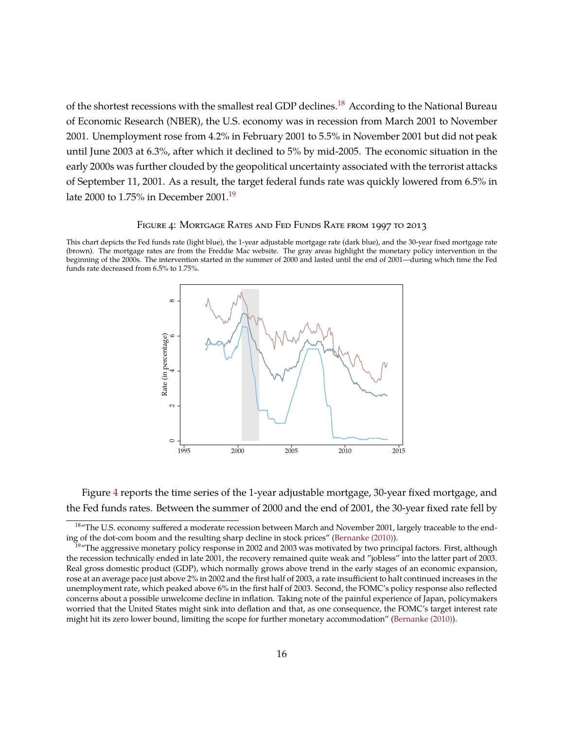of the shortest recessions with the smallest real GDP declines.<sup>[18](#page-0-0)</sup> According to the National Bureau of Economic Research (NBER), the U.S. economy was in recession from March 2001 to November 2001. Unemployment rose from 4.2% in February 2001 to 5.5% in November 2001 but did not peak until June 2003 at 6.3%, after which it declined to 5% by mid-2005. The economic situation in the early 2000s was further clouded by the geopolitical uncertainty associated with the terrorist attacks of September 11, 2001. As a result, the target federal funds rate was quickly lowered from 6.5% in late 2000 to 1.75% in December 2001.[19](#page-0-0)

#### Figure 4: Mortgage Rates and Fed Funds Rate from 1997 to 2013

<span id="page-16-0"></span>This chart depicts the Fed funds rate (light blue), the 1-year adjustable mortgage rate (dark blue), and the 30-year fixed mortgage rate (brown). The mortgage rates are from the Freddie Mac website. The gray areas highlight the monetary policy intervention in the beginning of the 2000s. The intervention started in the summer of 2000 and lasted until the end of 2001—during which time the Fed funds rate decreased from 6.5% to 1.75%.



Figure [4](#page-16-0) reports the time series of the 1-year adjustable mortgage, 30-year fixed mortgage, and the Fed funds rates. Between the summer of 2000 and the end of 2001, the 30-year fixed rate fell by

<sup>&</sup>lt;sup>18</sup>"The U.S. economy suffered a moderate recession between March and November 2001, largely traceable to the ending of the dot-com boom and the resulting sharp decline in stock prices" [\(Bernanke \(2010\)\)](#page-39-14).

<sup>&</sup>lt;sup>19</sup> "The aggressive monetary policy response in 2002 and 2003 was motivated by two principal factors. First, although the recession technically ended in late 2001, the recovery remained quite weak and "jobless" into the latter part of 2003. Real gross domestic product (GDP), which normally grows above trend in the early stages of an economic expansion, rose at an average pace just above 2% in 2002 and the first half of 2003, a rate insufficient to halt continued increases in the unemployment rate, which peaked above 6% in the first half of 2003. Second, the FOMC's policy response also reflected concerns about a possible unwelcome decline in inflation. Taking note of the painful experience of Japan, policymakers worried that the United States might sink into deflation and that, as one consequence, the FOMC's target interest rate might hit its zero lower bound, limiting the scope for further monetary accommodation" [\(Bernanke \(2010\)\)](#page-39-14).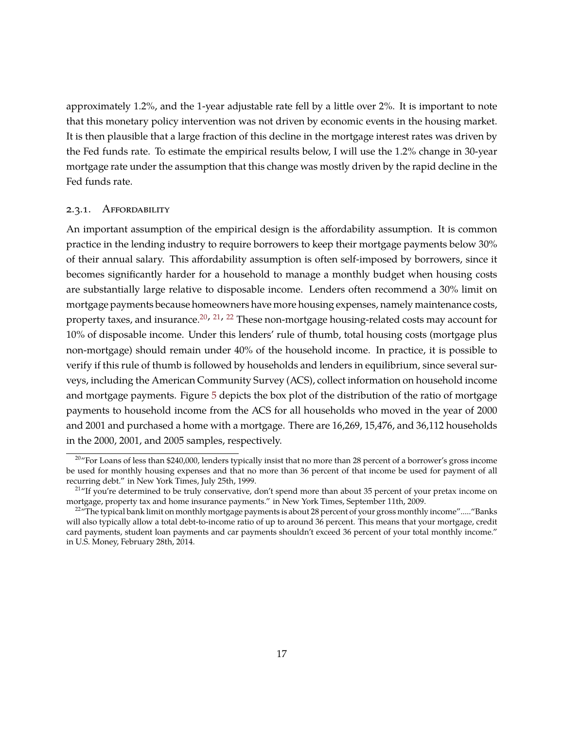approximately 1.2%, and the 1-year adjustable rate fell by a little over 2%. It is important to note that this monetary policy intervention was not driven by economic events in the housing market. It is then plausible that a large fraction of this decline in the mortgage interest rates was driven by the Fed funds rate. To estimate the empirical results below, I will use the 1.2% change in 30-year mortgage rate under the assumption that this change was mostly driven by the rapid decline in the Fed funds rate.

# <span id="page-17-0"></span>2.3.1. Affordability

An important assumption of the empirical design is the affordability assumption. It is common practice in the lending industry to require borrowers to keep their mortgage payments below 30% of their annual salary. This affordability assumption is often self-imposed by borrowers, since it becomes significantly harder for a household to manage a monthly budget when housing costs are substantially large relative to disposable income. Lenders often recommend a 30% limit on mortgage payments because homeowners have more housing expenses, namely maintenance costs, property taxes, and insurance.<sup>[20](#page-0-0), [21](#page-0-0), [22](#page-0-0)</sup> These non-mortgage housing-related costs may account for 10% of disposable income. Under this lenders' rule of thumb, total housing costs (mortgage plus non-mortgage) should remain under 40% of the household income. In practice, it is possible to verify if this rule of thumb is followed by households and lenders in equilibrium, since several surveys, including the American Community Survey (ACS), collect information on household income and mortgage payments. Figure [5](#page-18-0) depicts the box plot of the distribution of the ratio of mortgage payments to household income from the ACS for all households who moved in the year of 2000 and 2001 and purchased a home with a mortgage. There are 16,269, 15,476, and 36,112 households in the 2000, 2001, and 2005 samples, respectively.

<sup>&</sup>lt;sup>20</sup>"For Loans of less than \$240,000, lenders typically insist that no more than 28 percent of a borrower's gross income be used for monthly housing expenses and that no more than 36 percent of that income be used for payment of all recurring debt." in New York Times, July 25th, 1999.

 $21$ <sup>"</sup>If you're determined to be truly conservative, don't spend more than about 35 percent of your pretax income on mortgage, property tax and home insurance payments." in New York Times, September 11th, 2009.

<sup>&</sup>lt;sup>22</sup> "The typical bank limit on monthly mortgage payments is about 28 percent of your gross monthly income"..... "Banks will also typically allow a total debt-to-income ratio of up to around 36 percent. This means that your mortgage, credit card payments, student loan payments and car payments shouldn't exceed 36 percent of your total monthly income." in U.S. Money, February 28th, 2014.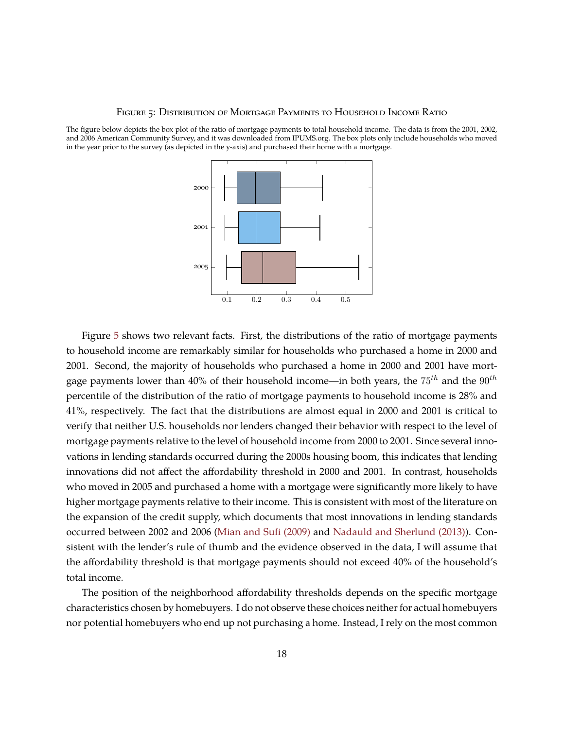#### Figure 5: Distribution of Mortgage Payments to Household Income Ratio

<span id="page-18-0"></span>The figure below depicts the box plot of the ratio of mortgage payments to total household income. The data is from the 2001, 2002, and 2006 American Community Survey, and it was downloaded from IPUMS.org. The box plots only include households who moved in the year prior to the survey (as depicted in the y-axis) and purchased their home with a mortgage.



Figure [5](#page-18-0) shows two relevant facts. First, the distributions of the ratio of mortgage payments to household income are remarkably similar for households who purchased a home in 2000 and 2001. Second, the majority of households who purchased a home in 2000 and 2001 have mortgage payments lower than 40% of their household income—in both years, the  $75^{th}$  and the  $90^{th}$ percentile of the distribution of the ratio of mortgage payments to household income is 28% and 41%, respectively. The fact that the distributions are almost equal in 2000 and 2001 is critical to verify that neither U.S. households nor lenders changed their behavior with respect to the level of mortgage payments relative to the level of household income from 2000 to 2001. Since several innovations in lending standards occurred during the 2000s housing boom, this indicates that lending innovations did not affect the affordability threshold in 2000 and 2001. In contrast, households who moved in 2005 and purchased a home with a mortgage were significantly more likely to have higher mortgage payments relative to their income. This is consistent with most of the literature on the expansion of the credit supply, which documents that most innovations in lending standards occurred between 2002 and 2006 [\(Mian and Sufi \(2009\)](#page-41-6) and [Nadauld and Sherlund \(2013\)\)](#page-41-8). Consistent with the lender's rule of thumb and the evidence observed in the data, I will assume that the affordability threshold is that mortgage payments should not exceed 40% of the household's total income.

The position of the neighborhood affordability thresholds depends on the specific mortgage characteristics chosen by homebuyers. I do not observe these choices neither for actual homebuyers nor potential homebuyers who end up not purchasing a home. Instead, I rely on the most common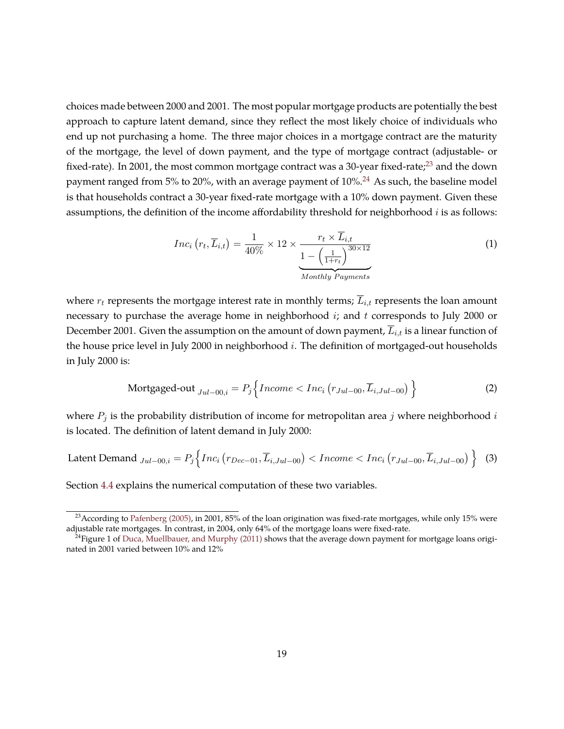choices made between 2000 and 2001. The most popular mortgage products are potentially the best approach to capture latent demand, since they reflect the most likely choice of individuals who end up not purchasing a home. The three major choices in a mortgage contract are the maturity of the mortgage, the level of down payment, and the type of mortgage contract (adjustable- or fixed-rate). In 2001, the most common mortgage contract was a 30-year fixed-rate; $^{23}$  $^{23}$  $^{23}$  and the down payment ranged from 5% to 20%, with an average payment of 10%.<sup>[24](#page-0-0)</sup> As such, the baseline model is that households contract a 30-year fixed-rate mortgage with a 10% down payment. Given these assumptions, the definition of the income affordability threshold for neighborhood  $i$  is as follows:

$$
Inc_i\left(r_t, \overline{L}_{i,t}\right) = \frac{1}{40\%} \times 12 \times \underbrace{\frac{r_t \times \overline{L}_{i,t}}{1 - \left(\frac{1}{1+r_t}\right)^{30 \times 12}}}_{Monthly\,Payments}
$$
\n<sup>(1)</sup>

where  $r_t$  represents the mortgage interest rate in monthly terms;  $\overline{L}_{i,t}$  represents the loan amount necessary to purchase the average home in neighborhood  $i$ ; and  $t$  corresponds to July 2000 or December 2001. Given the assumption on the amount of down payment,  $\overline{L}_{i,t}$  is a linear function of the house price level in July 2000 in neighborhood  $i$ . The definition of mortgaged-out households in July 2000 is:

Mortgaged-out 
$$
_{Jul-00,i} = P_j \Big\{ Income < Inc_i \left( r_{Jul-00}, \overline{L}_{i,Jul-00} \right) \Big\}
$$
 (2)

where  $P_i$  is the probability distribution of income for metropolitan area j where neighborhood i is located. The definition of latent demand in July 2000:

$$
\text{Latent Demand }_{Jul-00,i} = P_j \Big\{ Inc_i \left( r_{Dec-01}, \overline{L}_{i,Jul-00} \right) < Income < Inc_i \left( r_{Jul-00}, \overline{L}_{i, Jul-00} \right) \Big\} \tag{3}
$$

Section [4.4](#page-26-0) explains the numerical computation of these two variables.

<sup>&</sup>lt;sup>23</sup> According to [Pafenberg \(2005\),](#page-41-14) in 2001, 85% of the loan origination was fixed-rate mortgages, while only 15% were adjustable rate mortgages. In contrast, in 2004, only 64% of the mortgage loans were fixed-rate.

 $^{24}$ Figure 1 of [Duca, Muellbauer, and Murphy \(2011\)](#page-40-9) shows that the average down payment for mortgage loans originated in 2001 varied between 10% and 12%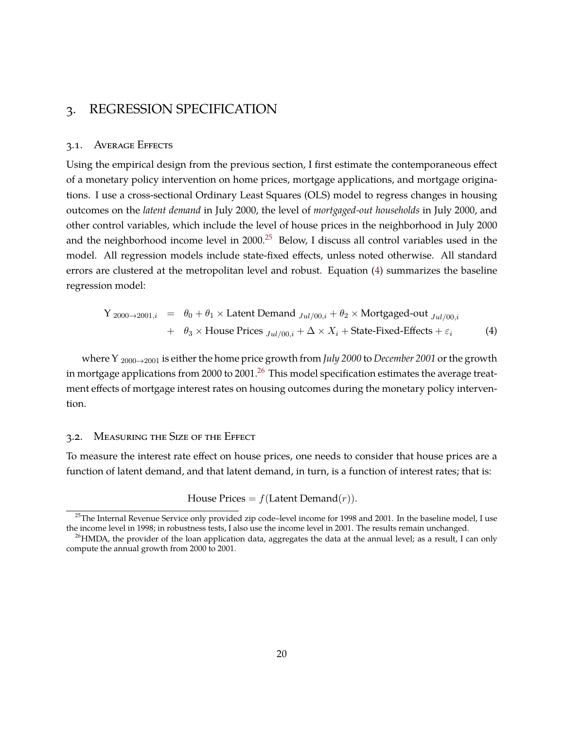# 3. REGRESSION SPECIFICATION

## 3.1. Average Effects

Using the empirical design from the previous section, I first estimate the contemporaneous effect of a monetary policy intervention on home prices, mortgage applications, and mortgage originations. I use a cross-sectional Ordinary Least Squares (OLS) model to regress changes in housing outcomes on the *latent demand* in July 2000, the level of *mortgaged-out households* in July 2000, and other control variables, which include the level of house prices in the neighborhood in July 2000 and the neighborhood income level in  $2000$ .<sup>[25](#page-0-0)</sup> Below, I discuss all control variables used in the model. All regression models include state-fixed effects, unless noted otherwise. All standard errors are clustered at the metropolitan level and robust. Equation [\(4\)](#page-20-0) summarizes the baseline regression model:

<span id="page-20-0"></span>
$$
Y_{2000 \to 2001,i} = \theta_0 + \theta_1 \times \text{Latent Demand } J_{ul/00,i} + \theta_2 \times \text{Mortgaged-out } J_{ul/00,i}
$$
  
+  $\theta_3 \times \text{House Prices } J_{ul/00,i} + \Delta \times X_i + \text{State-Fixed-Effects} + \varepsilon_i$  (4)

where Y <sup>2000</sup>→<sup>2001</sup> is either the home price growth from *July 2000* to *December 2001* or the growth in mortgage applications from 2000 to 2001.<sup>[26](#page-0-0)</sup> This model specification estimates the average treatment effects of mortgage interest rates on housing outcomes during the monetary policy intervention.

# <span id="page-20-1"></span>3.2. Measuring the Size of the Effect

To measure the interest rate effect on house prices, one needs to consider that house prices are a function of latent demand, and that latent demand, in turn, is a function of interest rates; that is:

House Prices =  $f$ (Latent Demand $(r)$ ).

 $^{25}$ The Internal Revenue Service only provided zip code–level income for 1998 and 2001. In the baseline model, I use the income level in 1998; in robustness tests, I also use the income level in 2001. The results remain unchanged.

 $^{26}$ HMDA, the provider of the loan application data, aggregates the data at the annual level; as a result, I can only compute the annual growth from 2000 to 2001.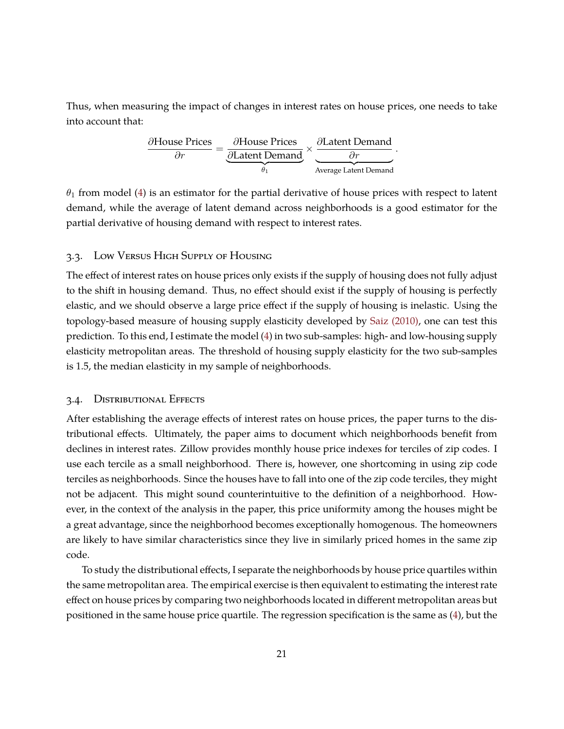Thus, when measuring the impact of changes in interest rates on house prices, one needs to take into account that:

.

$$
\frac{\partial \text{House Prices}}{\partial r} = \underbrace{\frac{\partial \text{House Prices}}{\partial \text{Latent Demand}}}_{\theta_1} \times \underbrace{\frac{\partial \text{Latent Demand}}{\partial r}}_{\text{Average Latent Demand}}
$$

 $\theta_1$  from model [\(4\)](#page-20-0) is an estimator for the partial derivative of house prices with respect to latent demand, while the average of latent demand across neighborhoods is a good estimator for the partial derivative of housing demand with respect to interest rates.

# 3.3. Low Versus High Supply of Housing

The effect of interest rates on house prices only exists if the supply of housing does not fully adjust to the shift in housing demand. Thus, no effect should exist if the supply of housing is perfectly elastic, and we should observe a large price effect if the supply of housing is inelastic. Using the topology-based measure of housing supply elasticity developed by [Saiz \(2010\),](#page-42-1) one can test this prediction. To this end, I estimate the model [\(4\)](#page-20-0) in two sub-samples: high- and low-housing supply elasticity metropolitan areas. The threshold of housing supply elasticity for the two sub-samples is 1.5, the median elasticity in my sample of neighborhoods.

# 3.4. Distributional Effects

After establishing the average effects of interest rates on house prices, the paper turns to the distributional effects. Ultimately, the paper aims to document which neighborhoods benefit from declines in interest rates. Zillow provides monthly house price indexes for terciles of zip codes. I use each tercile as a small neighborhood. There is, however, one shortcoming in using zip code terciles as neighborhoods. Since the houses have to fall into one of the zip code terciles, they might not be adjacent. This might sound counterintuitive to the definition of a neighborhood. However, in the context of the analysis in the paper, this price uniformity among the houses might be a great advantage, since the neighborhood becomes exceptionally homogenous. The homeowners are likely to have similar characteristics since they live in similarly priced homes in the same zip code.

To study the distributional effects, I separate the neighborhoods by house price quartiles within the same metropolitan area. The empirical exercise is then equivalent to estimating the interest rate effect on house prices by comparing two neighborhoods located in different metropolitan areas but positioned in the same house price quartile. The regression specification is the same as [\(4\)](#page-20-0), but the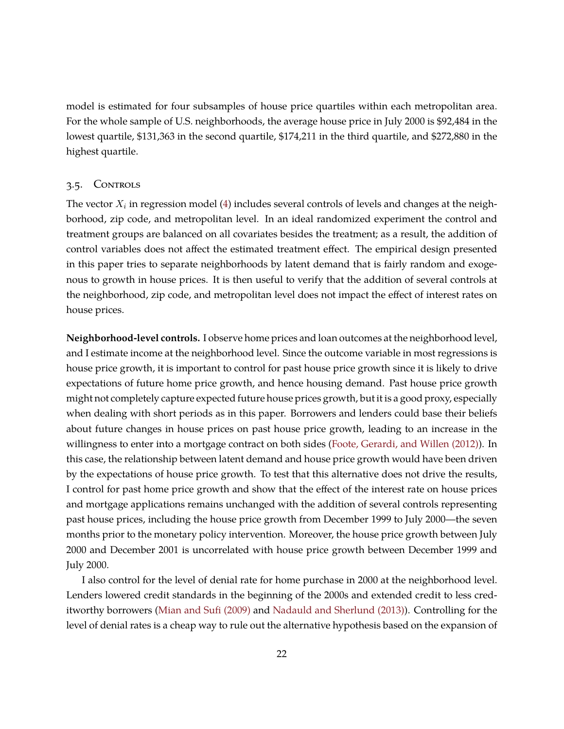model is estimated for four subsamples of house price quartiles within each metropolitan area. For the whole sample of U.S. neighborhoods, the average house price in July 2000 is \$92,484 in the lowest quartile, \$131,363 in the second quartile, \$174,211 in the third quartile, and \$272,880 in the highest quartile.

# 3.5. CONTROLS

The vector  $X_i$  in regression model [\(4\)](#page-20-0) includes several controls of levels and changes at the neighborhood, zip code, and metropolitan level. In an ideal randomized experiment the control and treatment groups are balanced on all covariates besides the treatment; as a result, the addition of control variables does not affect the estimated treatment effect. The empirical design presented in this paper tries to separate neighborhoods by latent demand that is fairly random and exogenous to growth in house prices. It is then useful to verify that the addition of several controls at the neighborhood, zip code, and metropolitan level does not impact the effect of interest rates on house prices.

**Neighborhood-level controls.** I observe home prices and loan outcomes at the neighborhood level, and I estimate income at the neighborhood level. Since the outcome variable in most regressions is house price growth, it is important to control for past house price growth since it is likely to drive expectations of future home price growth, and hence housing demand. Past house price growth might not completely capture expected future house prices growth, but it is a good proxy, especially when dealing with short periods as in this paper. Borrowers and lenders could base their beliefs about future changes in house prices on past house price growth, leading to an increase in the willingness to enter into a mortgage contract on both sides [\(Foote, Gerardi, and Willen \(2012\)\)](#page-40-10). In this case, the relationship between latent demand and house price growth would have been driven by the expectations of house price growth. To test that this alternative does not drive the results, I control for past home price growth and show that the effect of the interest rate on house prices and mortgage applications remains unchanged with the addition of several controls representing past house prices, including the house price growth from December 1999 to July 2000—the seven months prior to the monetary policy intervention. Moreover, the house price growth between July 2000 and December 2001 is uncorrelated with house price growth between December 1999 and July 2000.

I also control for the level of denial rate for home purchase in 2000 at the neighborhood level. Lenders lowered credit standards in the beginning of the 2000s and extended credit to less creditworthy borrowers [\(Mian and Sufi \(2009\)](#page-41-6) and [Nadauld and Sherlund \(2013\)\)](#page-41-8). Controlling for the level of denial rates is a cheap way to rule out the alternative hypothesis based on the expansion of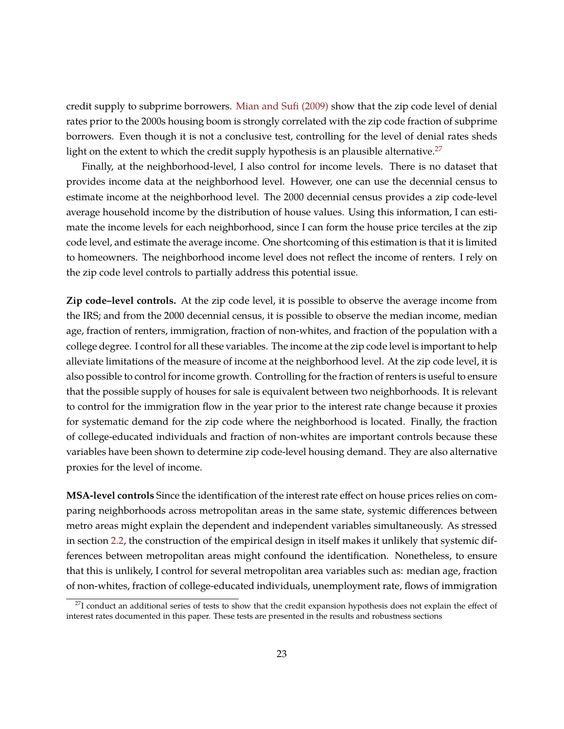credit supply to subprime borrowers. [Mian and Sufi \(2009\)](#page-41-6) show that the zip code level of denial rates prior to the 2000s housing boom is strongly correlated with the zip code fraction of subprime borrowers. Even though it is not a conclusive test, controlling for the level of denial rates sheds light on the extent to which the credit supply hypothesis is an plausible alternative.<sup>[27](#page-0-0)</sup>

Finally, at the neighborhood-level, I also control for income levels. There is no dataset that provides income data at the neighborhood level. However, one can use the decennial census to estimate income at the neighborhood level. The 2000 decennial census provides a zip code-level average household income by the distribution of house values. Using this information, I can estimate the income levels for each neighborhood, since I can form the house price terciles at the zip code level, and estimate the average income. One shortcoming of this estimation is that it is limited to homeowners. The neighborhood income level does not reflect the income of renters. I rely on the zip code level controls to partially address this potential issue.

**Zip code–level controls.** At the zip code level, it is possible to observe the average income from the IRS; and from the 2000 decennial census, it is possible to observe the median income, median age, fraction of renters, immigration, fraction of non-whites, and fraction of the population with a college degree. I control for all these variables. The income at the zip code level is important to help alleviate limitations of the measure of income at the neighborhood level. At the zip code level, it is also possible to control for income growth. Controlling for the fraction of renters is useful to ensure that the possible supply of houses for sale is equivalent between two neighborhoods. It is relevant to control for the immigration flow in the year prior to the interest rate change because it proxies for systematic demand for the zip code where the neighborhood is located. Finally, the fraction of college-educated individuals and fraction of non-whites are important controls because these variables have been shown to determine zip code-level housing demand. They are also alternative proxies for the level of income.

**MSA-level controls** Since the identification of the interest rate effect on house prices relies on comparing neighborhoods across metropolitan areas in the same state, systemic differences between metro areas might explain the dependent and independent variables simultaneously. As stressed in section [2.2,](#page-9-0) the construction of the empirical design in itself makes it unlikely that systemic differences between metropolitan areas might confound the identification. Nonetheless, to ensure that this is unlikely, I control for several metropolitan area variables such as: median age, fraction of non-whites, fraction of college-educated individuals, unemployment rate, flows of immigration

 $27$ I conduct an additional series of tests to show that the credit expansion hypothesis does not explain the effect of interest rates documented in this paper. These tests are presented in the results and robustness sections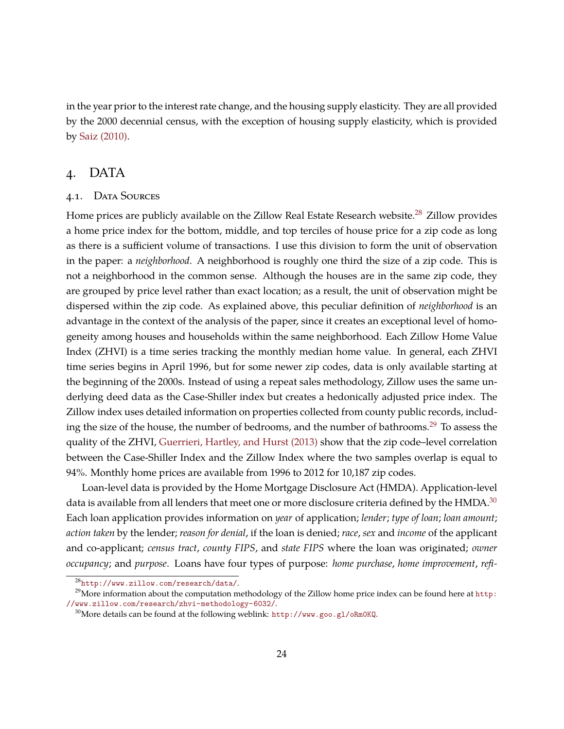in the year prior to the interest rate change, and the housing supply elasticity. They are all provided by the 2000 decennial census, with the exception of housing supply elasticity, which is provided by [Saiz \(2010\).](#page-42-1)

# <span id="page-24-0"></span>4. DATA

# 4.1. Data Sources

Home prices are publicly available on the Zillow Real Estate Research website.<sup>[28](#page-0-0)</sup> Zillow provides a home price index for the bottom, middle, and top terciles of house price for a zip code as long as there is a sufficient volume of transactions. I use this division to form the unit of observation in the paper: a *neighborhood*. A neighborhood is roughly one third the size of a zip code. This is not a neighborhood in the common sense. Although the houses are in the same zip code, they are grouped by price level rather than exact location; as a result, the unit of observation might be dispersed within the zip code. As explained above, this peculiar definition of *neighborhood* is an advantage in the context of the analysis of the paper, since it creates an exceptional level of homogeneity among houses and households within the same neighborhood. Each Zillow Home Value Index (ZHVI) is a time series tracking the monthly median home value. In general, each ZHVI time series begins in April 1996, but for some newer zip codes, data is only available starting at the beginning of the 2000s. Instead of using a repeat sales methodology, Zillow uses the same underlying deed data as the Case-Shiller index but creates a hedonically adjusted price index. The Zillow index uses detailed information on properties collected from county public records, includ-ing the size of the house, the number of bedrooms, and the number of bathrooms.<sup>[29](#page-0-0)</sup> To assess the quality of the ZHVI, [Guerrieri, Hartley, and Hurst \(2013\)](#page-40-11) show that the zip code–level correlation between the Case-Shiller Index and the Zillow Index where the two samples overlap is equal to 94%. Monthly home prices are available from 1996 to 2012 for 10,187 zip codes.

Loan-level data is provided by the Home Mortgage Disclosure Act (HMDA). Application-level data is available from all lenders that meet one or more disclosure criteria defined by the HMDA.<sup>[30](#page-0-0)</sup> Each loan application provides information on *year* of application; *lender*; *type of loan*; *loan amount*; *action taken* by the lender; *reason for denial*, if the loan is denied; *race*, *sex* and *income* of the applicant and co-applicant; *census tract*, *county FIPS*, and *state FIPS* where the loan was originated; *owner occupancy*; and *purpose*. Loans have four types of purpose: *home purchase*, *home improvement*, *refi-*

<sup>28</sup><http://www.zillow.com/research/data/>.

<sup>&</sup>lt;sup>29</sup>More information about the computation methodology of the Zillow home price index can be found here at [http:](http://www.zillow.com/research/zhvi-methodology-6032/) [//www.zillow.com/research/zhvi-methodology-6032/](http://www.zillow.com/research/zhvi-methodology-6032/).

 $30$ More details can be found at the following weblink: <http://www.goo.gl/oRm0KQ>.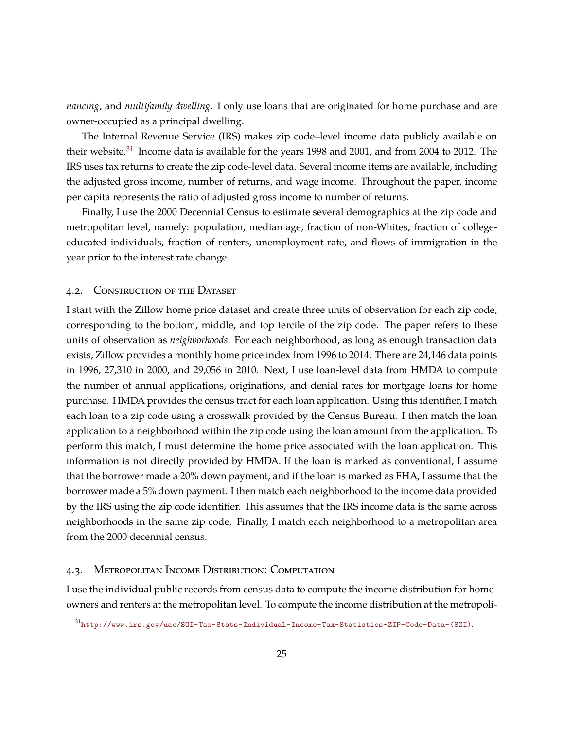*nancing*, and *multifamily dwelling*. I only use loans that are originated for home purchase and are owner-occupied as a principal dwelling.

The Internal Revenue Service (IRS) makes zip code–level income data publicly available on their website.<sup>[31](#page-0-0)</sup> Income data is available for the years 1998 and 2001, and from 2004 to 2012. The IRS uses tax returns to create the zip code-level data. Several income items are available, including the adjusted gross income, number of returns, and wage income. Throughout the paper, income per capita represents the ratio of adjusted gross income to number of returns.

Finally, I use the 2000 Decennial Census to estimate several demographics at the zip code and metropolitan level, namely: population, median age, fraction of non-Whites, fraction of collegeeducated individuals, fraction of renters, unemployment rate, and flows of immigration in the year prior to the interest rate change.

## <span id="page-25-0"></span>4.2. CONSTRUCTION OF THE DATASET

I start with the Zillow home price dataset and create three units of observation for each zip code, corresponding to the bottom, middle, and top tercile of the zip code. The paper refers to these units of observation as *neighborhoods*. For each neighborhood, as long as enough transaction data exists, Zillow provides a monthly home price index from 1996 to 2014. There are 24,146 data points in 1996, 27,310 in 2000, and 29,056 in 2010. Next, I use loan-level data from HMDA to compute the number of annual applications, originations, and denial rates for mortgage loans for home purchase. HMDA provides the census tract for each loan application. Using this identifier, I match each loan to a zip code using a crosswalk provided by the Census Bureau. I then match the loan application to a neighborhood within the zip code using the loan amount from the application. To perform this match, I must determine the home price associated with the loan application. This information is not directly provided by HMDA. If the loan is marked as conventional, I assume that the borrower made a 20% down payment, and if the loan is marked as FHA, I assume that the borrower made a 5% down payment. I then match each neighborhood to the income data provided by the IRS using the zip code identifier. This assumes that the IRS income data is the same across neighborhoods in the same zip code. Finally, I match each neighborhood to a metropolitan area from the 2000 decennial census.

# 4.3. Metropolitan Income Distribution: Computation

I use the individual public records from census data to compute the income distribution for homeowners and renters at the metropolitan level. To compute the income distribution at the metropoli-

 $^{31}\text{http://www.irs.gov/uac/S0I-Tax-Stats-Individual-Income-Tax-Statistics-ZIP-Code-Data-(S0I).}$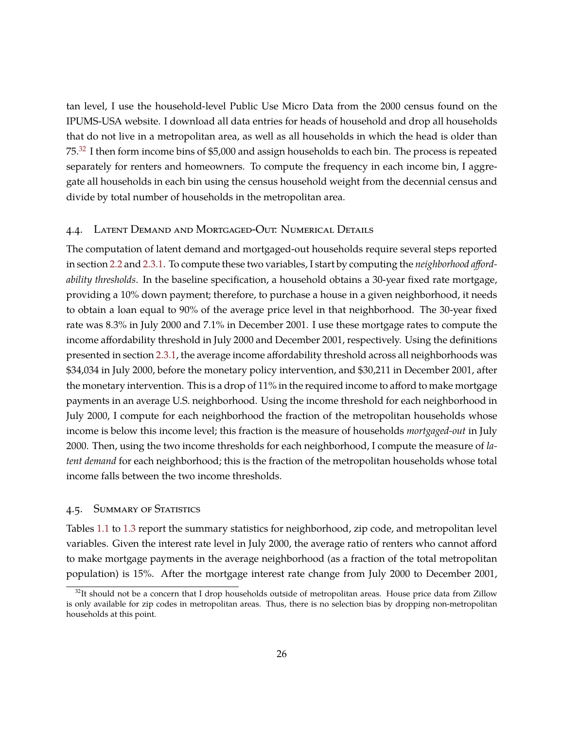tan level, I use the household-level Public Use Micro Data from the 2000 census found on the IPUMS-USA website. I download all data entries for heads of household and drop all households that do not live in a metropolitan area, as well as all households in which the head is older than 75.<sup>[32](#page-0-0)</sup> I then form income bins of \$5,000 and assign households to each bin. The process is repeated separately for renters and homeowners. To compute the frequency in each income bin, I aggregate all households in each bin using the census household weight from the decennial census and divide by total number of households in the metropolitan area.

# <span id="page-26-0"></span>4.4. Latent Demand and Mortgaged-Out: Numerical Details

The computation of latent demand and mortgaged-out households require several steps reported in section [2.2](#page-9-0) and [2.3.1.](#page-17-0) To compute these two variables, I start by computing the *neighborhood affordability thresholds*. In the baseline specification, a household obtains a 30-year fixed rate mortgage, providing a 10% down payment; therefore, to purchase a house in a given neighborhood, it needs to obtain a loan equal to 90% of the average price level in that neighborhood. The 30-year fixed rate was 8.3% in July 2000 and 7.1% in December 2001. I use these mortgage rates to compute the income affordability threshold in July 2000 and December 2001, respectively. Using the definitions presented in section [2.3.1,](#page-17-0) the average income affordability threshold across all neighborhoods was \$34,034 in July 2000, before the monetary policy intervention, and \$30,211 in December 2001, after the monetary intervention. This is a drop of 11% in the required income to afford to make mortgage payments in an average U.S. neighborhood. Using the income threshold for each neighborhood in July 2000, I compute for each neighborhood the fraction of the metropolitan households whose income is below this income level; this fraction is the measure of households *mortgaged-out* in July 2000. Then, using the two income thresholds for each neighborhood, I compute the measure of *latent demand* for each neighborhood; this is the fraction of the metropolitan households whose total income falls between the two income thresholds.

# 4.5. Summary of Statistics

Tables [1.1](#page-43-0) to [1.3](#page-44-0) report the summary statistics for neighborhood, zip code, and metropolitan level variables. Given the interest rate level in July 2000, the average ratio of renters who cannot afford to make mortgage payments in the average neighborhood (as a fraction of the total metropolitan population) is 15%. After the mortgage interest rate change from July 2000 to December 2001,

 $32$ It should not be a concern that I drop households outside of metropolitan areas. House price data from Zillow is only available for zip codes in metropolitan areas. Thus, there is no selection bias by dropping non-metropolitan households at this point.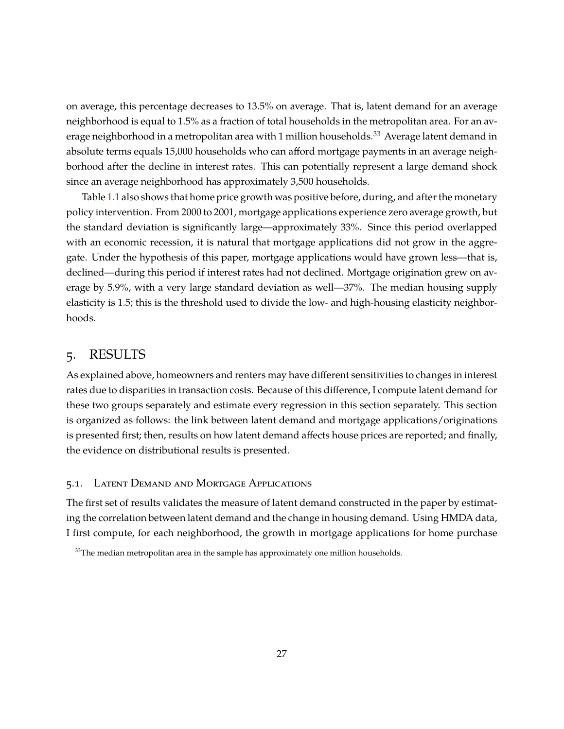on average, this percentage decreases to 13.5% on average. That is, latent demand for an average neighborhood is equal to 1.5% as a fraction of total households in the metropolitan area. For an av-erage neighborhood in a metropolitan area with 1 million households.<sup>[33](#page-0-0)</sup> Average latent demand in absolute terms equals 15,000 households who can afford mortgage payments in an average neighborhood after the decline in interest rates. This can potentially represent a large demand shock since an average neighborhood has approximately 3,500 households.

Table [1.1](#page-43-0) also shows that home price growth was positive before, during, and after the monetary policy intervention. From 2000 to 2001, mortgage applications experience zero average growth, but the standard deviation is significantly large—approximately 33%. Since this period overlapped with an economic recession, it is natural that mortgage applications did not grow in the aggregate. Under the hypothesis of this paper, mortgage applications would have grown less—that is, declined—during this period if interest rates had not declined. Mortgage origination grew on average by 5.9%, with a very large standard deviation as well—37%. The median housing supply elasticity is 1.5; this is the threshold used to divide the low- and high-housing elasticity neighborhoods.

# 5. RESULTS

As explained above, homeowners and renters may have different sensitivities to changes in interest rates due to disparities in transaction costs. Because of this difference, I compute latent demand for these two groups separately and estimate every regression in this section separately. This section is organized as follows: the link between latent demand and mortgage applications/originations is presented first; then, results on how latent demand affects house prices are reported; and finally, the evidence on distributional results is presented.

# 5.1. Latent Demand and Mortgage Applications

The first set of results validates the measure of latent demand constructed in the paper by estimating the correlation between latent demand and the change in housing demand. Using HMDA data, I first compute, for each neighborhood, the growth in mortgage applications for home purchase

 $33$ The median metropolitan area in the sample has approximately one million households.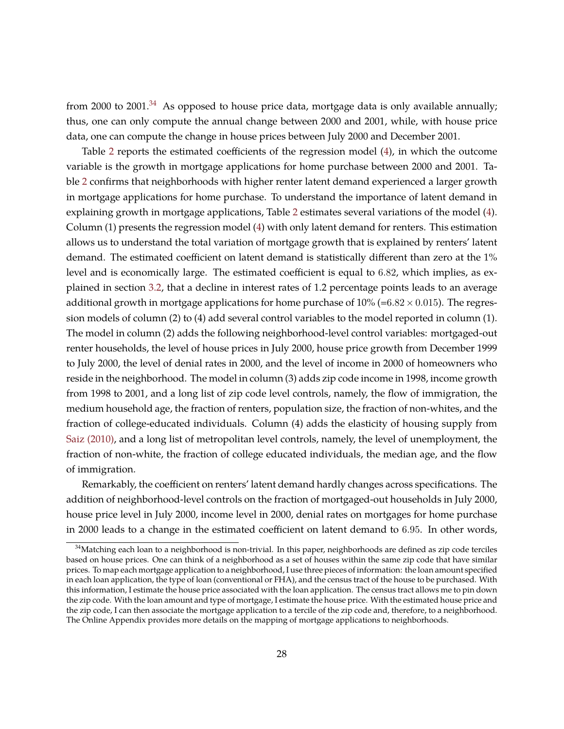from 2000 to 2001. $34$  As opposed to house price data, mortgage data is only available annually; thus, one can only compute the annual change between 2000 and 2001, while, with house price data, one can compute the change in house prices between July 2000 and December 2001.

Table [2](#page-44-1) reports the estimated coefficients of the regression model [\(4\)](#page-20-0), in which the outcome variable is the growth in mortgage applications for home purchase between 2000 and 2001. Table [2](#page-44-1) confirms that neighborhoods with higher renter latent demand experienced a larger growth in mortgage applications for home purchase. To understand the importance of latent demand in explaining growth in mortgage applications, Table [2](#page-44-1) estimates several variations of the model [\(4\)](#page-20-0). Column (1) presents the regression model [\(4\)](#page-20-0) with only latent demand for renters. This estimation allows us to understand the total variation of mortgage growth that is explained by renters' latent demand. The estimated coefficient on latent demand is statistically different than zero at the 1% level and is economically large. The estimated coefficient is equal to 6.82, which implies, as explained in section [3.2,](#page-20-1) that a decline in interest rates of 1.2 percentage points leads to an average additional growth in mortgage applications for home purchase of  $10\%$  (=6.82  $\times$  0.015). The regression models of column (2) to (4) add several control variables to the model reported in column (1). The model in column (2) adds the following neighborhood-level control variables: mortgaged-out renter households, the level of house prices in July 2000, house price growth from December 1999 to July 2000, the level of denial rates in 2000, and the level of income in 2000 of homeowners who reside in the neighborhood. The model in column (3) adds zip code income in 1998, income growth from 1998 to 2001, and a long list of zip code level controls, namely, the flow of immigration, the medium household age, the fraction of renters, population size, the fraction of non-whites, and the fraction of college-educated individuals. Column (4) adds the elasticity of housing supply from [Saiz \(2010\),](#page-42-1) and a long list of metropolitan level controls, namely, the level of unemployment, the fraction of non-white, the fraction of college educated individuals, the median age, and the flow of immigration.

Remarkably, the coefficient on renters' latent demand hardly changes across specifications. The addition of neighborhood-level controls on the fraction of mortgaged-out households in July 2000, house price level in July 2000, income level in 2000, denial rates on mortgages for home purchase in 2000 leads to a change in the estimated coefficient on latent demand to 6.95. In other words,

<sup>&</sup>lt;sup>34</sup>Matching each loan to a neighborhood is non-trivial. In this paper, neighborhoods are defined as zip code terciles based on house prices. One can think of a neighborhood as a set of houses within the same zip code that have similar prices. To map each mortgage application to a neighborhood, I use three pieces of information: the loan amount specified in each loan application, the type of loan (conventional or FHA), and the census tract of the house to be purchased. With this information, I estimate the house price associated with the loan application. The census tract allows me to pin down the zip code. With the loan amount and type of mortgage, I estimate the house price. With the estimated house price and the zip code, I can then associate the mortgage application to a tercile of the zip code and, therefore, to a neighborhood. The Online Appendix provides more details on the mapping of mortgage applications to neighborhoods.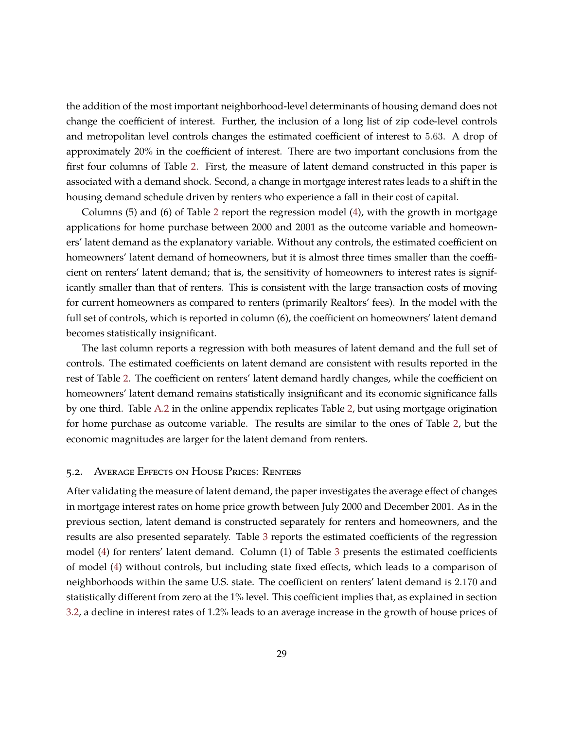the addition of the most important neighborhood-level determinants of housing demand does not change the coefficient of interest. Further, the inclusion of a long list of zip code-level controls and metropolitan level controls changes the estimated coefficient of interest to 5.63. A drop of approximately 20% in the coefficient of interest. There are two important conclusions from the first four columns of Table [2.](#page-44-1) First, the measure of latent demand constructed in this paper is associated with a demand shock. Second, a change in mortgage interest rates leads to a shift in the housing demand schedule driven by renters who experience a fall in their cost of capital.

Columns (5) and (6) of Table [2](#page-44-1) report the regression model [\(4\)](#page-20-0), with the growth in mortgage applications for home purchase between 2000 and 2001 as the outcome variable and homeowners' latent demand as the explanatory variable. Without any controls, the estimated coefficient on homeowners' latent demand of homeowners, but it is almost three times smaller than the coefficient on renters' latent demand; that is, the sensitivity of homeowners to interest rates is significantly smaller than that of renters. This is consistent with the large transaction costs of moving for current homeowners as compared to renters (primarily Realtors' fees). In the model with the full set of controls, which is reported in column (6), the coefficient on homeowners' latent demand becomes statistically insignificant.

The last column reports a regression with both measures of latent demand and the full set of controls. The estimated coefficients on latent demand are consistent with results reported in the rest of Table [2.](#page-44-1) The coefficient on renters' latent demand hardly changes, while the coefficient on homeowners' latent demand remains statistically insignificant and its economic significance falls by one third. Table [A.2](#page-44-1) in the online appendix replicates Table [2,](#page-44-1) but using mortgage origination for home purchase as outcome variable. The results are similar to the ones of Table [2,](#page-44-1) but the economic magnitudes are larger for the latent demand from renters.

# 5.2. Average Effects on House Prices: Renters

After validating the measure of latent demand, the paper investigates the average effect of changes in mortgage interest rates on home price growth between July 2000 and December 2001. As in the previous section, latent demand is constructed separately for renters and homeowners, and the results are also presented separately. Table [3](#page-44-0) reports the estimated coefficients of the regression model [\(4\)](#page-20-0) for renters' latent demand. Column (1) of Table [3](#page-44-0) presents the estimated coefficients of model [\(4\)](#page-20-0) without controls, but including state fixed effects, which leads to a comparison of neighborhoods within the same U.S. state. The coefficient on renters' latent demand is 2.170 and statistically different from zero at the 1% level. This coefficient implies that, as explained in section [3.2,](#page-20-1) a decline in interest rates of 1.2% leads to an average increase in the growth of house prices of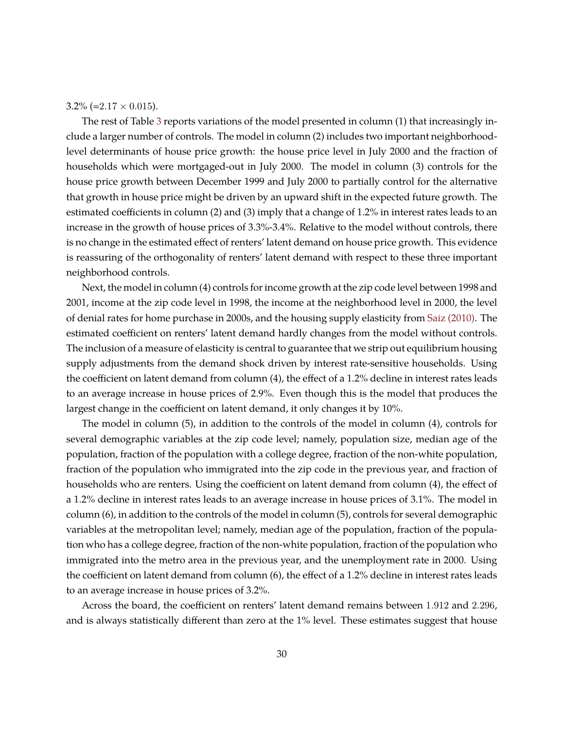$3.2\%$  (=2.17  $\times$  0.015).

The rest of Table [3](#page-44-0) reports variations of the model presented in column (1) that increasingly include a larger number of controls. The model in column (2) includes two important neighborhoodlevel determinants of house price growth: the house price level in July 2000 and the fraction of households which were mortgaged-out in July 2000. The model in column (3) controls for the house price growth between December 1999 and July 2000 to partially control for the alternative that growth in house price might be driven by an upward shift in the expected future growth. The estimated coefficients in column (2) and (3) imply that a change of 1.2% in interest rates leads to an increase in the growth of house prices of 3.3%-3.4%. Relative to the model without controls, there is no change in the estimated effect of renters' latent demand on house price growth. This evidence is reassuring of the orthogonality of renters' latent demand with respect to these three important neighborhood controls.

Next, the model in column (4) controls for income growth at the zip code level between 1998 and 2001, income at the zip code level in 1998, the income at the neighborhood level in 2000, the level of denial rates for home purchase in 2000s, and the housing supply elasticity from [Saiz \(2010\).](#page-42-1) The estimated coefficient on renters' latent demand hardly changes from the model without controls. The inclusion of a measure of elasticity is central to guarantee that we strip out equilibrium housing supply adjustments from the demand shock driven by interest rate-sensitive households. Using the coefficient on latent demand from column (4), the effect of a 1.2% decline in interest rates leads to an average increase in house prices of 2.9%. Even though this is the model that produces the largest change in the coefficient on latent demand, it only changes it by 10%.

The model in column (5), in addition to the controls of the model in column (4), controls for several demographic variables at the zip code level; namely, population size, median age of the population, fraction of the population with a college degree, fraction of the non-white population, fraction of the population who immigrated into the zip code in the previous year, and fraction of households who are renters. Using the coefficient on latent demand from column (4), the effect of a 1.2% decline in interest rates leads to an average increase in house prices of 3.1%. The model in column (6), in addition to the controls of the model in column (5), controls for several demographic variables at the metropolitan level; namely, median age of the population, fraction of the population who has a college degree, fraction of the non-white population, fraction of the population who immigrated into the metro area in the previous year, and the unemployment rate in 2000. Using the coefficient on latent demand from column (6), the effect of a 1.2% decline in interest rates leads to an average increase in house prices of 3.2%.

Across the board, the coefficient on renters' latent demand remains between 1.912 and 2.296, and is always statistically different than zero at the 1% level. These estimates suggest that house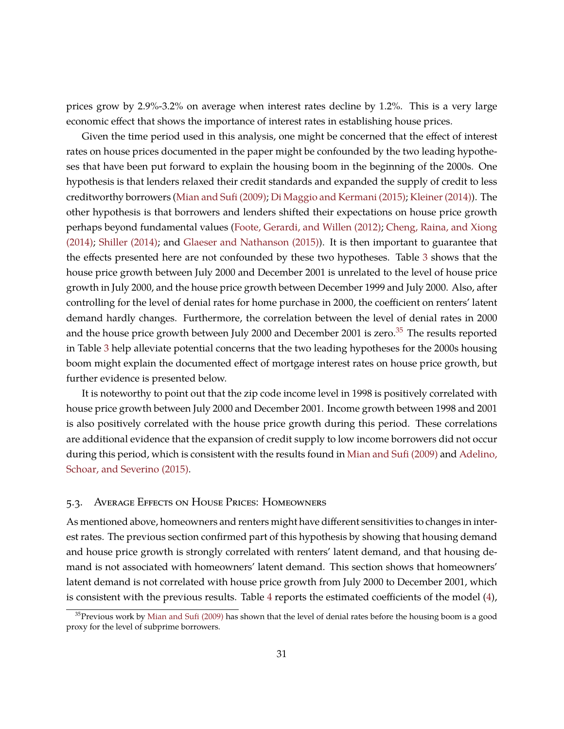prices grow by 2.9%-3.2% on average when interest rates decline by 1.2%. This is a very large economic effect that shows the importance of interest rates in establishing house prices.

Given the time period used in this analysis, one might be concerned that the effect of interest rates on house prices documented in the paper might be confounded by the two leading hypotheses that have been put forward to explain the housing boom in the beginning of the 2000s. One hypothesis is that lenders relaxed their credit standards and expanded the supply of credit to less creditworthy borrowers [\(Mian and Sufi \(2009\);](#page-41-6) [Di Maggio and Kermani \(2015\);](#page-40-12) [Kleiner \(2014\)\)](#page-41-15). The other hypothesis is that borrowers and lenders shifted their expectations on house price growth perhaps beyond fundamental values [\(Foote, Gerardi, and Willen \(2012\);](#page-40-13) [Cheng, Raina, and Xiong](#page-39-15) [\(2014\);](#page-39-15) [Shiller \(2014\);](#page-42-4) and [Glaeser and Nathanson \(2015\)\)](#page-40-14). It is then important to guarantee that the effects presented here are not confounded by these two hypotheses. Table [3](#page-44-0) shows that the house price growth between July 2000 and December 2001 is unrelated to the level of house price growth in July 2000, and the house price growth between December 1999 and July 2000. Also, after controlling for the level of denial rates for home purchase in 2000, the coefficient on renters' latent demand hardly changes. Furthermore, the correlation between the level of denial rates in 2000 and the house price growth between July 2000 and December 2001 is zero.<sup>[35](#page-0-0)</sup> The results reported in Table [3](#page-44-0) help alleviate potential concerns that the two leading hypotheses for the 2000s housing boom might explain the documented effect of mortgage interest rates on house price growth, but further evidence is presented below.

It is noteworthy to point out that the zip code income level in 1998 is positively correlated with house price growth between July 2000 and December 2001. Income growth between 1998 and 2001 is also positively correlated with the house price growth during this period. These correlations are additional evidence that the expansion of credit supply to low income borrowers did not occur during this period, which is consistent with the results found in [Mian and Sufi \(2009\)](#page-41-6) and [Adelino,](#page-39-16) [Schoar, and Severino \(2015\).](#page-39-16)

# 5.3. Average Effects on House Prices: Homeowners

As mentioned above, homeowners and renters might have different sensitivities to changes in interest rates. The previous section confirmed part of this hypothesis by showing that housing demand and house price growth is strongly correlated with renters' latent demand, and that housing demand is not associated with homeowners' latent demand. This section shows that homeowners' latent demand is not correlated with house price growth from July 2000 to December 2001, which is consistent with the previous results. Table [4](#page-47-0) reports the estimated coefficients of the model  $(4)$ ,

<sup>&</sup>lt;sup>35</sup>Previous work by [Mian and Sufi \(2009\)](#page-41-6) has shown that the level of denial rates before the housing boom is a good proxy for the level of subprime borrowers.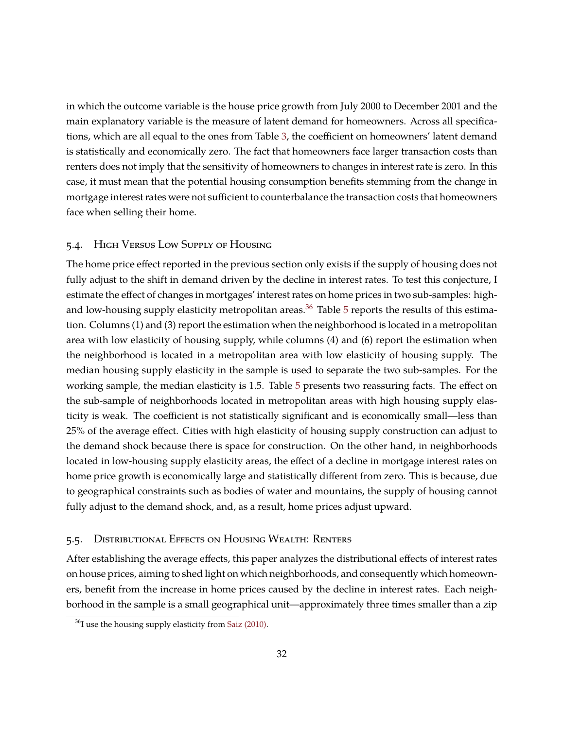in which the outcome variable is the house price growth from July 2000 to December 2001 and the main explanatory variable is the measure of latent demand for homeowners. Across all specifications, which are all equal to the ones from Table [3,](#page-44-0) the coefficient on homeowners' latent demand is statistically and economically zero. The fact that homeowners face larger transaction costs than renters does not imply that the sensitivity of homeowners to changes in interest rate is zero. In this case, it must mean that the potential housing consumption benefits stemming from the change in mortgage interest rates were not sufficient to counterbalance the transaction costs that homeowners face when selling their home.

# 5.4. High Versus Low Supply of Housing

The home price effect reported in the previous section only exists if the supply of housing does not fully adjust to the shift in demand driven by the decline in interest rates. To test this conjecture, I estimate the effect of changes in mortgages' interest rates on home prices in two sub-samples: high-and low-housing supply elasticity metropolitan areas.<sup>[36](#page-0-0)</sup> Table [5](#page-48-0) reports the results of this estimation. Columns (1) and (3) report the estimation when the neighborhood is located in a metropolitan area with low elasticity of housing supply, while columns (4) and (6) report the estimation when the neighborhood is located in a metropolitan area with low elasticity of housing supply. The median housing supply elasticity in the sample is used to separate the two sub-samples. For the working sample, the median elasticity is 1.5. Table [5](#page-48-0) presents two reassuring facts. The effect on the sub-sample of neighborhoods located in metropolitan areas with high housing supply elasticity is weak. The coefficient is not statistically significant and is economically small—less than 25% of the average effect. Cities with high elasticity of housing supply construction can adjust to the demand shock because there is space for construction. On the other hand, in neighborhoods located in low-housing supply elasticity areas, the effect of a decline in mortgage interest rates on home price growth is economically large and statistically different from zero. This is because, due to geographical constraints such as bodies of water and mountains, the supply of housing cannot fully adjust to the demand shock, and, as a result, home prices adjust upward.

## 5.5. Distributional Effects on Housing Wealth: Renters

After establishing the average effects, this paper analyzes the distributional effects of interest rates on house prices, aiming to shed light on which neighborhoods, and consequently which homeowners, benefit from the increase in home prices caused by the decline in interest rates. Each neighborhood in the sample is a small geographical unit—approximately three times smaller than a zip

 $36$ I use the housing supply elasticity from [Saiz \(2010\).](#page-42-1)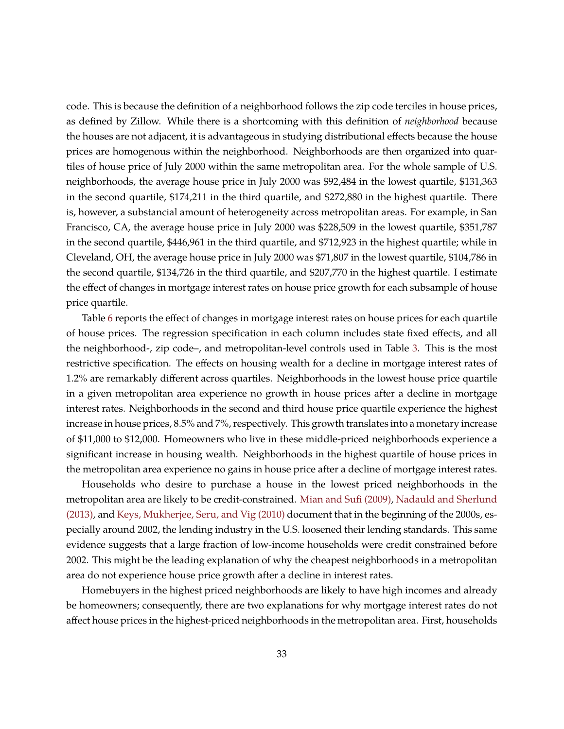code. This is because the definition of a neighborhood follows the zip code terciles in house prices, as defined by Zillow. While there is a shortcoming with this definition of *neighborhood* because the houses are not adjacent, it is advantageous in studying distributional effects because the house prices are homogenous within the neighborhood. Neighborhoods are then organized into quartiles of house price of July 2000 within the same metropolitan area. For the whole sample of U.S. neighborhoods, the average house price in July 2000 was \$92,484 in the lowest quartile, \$131,363 in the second quartile, \$174,211 in the third quartile, and \$272,880 in the highest quartile. There is, however, a substancial amount of heterogeneity across metropolitan areas. For example, in San Francisco, CA, the average house price in July 2000 was \$228,509 in the lowest quartile, \$351,787 in the second quartile, \$446,961 in the third quartile, and \$712,923 in the highest quartile; while in Cleveland, OH, the average house price in July 2000 was \$71,807 in the lowest quartile, \$104,786 in the second quartile, \$134,726 in the third quartile, and \$207,770 in the highest quartile. I estimate the effect of changes in mortgage interest rates on house price growth for each subsample of house price quartile.

Table [6](#page-49-0) reports the effect of changes in mortgage interest rates on house prices for each quartile of house prices. The regression specification in each column includes state fixed effects, and all the neighborhood-, zip code–, and metropolitan-level controls used in Table [3.](#page-44-0) This is the most restrictive specification. The effects on housing wealth for a decline in mortgage interest rates of 1.2% are remarkably different across quartiles. Neighborhoods in the lowest house price quartile in a given metropolitan area experience no growth in house prices after a decline in mortgage interest rates. Neighborhoods in the second and third house price quartile experience the highest increase in house prices, 8.5% and 7%, respectively. This growth translates into a monetary increase of \$11,000 to \$12,000. Homeowners who live in these middle-priced neighborhoods experience a significant increase in housing wealth. Neighborhoods in the highest quartile of house prices in the metropolitan area experience no gains in house price after a decline of mortgage interest rates.

Households who desire to purchase a house in the lowest priced neighborhoods in the metropolitan area are likely to be credit-constrained. [Mian and Sufi \(2009\),](#page-41-6) [Nadauld and Sherlund](#page-41-8) [\(2013\),](#page-41-8) and [Keys, Mukherjee, Seru, and Vig \(2010\)](#page-41-7) document that in the beginning of the 2000s, especially around 2002, the lending industry in the U.S. loosened their lending standards. This same evidence suggests that a large fraction of low-income households were credit constrained before 2002. This might be the leading explanation of why the cheapest neighborhoods in a metropolitan area do not experience house price growth after a decline in interest rates.

Homebuyers in the highest priced neighborhoods are likely to have high incomes and already be homeowners; consequently, there are two explanations for why mortgage interest rates do not affect house prices in the highest-priced neighborhoods in the metropolitan area. First, households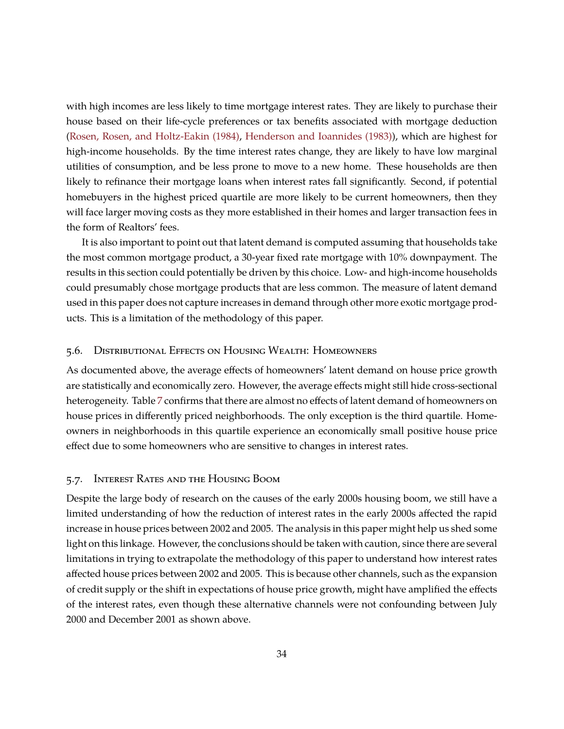with high incomes are less likely to time mortgage interest rates. They are likely to purchase their house based on their life-cycle preferences or tax benefits associated with mortgage deduction [\(Rosen, Rosen, and Holtz-Eakin \(1984\),](#page-41-16) [Henderson and Ioannides \(1983\)\)](#page-40-15), which are highest for high-income households. By the time interest rates change, they are likely to have low marginal utilities of consumption, and be less prone to move to a new home. These households are then likely to refinance their mortgage loans when interest rates fall significantly. Second, if potential homebuyers in the highest priced quartile are more likely to be current homeowners, then they will face larger moving costs as they more established in their homes and larger transaction fees in the form of Realtors' fees.

It is also important to point out that latent demand is computed assuming that households take the most common mortgage product, a 30-year fixed rate mortgage with 10% downpayment. The results in this section could potentially be driven by this choice. Low- and high-income households could presumably chose mortgage products that are less common. The measure of latent demand used in this paper does not capture increases in demand through other more exotic mortgage products. This is a limitation of the methodology of this paper.

# 5.6. Distributional Effects on Housing Wealth: Homeowners

As documented above, the average effects of homeowners' latent demand on house price growth are statistically and economically zero. However, the average effects might still hide cross-sectional heterogeneity. Table [7](#page-50-0) confirms that there are almost no effects of latent demand of homeowners on house prices in differently priced neighborhoods. The only exception is the third quartile. Homeowners in neighborhoods in this quartile experience an economically small positive house price effect due to some homeowners who are sensitive to changes in interest rates.

## 5.7. Interest Rates and the Housing Boom

Despite the large body of research on the causes of the early 2000s housing boom, we still have a limited understanding of how the reduction of interest rates in the early 2000s affected the rapid increase in house prices between 2002 and 2005. The analysis in this paper might help us shed some light on this linkage. However, the conclusions should be taken with caution, since there are several limitations in trying to extrapolate the methodology of this paper to understand how interest rates affected house prices between 2002 and 2005. This is because other channels, such as the expansion of credit supply or the shift in expectations of house price growth, might have amplified the effects of the interest rates, even though these alternative channels were not confounding between July 2000 and December 2001 as shown above.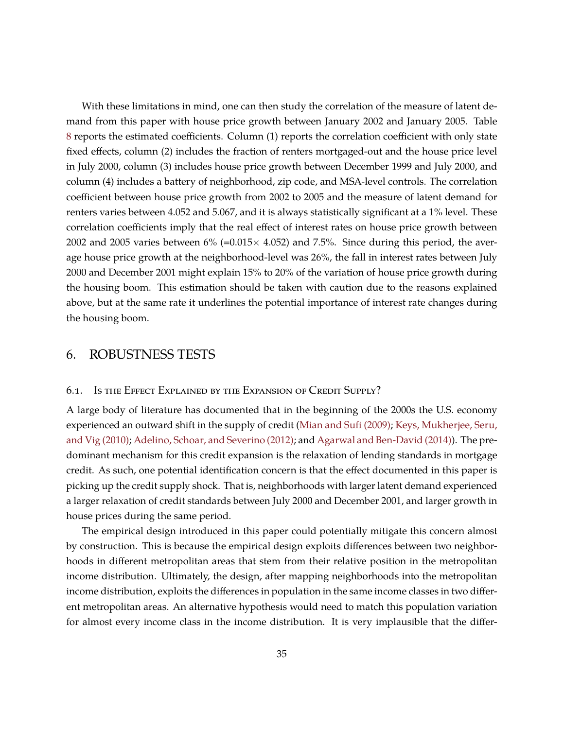With these limitations in mind, one can then study the correlation of the measure of latent demand from this paper with house price growth between January 2002 and January 2005. Table [8](#page-51-0) reports the estimated coefficients. Column (1) reports the correlation coefficient with only state fixed effects, column (2) includes the fraction of renters mortgaged-out and the house price level in July 2000, column (3) includes house price growth between December 1999 and July 2000, and column (4) includes a battery of neighborhood, zip code, and MSA-level controls. The correlation coefficient between house price growth from 2002 to 2005 and the measure of latent demand for renters varies between 4.052 and 5.067, and it is always statistically significant at a 1% level. These correlation coefficients imply that the real effect of interest rates on house price growth between 2002 and 2005 varies between  $6\%$  (=0.015 $\times$  4.052) and 7.5%. Since during this period, the average house price growth at the neighborhood-level was 26%, the fall in interest rates between July 2000 and December 2001 might explain 15% to 20% of the variation of house price growth during the housing boom. This estimation should be taken with caution due to the reasons explained above, but at the same rate it underlines the potential importance of interest rate changes during the housing boom.

# 6. ROBUSTNESS TESTS

## 6.1. Is the Effect Explained by the Expansion of Credit Supply?

A large body of literature has documented that in the beginning of the 2000s the U.S. economy experienced an outward shift in the supply of credit [\(Mian and Sufi \(2009\);](#page-41-6) [Keys, Mukherjee, Seru,](#page-41-7) [and Vig \(2010\);](#page-41-7) [Adelino, Schoar, and Severino \(2012\);](#page-39-7) and [Agarwal and Ben-David \(2014\)\)](#page-39-8). The predominant mechanism for this credit expansion is the relaxation of lending standards in mortgage credit. As such, one potential identification concern is that the effect documented in this paper is picking up the credit supply shock. That is, neighborhoods with larger latent demand experienced a larger relaxation of credit standards between July 2000 and December 2001, and larger growth in house prices during the same period.

The empirical design introduced in this paper could potentially mitigate this concern almost by construction. This is because the empirical design exploits differences between two neighborhoods in different metropolitan areas that stem from their relative position in the metropolitan income distribution. Ultimately, the design, after mapping neighborhoods into the metropolitan income distribution, exploits the differences in population in the same income classes in two different metropolitan areas. An alternative hypothesis would need to match this population variation for almost every income class in the income distribution. It is very implausible that the differ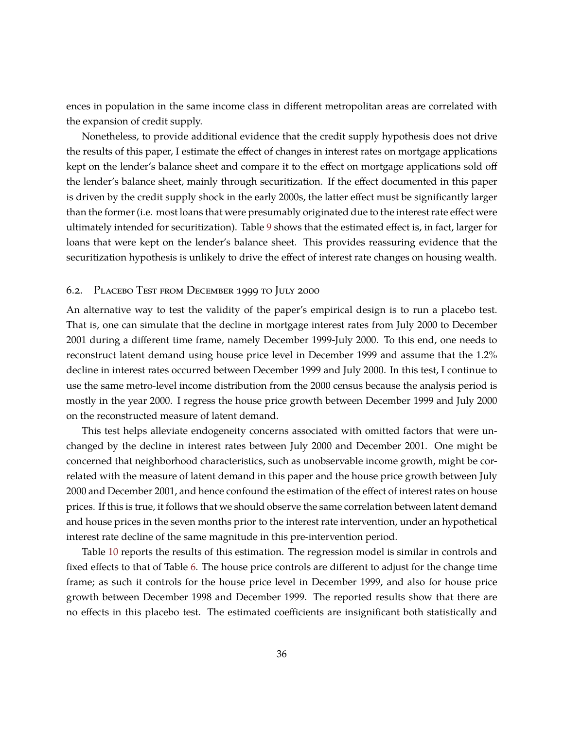ences in population in the same income class in different metropolitan areas are correlated with the expansion of credit supply.

Nonetheless, to provide additional evidence that the credit supply hypothesis does not drive the results of this paper, I estimate the effect of changes in interest rates on mortgage applications kept on the lender's balance sheet and compare it to the effect on mortgage applications sold off the lender's balance sheet, mainly through securitization. If the effect documented in this paper is driven by the credit supply shock in the early 2000s, the latter effect must be significantly larger than the former (i.e. most loans that were presumably originated due to the interest rate effect were ultimately intended for securitization). Table [9](#page-52-0) shows that the estimated effect is, in fact, larger for loans that were kept on the lender's balance sheet. This provides reassuring evidence that the securitization hypothesis is unlikely to drive the effect of interest rate changes on housing wealth.

# 6.2. Placebo Test from December 1999 to July 2000

An alternative way to test the validity of the paper's empirical design is to run a placebo test. That is, one can simulate that the decline in mortgage interest rates from July 2000 to December 2001 during a different time frame, namely December 1999-July 2000. To this end, one needs to reconstruct latent demand using house price level in December 1999 and assume that the 1.2% decline in interest rates occurred between December 1999 and July 2000. In this test, I continue to use the same metro-level income distribution from the 2000 census because the analysis period is mostly in the year 2000. I regress the house price growth between December 1999 and July 2000 on the reconstructed measure of latent demand.

This test helps alleviate endogeneity concerns associated with omitted factors that were unchanged by the decline in interest rates between July 2000 and December 2001. One might be concerned that neighborhood characteristics, such as unobservable income growth, might be correlated with the measure of latent demand in this paper and the house price growth between July 2000 and December 2001, and hence confound the estimation of the effect of interest rates on house prices. If this is true, it follows that we should observe the same correlation between latent demand and house prices in the seven months prior to the interest rate intervention, under an hypothetical interest rate decline of the same magnitude in this pre-intervention period.

Table [10](#page-53-0) reports the results of this estimation. The regression model is similar in controls and fixed effects to that of Table [6.](#page-49-0) The house price controls are different to adjust for the change time frame; as such it controls for the house price level in December 1999, and also for house price growth between December 1998 and December 1999. The reported results show that there are no effects in this placebo test. The estimated coefficients are insignificant both statistically and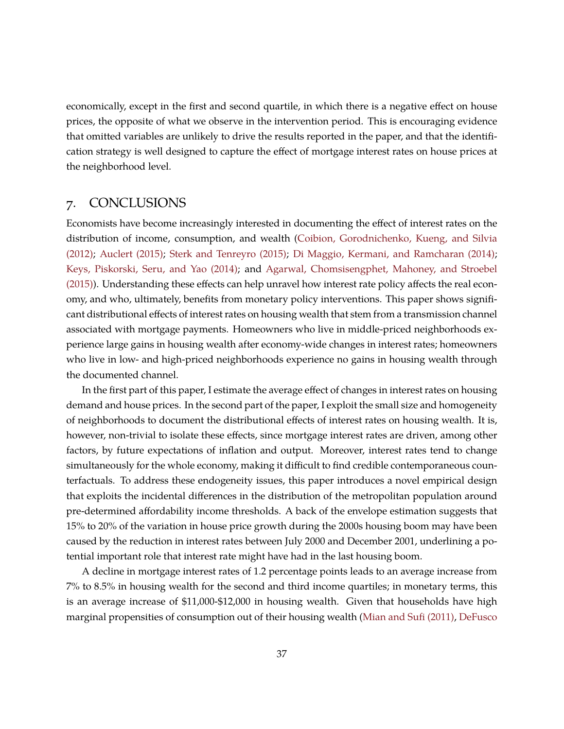economically, except in the first and second quartile, in which there is a negative effect on house prices, the opposite of what we observe in the intervention period. This is encouraging evidence that omitted variables are unlikely to drive the results reported in the paper, and that the identification strategy is well designed to capture the effect of mortgage interest rates on house prices at the neighborhood level.

# 7. CONCLUSIONS

Economists have become increasingly interested in documenting the effect of interest rates on the distribution of income, consumption, and wealth [\(Coibion, Gorodnichenko, Kueng, and Silvia](#page-39-0) [\(2012\);](#page-39-0) [Auclert \(2015\);](#page-39-1) [Sterk and Tenreyro \(2015\);](#page-42-0) [Di Maggio, Kermani, and Ramcharan \(2014\);](#page-40-1) [Keys, Piskorski, Seru, and Yao \(2014\);](#page-41-0) and [Agarwal, Chomsisengphet, Mahoney, and Stroebel](#page-39-2) [\(2015\)\)](#page-39-2). Understanding these effects can help unravel how interest rate policy affects the real economy, and who, ultimately, benefits from monetary policy interventions. This paper shows significant distributional effects of interest rates on housing wealth that stem from a transmission channel associated with mortgage payments. Homeowners who live in middle-priced neighborhoods experience large gains in housing wealth after economy-wide changes in interest rates; homeowners who live in low- and high-priced neighborhoods experience no gains in housing wealth through the documented channel.

In the first part of this paper, I estimate the average effect of changes in interest rates on housing demand and house prices. In the second part of the paper, I exploit the small size and homogeneity of neighborhoods to document the distributional effects of interest rates on housing wealth. It is, however, non-trivial to isolate these effects, since mortgage interest rates are driven, among other factors, by future expectations of inflation and output. Moreover, interest rates tend to change simultaneously for the whole economy, making it difficult to find credible contemporaneous counterfactuals. To address these endogeneity issues, this paper introduces a novel empirical design that exploits the incidental differences in the distribution of the metropolitan population around pre-determined affordability income thresholds. A back of the envelope estimation suggests that 15% to 20% of the variation in house price growth during the 2000s housing boom may have been caused by the reduction in interest rates between July 2000 and December 2001, underlining a potential important role that interest rate might have had in the last housing boom.

A decline in mortgage interest rates of 1.2 percentage points leads to an average increase from 7% to 8.5% in housing wealth for the second and third income quartiles; in monetary terms, this is an average increase of \$11,000-\$12,000 in housing wealth. Given that households have high marginal propensities of consumption out of their housing wealth [\(Mian and Sufi \(2011\),](#page-41-2) [DeFusco](#page-40-2)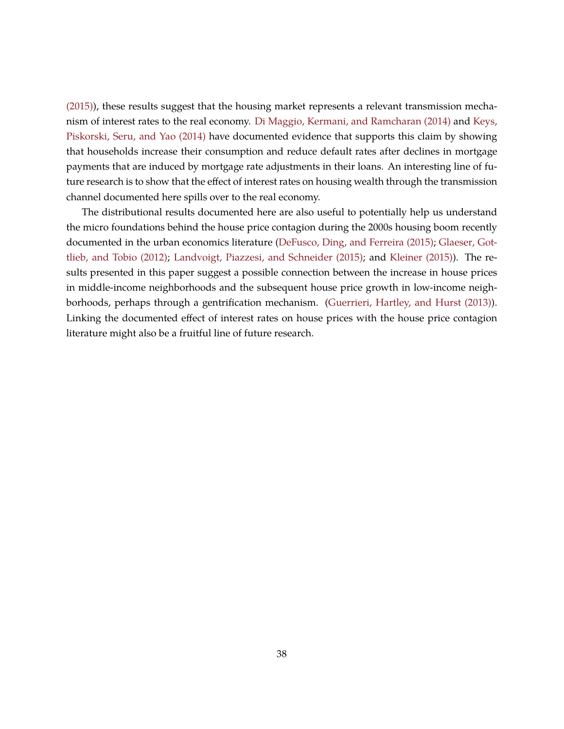[\(2015\)\)](#page-40-2), these results suggest that the housing market represents a relevant transmission mechanism of interest rates to the real economy. [Di Maggio, Kermani, and Ramcharan \(2014\)](#page-40-1) and [Keys,](#page-41-0) [Piskorski, Seru, and Yao \(2014\)](#page-41-0) have documented evidence that supports this claim by showing that households increase their consumption and reduce default rates after declines in mortgage payments that are induced by mortgage rate adjustments in their loans. An interesting line of future research is to show that the effect of interest rates on housing wealth through the transmission channel documented here spills over to the real economy.

The distributional results documented here are also useful to potentially help us understand the micro foundations behind the house price contagion during the 2000s housing boom recently documented in the urban economics literature [\(DeFusco, Ding, and Ferreira \(2015\);](#page-39-4) [Glaeser, Got](#page-40-3)[tlieb, and Tobio \(2012\);](#page-40-3) [Landvoigt, Piazzesi, and Schneider \(2015\);](#page-41-3) and [Kleiner \(2015\)\)](#page-41-4). The results presented in this paper suggest a possible connection between the increase in house prices in middle-income neighborhoods and the subsequent house price growth in low-income neighborhoods, perhaps through a gentrification mechanism. [\(Guerrieri, Hartley, and Hurst \(2013\)\)](#page-40-4). Linking the documented effect of interest rates on house prices with the house price contagion literature might also be a fruitful line of future research.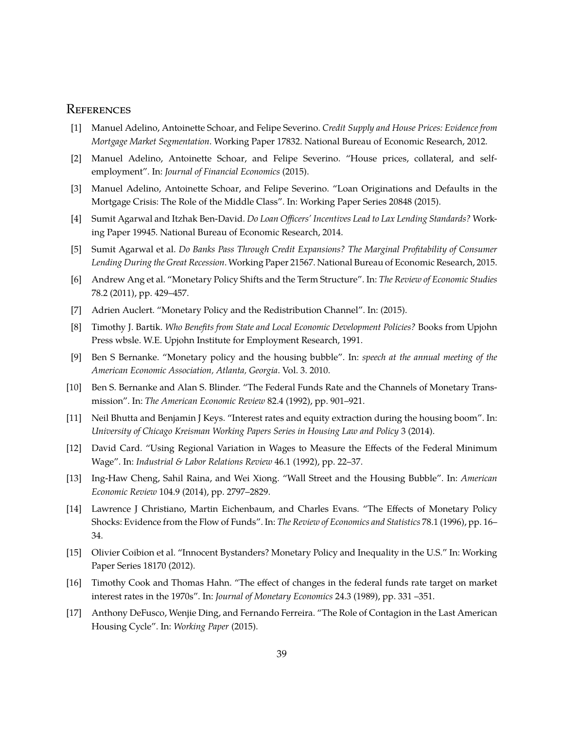# **REFERENCES**

- <span id="page-39-7"></span>[1] Manuel Adelino, Antoinette Schoar, and Felipe Severino. *Credit Supply and House Prices: Evidence from Mortgage Market Segmentation*. Working Paper 17832. National Bureau of Economic Research, 2012.
- <span id="page-39-3"></span>[2] Manuel Adelino, Antoinette Schoar, and Felipe Severino. "House prices, collateral, and selfemployment". In: *Journal of Financial Economics* (2015).
- <span id="page-39-16"></span>[3] Manuel Adelino, Antoinette Schoar, and Felipe Severino. "Loan Originations and Defaults in the Mortgage Crisis: The Role of the Middle Class". In: Working Paper Series 20848 (2015).
- <span id="page-39-8"></span>[4] Sumit Agarwal and Itzhak Ben-David. *Do Loan Officers' Incentives Lead to Lax Lending Standards?* Working Paper 19945. National Bureau of Economic Research, 2014.
- <span id="page-39-2"></span>[5] Sumit Agarwal et al. *Do Banks Pass Through Credit Expansions? The Marginal Profitability of Consumer Lending During the Great Recession*. Working Paper 21567. National Bureau of Economic Research, 2015.
- <span id="page-39-13"></span>[6] Andrew Ang et al. "Monetary Policy Shifts and the Term Structure". In: *The Review of Economic Studies* 78.2 (2011), pp. 429–457.
- <span id="page-39-1"></span>[7] Adrien Auclert. "Monetary Policy and the Redistribution Channel". In: (2015).
- <span id="page-39-10"></span>[8] Timothy J. Bartik. *Who Benefits from State and Local Economic Development Policies?* Books from Upjohn Press wbsle. W.E. Upjohn Institute for Employment Research, 1991.
- <span id="page-39-14"></span>[9] Ben S Bernanke. "Monetary policy and the housing bubble". In: *speech at the annual meeting of the American Economic Association, Atlanta, Georgia*. Vol. 3. 2010.
- <span id="page-39-11"></span>[10] Ben S. Bernanke and Alan S. Blinder. "The Federal Funds Rate and the Channels of Monetary Transmission". In: *The American Economic Review* 82.4 (1992), pp. 901–921.
- <span id="page-39-5"></span>[11] Neil Bhutta and Benjamin J Keys. "Interest rates and equity extraction during the housing boom". In: *University of Chicago Kreisman Working Papers Series in Housing Law and Policy* 3 (2014).
- <span id="page-39-9"></span>[12] David Card. "Using Regional Variation in Wages to Measure the Effects of the Federal Minimum Wage". In: *Industrial & Labor Relations Review* 46.1 (1992), pp. 22–37.
- <span id="page-39-15"></span>[13] Ing-Haw Cheng, Sahil Raina, and Wei Xiong. "Wall Street and the Housing Bubble". In: *American Economic Review* 104.9 (2014), pp. 2797–2829.
- <span id="page-39-6"></span>[14] Lawrence J Christiano, Martin Eichenbaum, and Charles Evans. "The Effects of Monetary Policy Shocks: Evidence from the Flow of Funds". In: *The Review of Economics and Statistics* 78.1 (1996), pp. 16– 34.
- <span id="page-39-0"></span>[15] Olivier Coibion et al. "Innocent Bystanders? Monetary Policy and Inequality in the U.S." In: Working Paper Series 18170 (2012).
- <span id="page-39-12"></span>[16] Timothy Cook and Thomas Hahn. "The effect of changes in the federal funds rate target on market interest rates in the 1970s". In: *Journal of Monetary Economics* 24.3 (1989), pp. 331 –351.
- <span id="page-39-4"></span>[17] Anthony DeFusco, Wenjie Ding, and Fernando Ferreira. "The Role of Contagion in the Last American Housing Cycle". In: *Working Paper* (2015).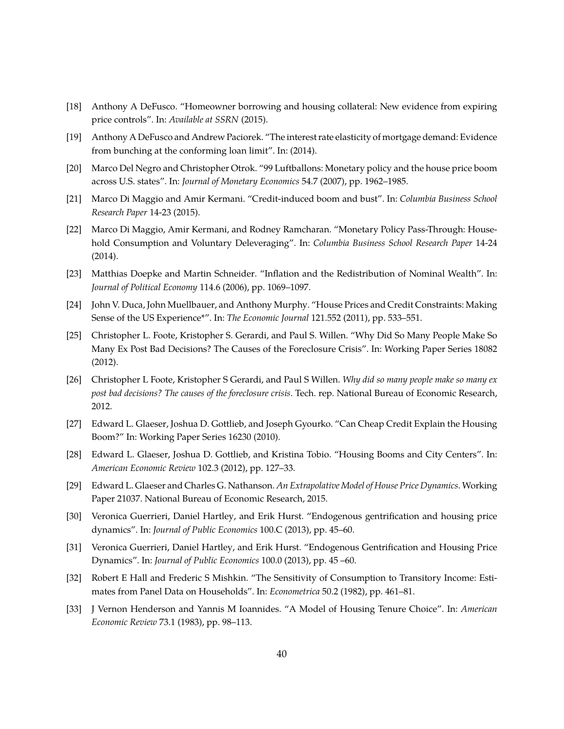- <span id="page-40-2"></span>[18] Anthony A DeFusco. "Homeowner borrowing and housing collateral: New evidence from expiring price controls". In: *Available at SSRN* (2015).
- <span id="page-40-7"></span>[19] Anthony A DeFusco and Andrew Paciorek. "The interest rate elasticity of mortgage demand: Evidence from bunching at the conforming loan limit". In: (2014).
- <span id="page-40-6"></span>[20] Marco Del Negro and Christopher Otrok. "99 Luftballons: Monetary policy and the house price boom across U.S. states". In: *Journal of Monetary Economics* 54.7 (2007), pp. 1962–1985.
- <span id="page-40-12"></span>[21] Marco Di Maggio and Amir Kermani. "Credit-induced boom and bust". In: *Columbia Business School Research Paper* 14-23 (2015).
- <span id="page-40-1"></span>[22] Marco Di Maggio, Amir Kermani, and Rodney Ramcharan. "Monetary Policy Pass-Through: Household Consumption and Voluntary Deleveraging". In: *Columbia Business School Research Paper* 14-24 (2014).
- <span id="page-40-0"></span>[23] Matthias Doepke and Martin Schneider. "Inflation and the Redistribution of Nominal Wealth". In: *Journal of Political Economy* 114.6 (2006), pp. 1069–1097.
- <span id="page-40-9"></span>[24] John V. Duca, John Muellbauer, and Anthony Murphy. "House Prices and Credit Constraints: Making Sense of the US Experience\*". In: *The Economic Journal* 121.552 (2011), pp. 533–551.
- <span id="page-40-10"></span>[25] Christopher L. Foote, Kristopher S. Gerardi, and Paul S. Willen. "Why Did So Many People Make So Many Ex Post Bad Decisions? The Causes of the Foreclosure Crisis". In: Working Paper Series 18082 (2012).
- <span id="page-40-13"></span>[26] Christopher L Foote, Kristopher S Gerardi, and Paul S Willen. *Why did so many people make so many ex post bad decisions? The causes of the foreclosure crisis*. Tech. rep. National Bureau of Economic Research, 2012.
- <span id="page-40-5"></span>[27] Edward L. Glaeser, Joshua D. Gottlieb, and Joseph Gyourko. "Can Cheap Credit Explain the Housing Boom?" In: Working Paper Series 16230 (2010).
- <span id="page-40-3"></span>[28] Edward L. Glaeser, Joshua D. Gottlieb, and Kristina Tobio. "Housing Booms and City Centers". In: *American Economic Review* 102.3 (2012), pp. 127–33.
- <span id="page-40-14"></span>[29] Edward L. Glaeser and Charles G. Nathanson. *An Extrapolative Model of House Price Dynamics*. Working Paper 21037. National Bureau of Economic Research, 2015.
- <span id="page-40-4"></span>[30] Veronica Guerrieri, Daniel Hartley, and Erik Hurst. "Endogenous gentrification and housing price dynamics". In: *Journal of Public Economics* 100.C (2013), pp. 45–60.
- <span id="page-40-11"></span>[31] Veronica Guerrieri, Daniel Hartley, and Erik Hurst. "Endogenous Gentrification and Housing Price Dynamics". In: *Journal of Public Economics* 100.0 (2013), pp. 45 –60.
- <span id="page-40-8"></span>[32] Robert E Hall and Frederic S Mishkin. "The Sensitivity of Consumption to Transitory Income: Estimates from Panel Data on Households". In: *Econometrica* 50.2 (1982), pp. 461–81.
- <span id="page-40-15"></span>[33] J Vernon Henderson and Yannis M Ioannides. "A Model of Housing Tenure Choice". In: *American Economic Review* 73.1 (1983), pp. 98–113.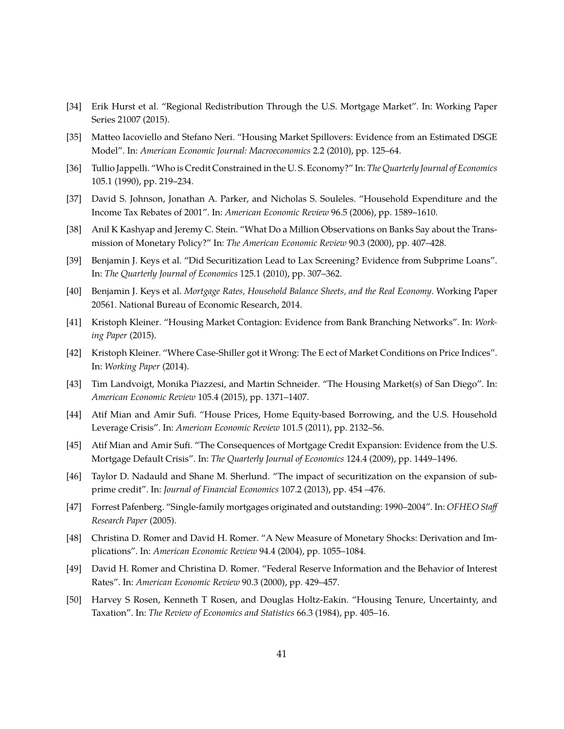- <span id="page-41-1"></span>[34] Erik Hurst et al. "Regional Redistribution Through the U.S. Mortgage Market". In: Working Paper Series 21007 (2015).
- <span id="page-41-5"></span>[35] Matteo Iacoviello and Stefano Neri. "Housing Market Spillovers: Evidence from an Estimated DSGE Model". In: *American Economic Journal: Macroeconomics* 2.2 (2010), pp. 125–64.
- <span id="page-41-9"></span>[36] Tullio Jappelli. "Who is Credit Constrained in the U. S. Economy?" In: *The Quarterly Journal of Economics* 105.1 (1990), pp. 219–234.
- <span id="page-41-10"></span>[37] David S. Johnson, Jonathan A. Parker, and Nicholas S. Souleles. "Household Expenditure and the Income Tax Rebates of 2001". In: *American Economic Review* 96.5 (2006), pp. 1589–1610.
- <span id="page-41-13"></span>[38] Anil K Kashyap and Jeremy C. Stein. "What Do a Million Observations on Banks Say about the Transmission of Monetary Policy?" In: *The American Economic Review* 90.3 (2000), pp. 407–428.
- <span id="page-41-7"></span>[39] Benjamin J. Keys et al. "Did Securitization Lead to Lax Screening? Evidence from Subprime Loans". In: *The Quarterly Journal of Economics* 125.1 (2010), pp. 307–362.
- <span id="page-41-0"></span>[40] Benjamin J. Keys et al. *Mortgage Rates, Household Balance Sheets, and the Real Economy*. Working Paper 20561. National Bureau of Economic Research, 2014.
- <span id="page-41-4"></span>[41] Kristoph Kleiner. "Housing Market Contagion: Evidence from Bank Branching Networks". In: *Working Paper* (2015).
- <span id="page-41-15"></span>[42] Kristoph Kleiner. "Where Case-Shiller got it Wrong: The E ect of Market Conditions on Price Indices". In: *Working Paper* (2014).
- <span id="page-41-3"></span>[43] Tim Landvoigt, Monika Piazzesi, and Martin Schneider. "The Housing Market(s) of San Diego". In: *American Economic Review* 105.4 (2015), pp. 1371–1407.
- <span id="page-41-2"></span>[44] Atif Mian and Amir Sufi. "House Prices, Home Equity-based Borrowing, and the U.S. Household Leverage Crisis". In: *American Economic Review* 101.5 (2011), pp. 2132–56.
- <span id="page-41-6"></span>[45] Atif Mian and Amir Sufi. "The Consequences of Mortgage Credit Expansion: Evidence from the U.S. Mortgage Default Crisis". In: *The Quarterly Journal of Economics* 124.4 (2009), pp. 1449–1496.
- <span id="page-41-8"></span>[46] Taylor D. Nadauld and Shane M. Sherlund. "The impact of securitization on the expansion of subprime credit". In: *Journal of Financial Economics* 107.2 (2013), pp. 454 –476.
- <span id="page-41-14"></span>[47] Forrest Pafenberg. "Single-family mortgages originated and outstanding: 1990–2004". In: *OFHEO Staff Research Paper* (2005).
- <span id="page-41-11"></span>[48] Christina D. Romer and David H. Romer. "A New Measure of Monetary Shocks: Derivation and Implications". In: *American Economic Review* 94.4 (2004), pp. 1055–1084.
- <span id="page-41-12"></span>[49] David H. Romer and Christina D. Romer. "Federal Reserve Information and the Behavior of Interest Rates". In: *American Economic Review* 90.3 (2000), pp. 429–457.
- <span id="page-41-16"></span>[50] Harvey S Rosen, Kenneth T Rosen, and Douglas Holtz-Eakin. "Housing Tenure, Uncertainty, and Taxation". In: *The Review of Economics and Statistics* 66.3 (1984), pp. 405–16.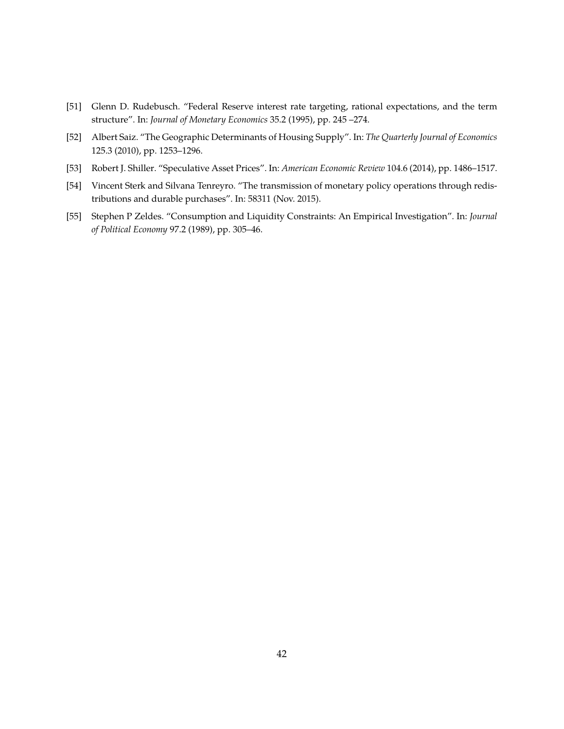- <span id="page-42-3"></span>[51] Glenn D. Rudebusch. "Federal Reserve interest rate targeting, rational expectations, and the term structure". In: *Journal of Monetary Economics* 35.2 (1995), pp. 245 –274.
- <span id="page-42-1"></span>[52] Albert Saiz. "The Geographic Determinants of Housing Supply". In: *The Quarterly Journal of Economics* 125.3 (2010), pp. 1253–1296.
- <span id="page-42-4"></span>[53] Robert J. Shiller. "Speculative Asset Prices". In: *American Economic Review* 104.6 (2014), pp. 1486–1517.
- <span id="page-42-0"></span>[54] Vincent Sterk and Silvana Tenreyro. "The transmission of monetary policy operations through redistributions and durable purchases". In: 58311 (Nov. 2015).
- <span id="page-42-2"></span>[55] Stephen P Zeldes. "Consumption and Liquidity Constraints: An Empirical Investigation". In: *Journal of Political Economy* 97.2 (1989), pp. 305–46.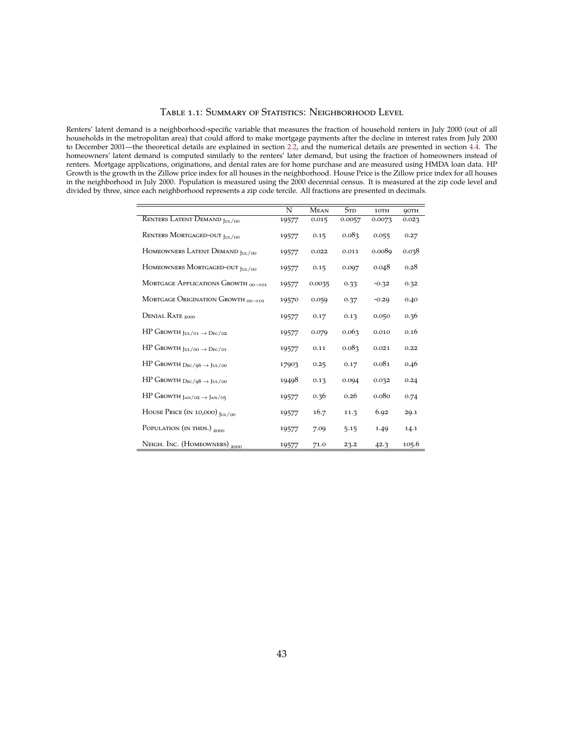# Table 1.1: Summary of Statistics: Neighborhood Level

<span id="page-43-0"></span>Renters' latent demand is a neighborhood-specific variable that measures the fraction of household renters in July 2000 (out of all households in the metropolitan area) that could afford to make mortgage payments after the decline in interest rates from July 2000 to December 2001—the theoretical details are explained in section [2.2,](#page-9-0) and the numerical details are presented in section [4.4.](#page-26-0) The homeowners' latent demand is computed similarly to the renters' later demand, but using the fraction of homeowners instead of renters. Mortgage applications, originations, and denial rates are for home purchase and are measured using HMDA loan data. HP Growth is the growth in the Zillow price index for all houses in the neighborhood. House Price is the Zillow price index for all houses in the neighborhood in July 2000. Population is measured using the 2000 decennial census. It is measured at the zip code level and divided by three, since each neighborhood represents a zip code tercile. All fractions are presented in decimals.

|                                                             | N     | <b>MEAN</b> | <b>STD</b> | 10TH    | <b>90TH</b> |
|-------------------------------------------------------------|-------|-------------|------------|---------|-------------|
| RENTERS LATENT DEMAND JUL/00                                | 19577 | 0.015       | 0.0057     | 0.0073  | 0.023       |
| RENTERS MORTGAGED-OUT JUL/00                                | 19577 | 0.15        | 0.083      | 0.055   | 0.27        |
| HOMEOWNERS LATENT DEMAND JUL/00                             | 19577 | 0.022       | 0.011      | 0.0089  | 0.038       |
| HOMEOWNERS MORTGAGED-OUT JUL/00                             | 19577 | 0.15        | 0.097      | 0.048   | 0.28        |
| MORTGAGE APPLICATIONS GROWTH $_{00\rightarrow01}$           | 19577 | 0.0035      | 0.33       | $-0.32$ | 0.32        |
| MORTGAGE ORIGINATION GROWTH $_{00\rightarrow01}$            | 19570 | 0.059       | 0.37       | $-0.29$ | 0.40        |
| DENIAL RATE 2000                                            | 19577 | 0.17        | 0.13       | 0.050   | 0.36        |
| $HP$ Growth $_{\rm JUL/01}$ $\rightarrow$ $\rm{Dec/o2}$     | 19577 | 0.079       | 0.063      | 0.010   | 0.16        |
| $HP$ Growth $_{\rm JUL/00}$ $\rightarrow$ $\rm Dec/01$      | 19577 | 0.11        | 0.083      | 0.021   | 0.22        |
| $HP$ Growth $_{\rm Dec/96\rightarrow\,Jut/00}$              | 17903 | 0.25        | 0.17       | 0.081   | 0.46        |
| $HP$ Growth $_{\mathrm{Dec}/98\rightarrow \mathrm{Jut/00}}$ | 19498 | 0.13        | 0.094      | 0.032   | 0.24        |
| HP GROWTH $_{\rm{JAN}/02}\rightarrow$ Jan/05                | 19577 | 0.36        | 0.26       | 0.080   | 0.74        |
| HOUSE PRICE (IN 10,000) $_{\text{IUL/00}}$                  | 19577 | 16.7        | 11.3       | 6.92    | 29.1        |
| POPULATION (IN THDS.) 2000                                  | 19577 | 7.09        | 5.15       | 1.49    | 14.1        |
| NEIGH. INC. (HOMEOWNERS) 2000                               | 19577 | 71.0        | 23.2       | 42.3    | 105.6       |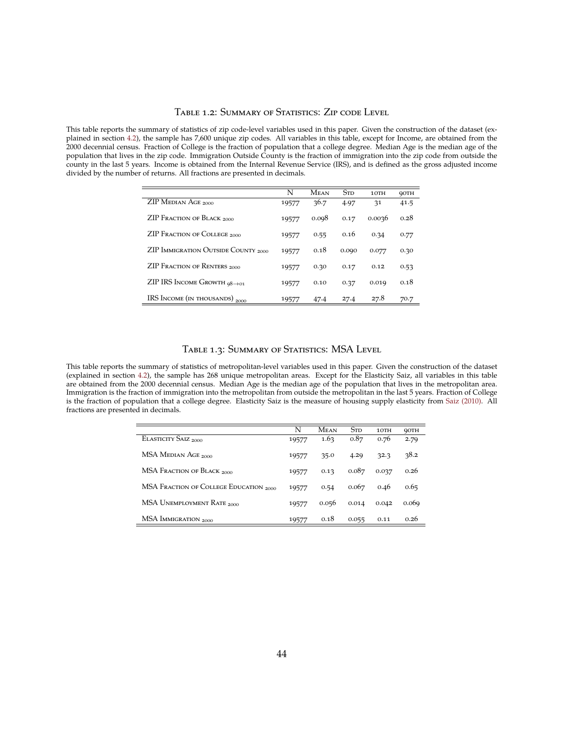# Table 1.2: Summary of Statistics: Zip code Level

<span id="page-44-1"></span>This table reports the summary of statistics of zip code-level variables used in this paper. Given the construction of the dataset (ex-plained in section [4.2\)](#page-25-0), the sample has 7,600 unique zip codes. All variables in this table, except for Income, are obtained from the 2000 decennial census. Fraction of College is the fraction of population that a college degree. Median Age is the median age of the population that lives in the zip code. Immigration Outside County is the fraction of immigration into the zip code from outside the county in the last 5 years. Income is obtained from the Internal Revenue Service (IRS), and is defined as the gross adjusted income divided by the number of returns. All fractions are presented in decimals.

|                                             | Ν     | <b>MEAN</b> | <b>STD</b> | 10TH   | <b>90TH</b> |
|---------------------------------------------|-------|-------------|------------|--------|-------------|
| ZIP MEDIAN AGE $_{2000}$                    | 19577 | 36.7        | 4.97       | 31     | 41.5        |
| ZIP Fraction of Black $_{2000}$             | 19577 | 0.098       | 0.17       | 0.0036 | 0.28        |
| ZIP FRACTION OF COLLEGE 2000                | 19577 | 0.55        | 0.16       | 0.34   | 0.77        |
| ZIP IMMIGRATION OUTSIDE COUNTY 2000         | 19577 | 0.18        | 0.090      | 0.077  | 0.30        |
| ZIP FRACTION OF RENTERS 2000                | 19577 | 0.30        | 0.17       | 0.12   | 0.53        |
| ZIP IRS INCOME GROWTH $_{98\rightarrow 01}$ | 19577 | 0.10        | 0.37       | 0.019  | 0.18        |
| IRS INCOME (IN THOUSANDS) <sub>2000</sub>   | 19577 | 47.4        | 27.4       | 27.8   | 70.7        |

# Table 1.3: Summary of Statistics: MSA Level

<span id="page-44-0"></span>This table reports the summary of statistics of metropolitan-level variables used in this paper. Given the construction of the dataset (explained in section [4.2\)](#page-25-0), the sample has 268 unique metropolitan areas. Except for the Elasticity Saiz, all variables in this table are obtained from the 2000 decennial census. Median Age is the median age of the population that lives in the metropolitan area. Immigration is the fraction of immigration into the metropolitan from outside the metropolitan in the last 5 years. Fraction of College is the fraction of population that a college degree. Elasticity Saiz is the measure of housing supply elasticity from [Saiz \(2010\).](#page-42-1) All fractions are presented in decimals.

|                                        | N     | Mean  | Std.  | 10TH  | <b>90TH</b> |
|----------------------------------------|-------|-------|-------|-------|-------------|
| ELASTICITY SAIZ 2000                   | 19577 | 1.63  | 0.87  | 0.76  | 2.79        |
| MSA MEDIAN AGE 2000                    | 19577 | 35.0  | 4.29  | 32.3  | 38.2        |
| MSA FRACTION OF BLACK 2000             | 19577 | 0.13  | 0.087 | 0.037 | 0.26        |
| MSA FRACTION OF COLLEGE EDUCATION 2000 | 19577 | 0.54  | 0.067 | 0.46  | 0.65        |
| MSA UNEMPLOYMENT RATE 2000             | 19577 | 0.056 | 0.014 | 0.042 | 0.069       |
| MSA IMMIGRATION 2000                   | 19577 | 0.18  | 0.055 | 0.11  | 0.26        |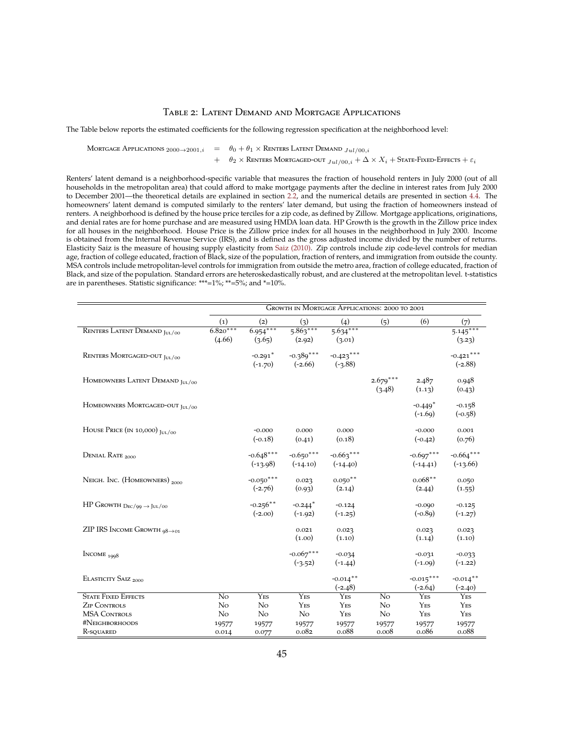## Table 2: Latent Demand and Mortgage Applications

The Table below reports the estimated coefficients for the following regression specification at the neighborhood level:

Mortgage Applications  $_{2000\rightarrow 2001,i}$  =  $\theta_0 + \theta_1 \times$  Renters Latent Demand  $_{Jul/00,i}$ +  $\theta_2 \times$  Renters Mortgaged-out  $_{Jul/00,i} + \Delta \times X_i +$  State-Fixed-Effects +  $\varepsilon_i$ 

Renters' latent demand is a neighborhood-specific variable that measures the fraction of household renters in July 2000 (out of all households in the metropolitan area) that could afford to make mortgage payments after the decline in interest rates from July 2000 to December 2001—the theoretical details are explained in section [2.2,](#page-9-0) and the numerical details are presented in section [4.4.](#page-26-0) The homeowners' latent demand is computed similarly to the renters' later demand, but using the fraction of homeowners instead of renters. A neighborhood is defined by the house price terciles for a zip code, as defined by Zillow. Mortgage applications, originations, and denial rates are for home purchase and are measured using HMDA loan data. HP Growth is the growth in the Zillow price index for all houses in the neighborhood. House Price is the Zillow price index for all houses in the neighborhood in July 2000. Income is obtained from the Internal Revenue Service (IRS), and is defined as the gross adjusted income divided by the number of returns. Elasticity Saiz is the measure of housing supply elasticity from [Saiz \(2010\).](#page-42-1) Zip controls include zip code-level controls for median age, fraction of college educated, fraction of Black, size of the population, fraction of renters, and immigration from outside the county. MSA controls include metropolitan-level controls for immigration from outside the metro area, fraction of college educated, fraction of Black, and size of the population. Standard errors are heteroskedastically robust, and are clustered at the metropolitan level. t-statistics are in parentheses. Statistic significance: \*\*\*=1%; \*\*=5%; and \*=10%.

|                                                  | <b>GROWTH IN MORTGAGE APPLICATIONS: 2000 TO 2001</b> |                           |                                    |                           |                      |                           |                           |
|--------------------------------------------------|------------------------------------------------------|---------------------------|------------------------------------|---------------------------|----------------------|---------------------------|---------------------------|
|                                                  | (1)                                                  | (2)                       | (3)                                | (4)                       | (5)                  | (6)                       | (7)                       |
| RENTERS LATENT DEMAND IUL/00                     | $6.820***$<br>(4.66)                                 | $6.954***$<br>(3.65)      | $5.863***$<br>(2.92)               | $5.634***$<br>(3.01)      |                      |                           | $5.145***$<br>(3.23)      |
| RENTERS MORTGAGED-OUT JUL/00                     |                                                      | $-0.291*$<br>$(-1.70)$    | $-0.389***$<br>$(-2.66)$           | $-0.423***$<br>$(-3.88)$  |                      |                           | $-0.421***$<br>$(-2.88)$  |
| HOMEOWNERS LATENT DEMAND JUL/00                  |                                                      |                           |                                    |                           | $2.679***$<br>(3.48) | 2.487<br>(1.13)           | 0.948<br>(0.43)           |
| HOMEOWNERS MORTGAGED-OUT IUL/00                  |                                                      |                           |                                    |                           |                      | $-0.449*$<br>$(-1.69)$    | $-0.158$<br>$(-0.58)$     |
| HOUSE PRICE (IN 10,000) $_{\text{JUL/00}}$       |                                                      | $-0.000$<br>$(-0.18)$     | 0.000<br>(0.41)                    | 0.000<br>(0.18)           |                      | $-0.000$<br>$(-0.42)$     | 0.001<br>(0.76)           |
| DENIAL RATE 2000                                 |                                                      | $-0.648***$<br>$(-13.98)$ | $-0.650***$<br>$(-14.10)$          | $-0.663***$<br>$(-14.40)$ |                      | $-0.697***$<br>$(-14.41)$ | $-0.664***$<br>$(-13.66)$ |
| NEIGH. INC. (HOMEOWNERS) 2000                    |                                                      | $-0.050***$<br>$(-2.76)$  | 0.023<br>(0.93)                    | $0.050***$<br>(2.14)      |                      | $0.068**$<br>(2.44)       | 0.050<br>(1.55)           |
| HP GROWTH $_{\mathrm{Dec}/99}\rightarrow$ Jul/00 |                                                      | $-0.256**$<br>$(-2.00)$   | $-0.244$ <sup>*</sup><br>$(-1.92)$ | $-0.124$<br>$(-1.25)$     |                      | $-0.090$<br>$(-0.89)$     | $-0.125$<br>$(-1.27)$     |
| ZIP IRS INCOME GROWTH $_{98\rightarrow01}$       |                                                      |                           | 0.021<br>(1.00)                    | 0.023<br>(1.10)           |                      | 0.023<br>(1.14)           | 0.023<br>(1.10)           |
| $INCOME_{1998}$                                  |                                                      |                           | $-0.067***$<br>$(-3.52)$           | $-0.034$<br>$(-1.44)$     |                      | $-0.031$<br>$(-1.09)$     | $-0.033$<br>$(-1.22)$     |
| ELASTICITY SAIZ 2000                             |                                                      |                           |                                    | $-0.014***$<br>$(-2.48)$  |                      | $-0.015***$<br>$(-2.64)$  | $-0.014***$<br>$(-2.40)$  |
| <b>STATE FIXED EFFECTS</b>                       | $\overline{No}$                                      | $Y_{ES}$                  | $\overline{Y_{ES}}$                | $\overline{Y_{ES}}$       | $\overline{No}$      | $\overline{Y_{ES}}$       | <b>YES</b>                |
| <b>ZIP CONTROLS</b>                              | No                                                   | No                        | <b>YES</b>                         | $Y_{ES}$                  | No                   | Yes                       | Yes                       |
| <b>MSA CONTROLS</b>                              | No                                                   | No                        | No                                 | <b>YES</b>                | No                   | <b>YES</b>                | $Y_{ES}$                  |
| #NEIGHBORHOODS<br>R-SQUARED                      | 19577<br>0.014                                       | 19577<br>0.077            | 19577<br>0.082                     | 19577<br>0.088            | 19577<br>0.008       | 19577<br>0.086            | 19577<br>0.088            |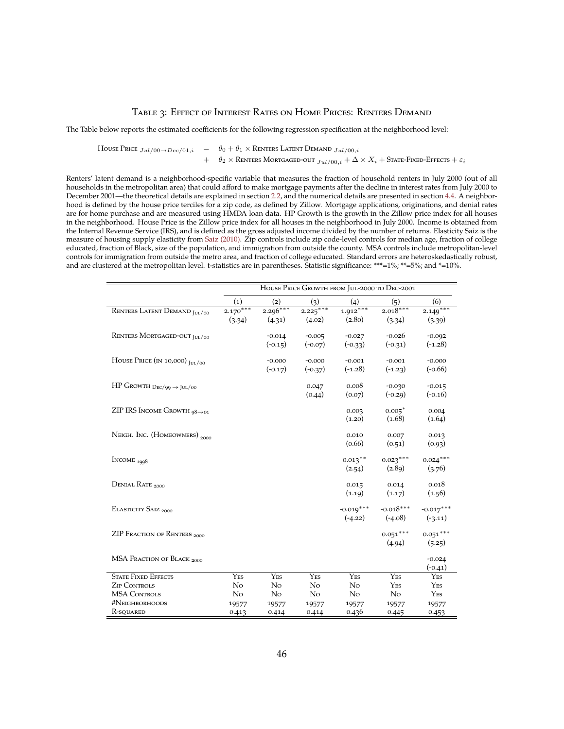#### Table 3: Effect of Interest Rates on Home Prices: Renters Demand

The Table below reports the estimated coefficients for the following regression specification at the neighborhood level:

House Price  $_{Jul/00\rightarrow Dec/01,i}$  =  $\theta_0 + \theta_1 \times$  Renters Latent Demand  $_{Jul/00,i}$  $+$   $\theta_2 \times$  Renters Mortgaged-out  $_{Jul/00,i} + \Delta \times X_i +$  State-Fixed-Effects  $+ \varepsilon_i$ 

Renters' latent demand is a neighborhood-specific variable that measures the fraction of household renters in July 2000 (out of all households in the metropolitan area) that could afford to make mortgage payments after the decline in interest rates from July 2000 to December 2001—the theoretical details are explained in section [2.2,](#page-9-0) and the numerical details are presented in section [4.4.](#page-26-0) A neighborhood is defined by the house price terciles for a zip code, as defined by Zillow. Mortgage applications, originations, and denial rates are for home purchase and are measured using HMDA loan data. HP Growth is the growth in the Zillow price index for all houses in the neighborhood. House Price is the Zillow price index for all houses in the neighborhood in July 2000. Income is obtained from the Internal Revenue Service (IRS), and is defined as the gross adjusted income divided by the number of returns. Elasticity Saiz is the measure of housing supply elasticity from [Saiz \(2010\).](#page-42-1) Zip controls include zip code-level controls for median age, fraction of college educated, fraction of Black, size of the population, and immigration from outside the county. MSA controls include metropolitan-level controls for immigration from outside the metro area, and fraction of college educated. Standard errors are heteroskedastically robust, and are clustered at the metropolitan level. t-statistics are in parentheses. Statistic significance: \*\*\*=1%; \*\*=5%; and \*=10%.

|                                                       | HOUSE PRICE GROWTH FROM JUL-2000 TO DEC-2001 |            |            |                     |             |             |
|-------------------------------------------------------|----------------------------------------------|------------|------------|---------------------|-------------|-------------|
|                                                       | (1)                                          | (2)        | (3)        | (4)                 | (5)         | (6)         |
| RENTERS LATENT DEMAND JUL/00                          | $2.170***$                                   | $2.296***$ | $2.225***$ | $1.912***$          | $2.018***$  | $2.149***$  |
|                                                       | (3.34)                                       | (4.31)     | (4.02)     | (2.80)              | (3.34)      | (3.39)      |
| RENTERS MORTGAGED-OUT JUL/00                          |                                              | $-0.014$   | $-0.005$   | $-0.027$            | $-0.026$    | $-0.092$    |
|                                                       |                                              | $(-0.15)$  | $(-0.07)$  | $(-0.33)$           | $(-0.31)$   | $(-1.28)$   |
| HOUSE PRICE (IN 10,000) $_{\text{JUL/00}}$            |                                              | $-0.000$   | $-0.000$   | $-0.001$            | $-0.001$    | $-0.000$    |
|                                                       |                                              | $(-0.17)$  | $(-0.37)$  | $(-1.28)$           | $(-1.23)$   | $(-0.66)$   |
| $HP$ Growth $_{\mathrm{Dec}/99}$ $\rightarrow$ Jul/00 |                                              |            | 0.047      | 0.008               | $-0.030$    | $-0.015$    |
|                                                       |                                              |            | (0.44)     | (0.07)              | $(-0.29)$   | $(-0.16)$   |
| ZIP IRS INCOME GROWTH $_{98\rightarrow01}$            |                                              |            |            | 0.003               | $0.005*$    | 0.004       |
|                                                       |                                              |            |            | (1.20)              | (1.68)      | (1.64)      |
| NEIGH. INC. (HOMEOWNERS) 2000                         |                                              |            |            | 0.010               | 0.007       | 0.013       |
|                                                       |                                              |            |            | (0.66)              | (0.51)      | (0.93)      |
| INCOME $_{1998}$                                      |                                              |            |            | $0.013***$          | $0.023***$  | $0.024***$  |
|                                                       |                                              |            |            | (2.54)              | (2.89)      | (3.76)      |
| DENIAL RATE 2000                                      |                                              |            |            | 0.015               | 0.014       | 0.018       |
|                                                       |                                              |            |            | (1.19)              | (1.17)      | (1.56)      |
| ELASTICITY SAIZ 2000                                  |                                              |            |            | $-0.019***$         | $-0.018***$ | $-0.017***$ |
|                                                       |                                              |            |            | $(-4.22)$           | $(-4.08)$   | $(-3.11)$   |
| <b>ZIP FRACTION OF RENTERS 2000</b>                   |                                              |            |            |                     | $0.051***$  | $0.051***$  |
|                                                       |                                              |            |            |                     | (4.94)      | (5.25)      |
| MSA FRACTION OF BLACK 2000                            |                                              |            |            |                     |             | $-0.024$    |
|                                                       |                                              |            |            |                     |             | $(-0.41)$   |
| <b>STATE FIXED EFFECTS</b>                            | $Y_{ES}$                                     | <b>YES</b> | $Y_{ES}$   | $\overline{Y_{ES}}$ | $Y_{ES}$    | $Y_{ES}$    |
| <b>ZIP CONTROLS</b>                                   | No                                           | No         | No         | No                  | <b>YES</b>  | Yes         |
| <b>MSA CONTROLS</b>                                   | No                                           | No         | No         | No                  | No          | Yes         |
| #NEIGHBORHOODS                                        | 19577                                        | 19577      | 19577      | 19577               | 19577       | 19577       |
| R-SQUARED                                             | 0.413                                        | 0.414      | 0.414      | 0.436               | 0.445       | 0.453       |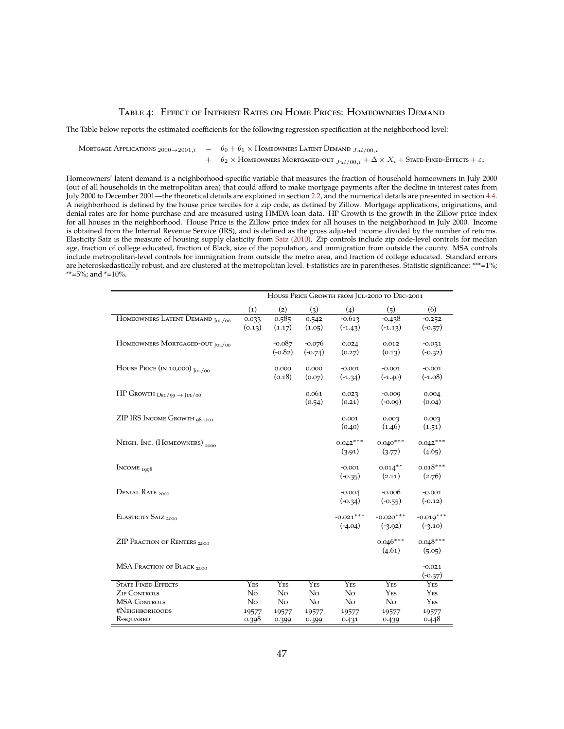#### Table 4: Effect of Interest Rates on Home Prices: Homeowners Demand

<span id="page-47-0"></span>The Table below reports the estimated coefficients for the following regression specification at the neighborhood level:

Mortgage Applications  $_{2000\rightarrow 2001,i}$  =  $\theta_0 + \theta_1 \times$  Homeowners Latent Demand  $_{Jul/00,i}$ 

+  $\theta_2 \times$  Homeowners Mortgaged-out  $_{Jul/00,i} + \Delta \times X_i +$  State-Fixed-Effects +  $\varepsilon_i$ 

Homeowners' latent demand is a neighborhood-specific variable that measures the fraction of household homeowners in July 2000 (out of all households in the metropolitan area) that could afford to make mortgage payments after the decline in interest rates from July 2000 to December 2001—the theoretical details are explained in section [2.2,](#page-9-0) and the numerical details are presented in section [4.4.](#page-26-0) A neighborhood is defined by the house price terciles for a zip code, as defined by Zillow. Mortgage applications, originations, and denial rates are for home purchase and are measured using HMDA loan data. HP Growth is the growth in the Zillow price index for all houses in the neighborhood. House Price is the Zillow price index for all houses in the neighborhood in July 2000. Income is obtained from the Internal Revenue Service (IRS), and is defined as the gross adjusted income divided by the number of returns. Elasticity Saiz is the measure of housing supply elasticity from [Saiz \(2010\).](#page-42-1) Zip controls include zip code-level controls for median age, fraction of college educated, fraction of Black, size of the population, and immigration from outside the county. MSA controls include metropolitan-level controls for immigration from outside the metro area, and fraction of college educated. Standard errors are heteroskedastically robust, and are clustered at the metropolitan level. t-statistics are in parentheses. Statistic significance: \*\*\*=1%; \*\*=5%; and \*=10%.

|                                                | HOUSE PRICE GROWTH FROM JUL-2000 TO DEC-2001 |            |            |             |             |             |
|------------------------------------------------|----------------------------------------------|------------|------------|-------------|-------------|-------------|
|                                                | (1)                                          | (2)        | (3)        | (4)         | (5)         | (6)         |
| HOMEOWNERS LATENT DEMAND JUL/00                | 0.033                                        | 0.585      | 0.542      | $-0.613$    | $-0.438$    | $-0.252$    |
|                                                | (0.13)                                       | (1.17)     | (1.05)     | $(-1.43)$   | $(-1.13)$   | $(-0.57)$   |
| HOMEOWNERS MORTGAGED-OUT JUL/00                |                                              | $-0.087$   | $-0.076$   | 0.024       | 0.012       | $-0.031$    |
|                                                |                                              | $(-0.82)$  | $(-0.74)$  | (0.27)      | (0.13)      | $(-0.32)$   |
| HOUSE PRICE (IN 10,000) $_{\text{IUL/00}}$     |                                              | 0.000      | 0.000      | $-0.001$    | $-0.001$    | $-0.001$    |
|                                                |                                              | (0.18)     | (0.07)     | $(-1.34)$   | $(-1.40)$   | $(-1.08)$   |
| HP GROWTH $_{\rm Dec/99}$ $\rightarrow$ Jul/00 |                                              |            | 0.061      | 0.023       | $-0.009$    | 0.004       |
|                                                |                                              |            | (0.54)     | (0.21)      | $(-0.09)$   | (0.04)      |
| ZIP IRS INCOME GROWTH $98 \rightarrow 01$      |                                              |            |            | 0.001       | 0.003       | 0.003       |
|                                                |                                              |            |            | (0.40)      | (1.46)      | (1.51)      |
| NEIGH. INC. (HOMEOWNERS) 2000                  |                                              |            |            | $0.042***$  | $0.040***$  | $0.042***$  |
|                                                |                                              |            |            | (3.91)      | (3.77)      | (4.65)      |
| INCOME <sub>1998</sub>                         |                                              |            |            | $-0.001$    | $0.014***$  | $0.018***$  |
|                                                |                                              |            |            | $(-0.35)$   | (2.11)      | (2.76)      |
| DENIAL RATE 2000                               |                                              |            |            | $-0.004$    | $-0.006$    | $-0.001$    |
|                                                |                                              |            |            | $(-0.34)$   | $(-0.55)$   | $(-0.12)$   |
| ELASTICITY SAIZ 2000                           |                                              |            |            | $-0.021***$ | $-0.020***$ | $-0.019***$ |
|                                                |                                              |            |            | $(-4.04)$   | $(-3.92)$   | $(-3.10)$   |
| <b>ZIP FRACTION OF RENTERS 2000</b>            |                                              |            |            |             | $0.046***$  | $0.048***$  |
|                                                |                                              |            |            |             | (4.61)      | (5.05)      |
| MSA FRACTION OF BLACK 2000                     |                                              |            |            |             |             | $-0.021$    |
|                                                |                                              |            |            |             |             | $(-0.37)$   |
| <b>STATE FIXED EFFECTS</b>                     | $Y_{ES}$                                     | <b>YES</b> | <b>YES</b> | <b>YES</b>  | <b>YES</b>  | $Y_{ES}$    |
| <b>ZIP CONTROLS</b>                            | No                                           | No         | No         | No          | $Y_{ES}$    | Yes         |
| <b>MSA CONTROLS</b>                            | No                                           | No         | No         | No          | No          | $Y_{ES}$    |
| #NEIGHBORHOODS                                 | 19577                                        | 19577      | 19577      | 19577       | 19577       | 19577       |
| R-SQUARED                                      | 0.398                                        | 0.399      | 0.399      | 0.431       | 0.439       | 0.448       |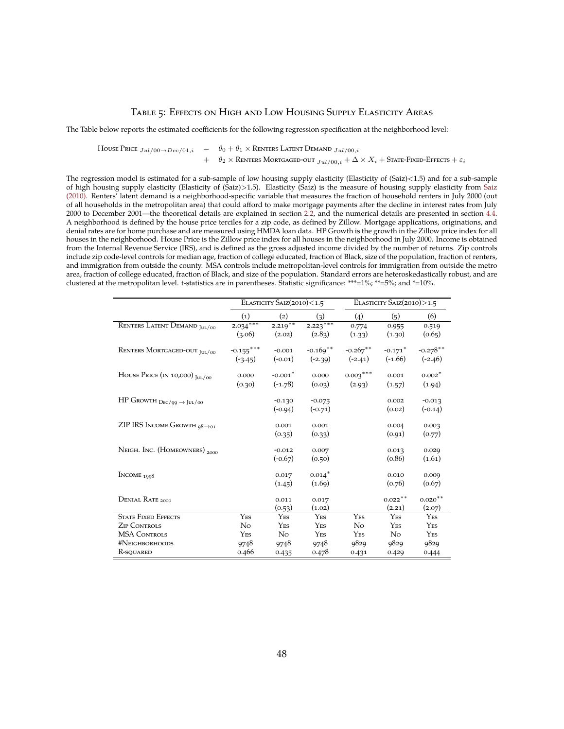## Table 5: Effects on High and Low Housing Supply Elasticity Areas

<span id="page-48-0"></span>The Table below reports the estimated coefficients for the following regression specification at the neighborhood level:

House Price  $_{Jul/00\rightarrow Dec/01,i}$  =  $\theta_0 + \theta_1 \times$  Renters Latent Demand  $_{Jul/00,i}$ 

 $+ \quad \theta_2 \times \text{Renters Morigaged-out}_{Jul/00,i} + \Delta \times X_i + \text{State-Fixed-Effects} + \varepsilon_i$ 

The regression model is estimated for a sub-sample of low housing supply elasticity (Elasticity of (Saiz)<1.5) and for a sub-sample of high housing supply elasticity (Elasticity of (Saiz)>1.5). Elasticity (Saiz) is the measure of housing supply elasticity from [Saiz](#page-42-1) [\(2010\).](#page-42-1) Renters' latent demand is a neighborhood-specific variable that measures the fraction of household renters in July 2000 (out of all households in the metropolitan area) that could afford to make mortgage payments after the decline in interest rates from July 2000 to December 2001—the theoretical details are explained in section [2.2,](#page-9-0) and the numerical details are presented in section [4.4.](#page-26-0) A neighborhood is defined by the house price terciles for a zip code, as defined by Zillow. Mortgage applications, originations, and denial rates are for home purchase and are measured using HMDA loan data. HP Growth is the growth in the Zillow price index for all houses in the neighborhood. House Price is the Zillow price index for all houses in the neighborhood in July 2000. Income is obtained from the Internal Revenue Service (IRS), and is defined as the gross adjusted income divided by the number of returns. Zip controls include zip code-level controls for median age, fraction of college educated, fraction of Black, size of the population, fraction of renters, and immigration from outside the county. MSA controls include metropolitan-level controls for immigration from outside the metro area, fraction of college educated, fraction of Black, and size of the population. Standard errors are heteroskedastically robust, and are clustered at the metropolitan level. t-statistics are in parentheses. Statistic significance: \*\*\*=1%; \*\*=5%; and \*=10%.

|                                                       |             | ELASTICITY SAIZ(2010)<1.5 |            | ELASTICITY SAIZ(2010)>1.5 |            |            |  |
|-------------------------------------------------------|-------------|---------------------------|------------|---------------------------|------------|------------|--|
|                                                       | (1)         | (2)                       | (3)        | (4)                       | (5)        | (6)        |  |
| <b>RENTERS LATENT DEMAND</b> JUL/00                   | $2.034***$  | $2.219**$                 | $2.223***$ | 0.774                     | 0.955      | 0.519      |  |
|                                                       | (3.06)      | (2.02)                    | (2.83)     | (1.33)                    | (1.30)     | (0.65)     |  |
| RENTERS MORTGAGED-OUT JUL/00                          | $-0.155***$ | $-0.001$                  | $-0.169**$ | $-0.267**$                | $-0.171*$  | $-0.278**$ |  |
|                                                       | $(-3.45)$   | $(-0.01)$                 | $(-2.39)$  | $(-2.41)$                 | $(-1.66)$  | $(-2.46)$  |  |
| HOUSE PRICE (IN 10,000) $_{\text{IUL/00}}$            | 0.000       | $-0.001*$                 | 0.000      | $0.003***$                | 0.001      | $0.002*$   |  |
|                                                       | (0.30)      | $(-1.78)$                 | (0.03)     | (2.93)                    | (1.57)     | (1.94)     |  |
| $HP$ Growth $_{\mathrm{Dec}/99}$ $\rightarrow$ Jul/00 |             | $-0.130$                  | $-0.075$   |                           | 0.002      | $-0.013$   |  |
|                                                       |             | $(-0.94)$                 | $(-0.71)$  |                           | (0.02)     | $(-0.14)$  |  |
| ZIP IRS INCOME GROWTH $98 \rightarrow 01$             |             | 0.001                     | 0.001      |                           | 0.004      | 0.003      |  |
|                                                       |             | (0.35)                    | (0.33)     |                           | (0.91)     | (0.77)     |  |
| NEIGH. INC. (HOMEOWNERS) 2000                         |             | $-0.012$                  | 0.007      |                           | 0.013      | 0.029      |  |
|                                                       |             | $(-0.67)$                 | (0.50)     |                           | (0.86)     | (1.61)     |  |
| INCOME $_{1998}$                                      |             | 0.017                     | $0.014*$   |                           | 0.010      | 0.009      |  |
|                                                       |             | (1.45)                    | (1.69)     |                           | (0.76)     | (0.67)     |  |
| DENIAL RATE 2000                                      |             | 0.011                     | 0.017      |                           | $0.022***$ | $0.020**$  |  |
|                                                       |             | (0.53)                    | (1.02)     |                           | (2.21)     | (2.07)     |  |
| <b>STATE FIXED EFFECTS</b>                            | YES         | YES                       | $Y_{ES}$   | <b>YES</b>                | Yes        | <b>YES</b> |  |
| <b>ZIP CONTROLS</b>                                   | No          | YES                       | Yes        | No                        | <b>YES</b> | Yes        |  |
| <b>MSA CONTROLS</b>                                   | <b>YES</b>  | No                        | Yes        | $Y_{ES}$                  | No         | Yes        |  |
| #NEIGHBORHOODS                                        | 9748        | 9748                      | 9748       | 9829                      | 9829       | 9829       |  |
| R-SQUARED                                             | 0.466       | 0.435                     | 0.478      | 0.431                     | 0.429      | 0.444      |  |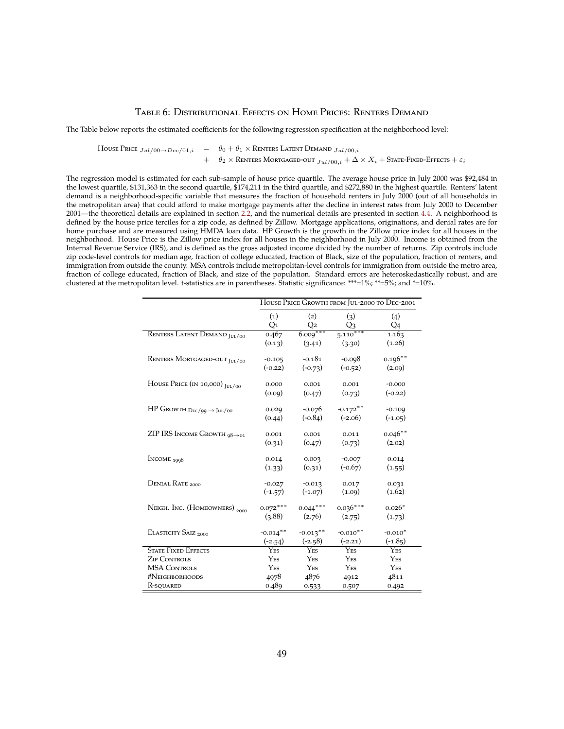## Table 6: Distributional Effects on Home Prices: Renters Demand

<span id="page-49-0"></span>The Table below reports the estimated coefficients for the following regression specification at the neighborhood level:

House Price  $_{Jul/00\rightarrow Dec/01,i}$  =  $\theta_0 + \theta_1 \times$  Renters Latent Demand  $_{Jul/00,i}$  $+ \quad \theta_2 \times \text{Renters Morigaged-out}_{Jul/00,i} + \Delta \times X_i + \text{State-Fixed-Effects} + \varepsilon_i$ 

The regression model is estimated for each sub-sample of house price quartile. The average house price in July 2000 was \$92,484 in the lowest quartile, \$131,363 in the second quartile, \$174,211 in the third quartile, and \$272,880 in the highest quartile. Renters' latent demand is a neighborhood-specific variable that measures the fraction of household renters in July 2000 (out of all households in the metropolitan area) that could afford to make mortgage payments after the decline in interest rates from July 2000 to December 2001—the theoretical details are explained in section [2.2,](#page-9-0) and the numerical details are presented in section [4.4.](#page-26-0) A neighborhood is defined by the house price terciles for a zip code, as defined by Zillow. Mortgage applications, originations, and denial rates are for home purchase and are measured using HMDA loan data. HP Growth is the growth in the Zillow price index for all houses in the neighborhood. House Price is the Zillow price index for all houses in the neighborhood in July 2000. Income is obtained from the Internal Revenue Service (IRS), and is defined as the gross adjusted income divided by the number of returns. Zip controls include zip code-level controls for median age, fraction of college educated, fraction of Black, size of the population, fraction of renters, and immigration from outside the county. MSA controls include metropolitan-level controls for immigration from outside the metro area, fraction of college educated, fraction of Black, and size of the population. Standard errors are heteroskedastically robust, and are clustered at the metropolitan level. t-statistics are in parentheses. Statistic significance: \*\*\*=1%; \*\*=5%; and \*=10%.

|                                                  | HOUSE PRICE GROWTH FROM JUL-2000 TO DEC-2001 |             |            |            |  |  |
|--------------------------------------------------|----------------------------------------------|-------------|------------|------------|--|--|
|                                                  | (1)                                          | (2)         | (3)        | (4)        |  |  |
|                                                  | Q <sub>1</sub>                               | Q2          | Q3         | Q4         |  |  |
| RENTERS LATENT DEMAND JUL/00                     | 0.467                                        | $6.009***$  | $5.110***$ | 1.163      |  |  |
|                                                  | (0.13)                                       | (3.41)      | (3.30)     | (1.26)     |  |  |
| RENTERS MORTGAGED-OUT JUL/00                     | $-0.105$                                     | $-0.181$    | $-0.098$   | $0.196**$  |  |  |
|                                                  | $(-0.22)$                                    | $(-0.73)$   | $(-0.52)$  | (2.09)     |  |  |
| HOUSE PRICE (IN 10,000) $_{\text{JUL/00}}$       | 0.000                                        | 0.001       | 0.001      | $-0.000$   |  |  |
|                                                  | (0.09)                                       | (0.47)      | (0.73)     | $(-0.22)$  |  |  |
| $HP$ Growth $_{\rm Dec/99}$ $\rightarrow$ Jul/00 | 0.029                                        | $-0.076$    | $-0.172**$ | $-0.109$   |  |  |
|                                                  | (0.44)                                       | $(-0.84)$   | $(-2.06)$  | $(-1.05)$  |  |  |
| ZIP IRS INCOME GROWTH $_{98\rightarrow01}$       | 0.001                                        | 0.001       | 0.011      | $0.046**$  |  |  |
|                                                  | (0.31)                                       | (0.47)      | (0.73)     | (2.02)     |  |  |
| $INCOME_{1998}$                                  | 0.014                                        | 0.003       | $-0.007$   | 0.014      |  |  |
|                                                  | (1.33)                                       | (0.31)      | $(-0.67)$  | (1.55)     |  |  |
| DENIAL RATE 2000                                 | $-0.027$                                     | $-0.013$    | 0.017      | 0.031      |  |  |
|                                                  | $(-1.57)$                                    | $(-1.07)$   | (1.09)     | (1.62)     |  |  |
| NEIGH. INC. (HOMEOWNERS) 2000                    | $0.072***$                                   | $0.044***$  | $0.036***$ | $0.026*$   |  |  |
|                                                  | (3.88)                                       | (2.76)      | (2.75)     | (1.73)     |  |  |
| ELASTICITY SAIZ 2000                             | $-0.014***$                                  | $-0.013***$ | $-0.010**$ | $-0.010*$  |  |  |
|                                                  | $(-2.54)$                                    | $(-2.58)$   | $(-2.21)$  | $(-1.85)$  |  |  |
| <b>STATE FIXED EFFECTS</b>                       | <b>YES</b>                                   | $Y_{ES}$    | $Y_{ES}$   | YES        |  |  |
| <b>ZIP CONTROLS</b>                              | <b>YES</b>                                   | <b>YES</b>  | YES        | $Y_{ES}$   |  |  |
| <b>MSA CONTROLS</b>                              | $Y_{ES}$                                     | <b>YES</b>  | <b>YES</b> | <b>YES</b> |  |  |
| #NEIGHBORHOODS                                   | 4978                                         | 4876        | 4912       | 4811       |  |  |
| R-squared                                        | 0.489                                        | 0.533       | 0.507      | 0.492      |  |  |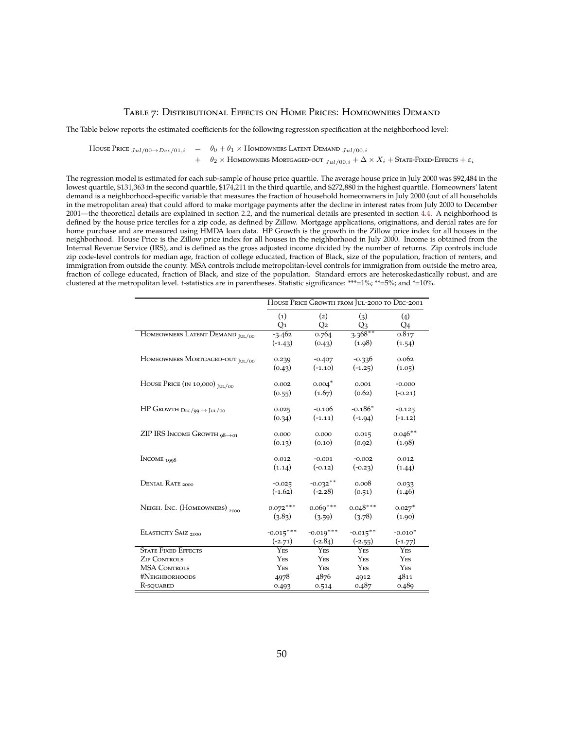## Table 7: Distributional Effects on Home Prices: Homeowners Demand

<span id="page-50-0"></span>The Table below reports the estimated coefficients for the following regression specification at the neighborhood level:

House Price  $J_{ul/00\to Dec/01,i}$  =  $\theta_0 + \theta_1 \times$  Homeowners Latent Demand  $J_{ul/00,i}$ 

 $+$   $\theta_2 \times$  Homeowners Mortgaged-out  $_{Jul/00,i} + \Delta \times X_i +$  State-Fixed-Effects  $+ \varepsilon_i$ 

The regression model is estimated for each sub-sample of house price quartile. The average house price in July 2000 was \$92,484 in the lowest quartile, \$131,363 in the second quartile, \$174,211 in the third quartile, and \$272,880 in the highest quartile. Homeowners' latent demand is a neighborhood-specific variable that measures the fraction of household homeonwners in July 2000 (out of all households in the metropolitan area) that could afford to make mortgage payments after the decline in interest rates from July 2000 to December 2001—the theoretical details are explained in section [2.2,](#page-9-0) and the numerical details are presented in section [4.4.](#page-26-0) A neighborhood is defined by the house price terciles for a zip code, as defined by Zillow. Mortgage applications, originations, and denial rates are for home purchase and are measured using HMDA loan data. HP Growth is the growth in the Zillow price index for all houses in the neighborhood. House Price is the Zillow price index for all houses in the neighborhood in July 2000. Income is obtained from the Internal Revenue Service (IRS), and is defined as the gross adjusted income divided by the number of returns. Zip controls include zip code-level controls for median age, fraction of college educated, fraction of Black, size of the population, fraction of renters, and immigration from outside the county. MSA controls include metropolitan-level controls for immigration from outside the metro area, fraction of college educated, fraction of Black, and size of the population. Standard errors are heteroskedastically robust, and are clustered at the metropolitan level. t-statistics are in parentheses. Statistic significance: \*\*\*=1%; \*\*=5%; and \*=10%.

|                                                           | HOUSE PRICE GROWTH FROM JUL-2000 TO DEC-2001 |             |             |            |  |
|-----------------------------------------------------------|----------------------------------------------|-------------|-------------|------------|--|
|                                                           | (1)                                          | (2)         | (3)         | (4)        |  |
|                                                           | $Q_1$                                        | Q2          | Q3          | Q4         |  |
| HOMEOWNERS LATENT DEMAND IUL/00                           | $-3.462$                                     | 0.764       | $3.368**$   | 0.817      |  |
|                                                           | $(-1.43)$                                    | (0.43)      | (1.98)      | (1.54)     |  |
| HOMEOWNERS MORTGAGED-OUT JUL/00                           | 0.239                                        | $-0.407$    | $-0.336$    | 0.062      |  |
|                                                           | (0.43)                                       | $(-1.10)$   | $(-1.25)$   | (1.05)     |  |
| HOUSE PRICE (IN 10,000) $_{\text{JUL/00}}$                | 0.002                                        | $0.004*$    | 0.001       | $-0.000$   |  |
|                                                           | (0.55)                                       | (1.67)      | (0.62)      | $(-0.21)$  |  |
| HP GROWTH $_{\mathrm{Dec}/99}\rightarrow \mathrm{Jut/60}$ | 0.025                                        | $-0.106$    | $-0.186*$   | $-0.125$   |  |
|                                                           | (0.34)                                       | $(-1.11)$   | $(-1.94)$   | $(-1.12)$  |  |
| ZIP IRS INCOME GROWTH $_{98\rightarrow01}$                | 0.000                                        | 0.000       | 0.015       | $0.046**$  |  |
|                                                           | (0.13)                                       | (0.10)      | (0.92)      | (1.98)     |  |
| INCOME 1998                                               | 0.012                                        | $-0.001$    | $-0.002$    | 0.012      |  |
|                                                           | (1.14)                                       | $(-0.12)$   | $(-0.23)$   | (1.44)     |  |
| DENIAL RATE 2000                                          | $-0.025$                                     | $-0.032**$  | 0.008       | 0.033      |  |
|                                                           | $(-1.62)$                                    | $(-2.28)$   | (0.51)      | (1.46)     |  |
| NEIGH. INC. (HOMEOWNERS) 2000                             | $0.072***$                                   | $0.069***$  | $0.048***$  | $0.027*$   |  |
|                                                           | (3.83)                                       | (3.59)      | (3.78)      | (1.90)     |  |
| ELASTICITY SAIZ 2000                                      | $-0.015***$                                  | $-0.019***$ | $-0.015***$ | $-0.010*$  |  |
|                                                           | $(-2.71)$                                    | $(-2.84)$   | $(-2.55)$   | $(-1.77)$  |  |
| <b>STATE FIXED EFFECTS</b>                                | <b>YES</b>                                   | <b>YES</b>  | <b>YES</b>  | <b>YES</b> |  |
| <b>ZIP CONTROLS</b>                                       | <b>YES</b>                                   | <b>YES</b>  | <b>YES</b>  | <b>YES</b> |  |
| <b>MSA CONTROLS</b>                                       | <b>YES</b>                                   | <b>YES</b>  | <b>YES</b>  | <b>YES</b> |  |
| #NEIGHBORHOODS                                            | 4978                                         | 4876        | 4912        | 4811       |  |
| R-SQUARED                                                 | 0.493                                        | 0.514       | 0.487       | 0.489      |  |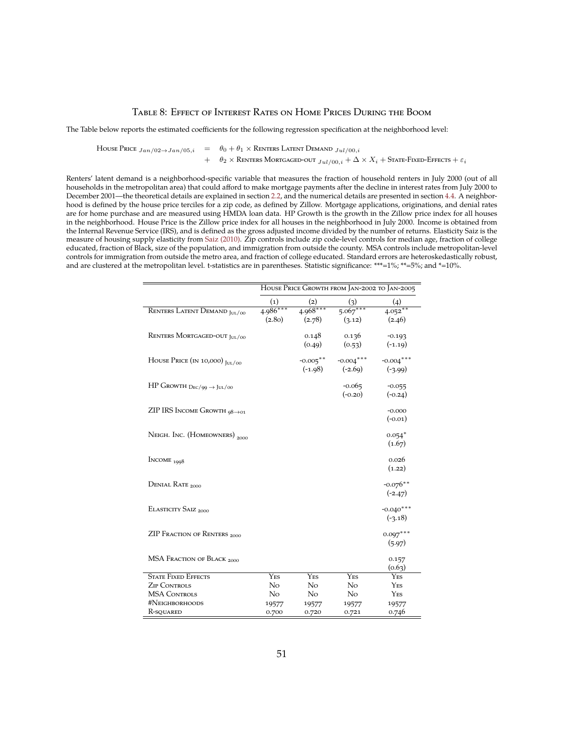## Table 8: Effect of Interest Rates on Home Prices During the Boom

<span id="page-51-0"></span>The Table below reports the estimated coefficients for the following regression specification at the neighborhood level:

House Price  $J_{an}/02 \rightarrow Jan/05,i = \theta_0 + \theta_1 \times$  Renters Latent Demand  $_{Jul/00,i}$ 

 $+ \quad \theta_2 \times \text{Renters Morigaged-out} \; j_{ul/00,i} + \Delta \times X_i + \text{State-Fixed-Effects} + \varepsilon_i$ 

Renters' latent demand is a neighborhood-specific variable that measures the fraction of household renters in July 2000 (out of all households in the metropolitan area) that could afford to make mortgage payments after the decline in interest rates from July 2000 to December 2001—the theoretical details are explained in section [2.2,](#page-9-0) and the numerical details are presented in section [4.4.](#page-26-0) A neighborhood is defined by the house price terciles for a zip code, as defined by Zillow. Mortgage applications, originations, and denial rates are for home purchase and are measured using HMDA loan data. HP Growth is the growth in the Zillow price index for all houses in the neighborhood. House Price is the Zillow price index for all houses in the neighborhood in July 2000. Income is obtained from the Internal Revenue Service (IRS), and is defined as the gross adjusted income divided by the number of returns. Elasticity Saiz is the measure of housing supply elasticity from [Saiz \(2010\).](#page-42-1) Zip controls include zip code-level controls for median age, fraction of college educated, fraction of Black, size of the population, and immigration from outside the county. MSA controls include metropolitan-level controls for immigration from outside the metro area, and fraction of college educated. Standard errors are heteroskedastically robust, and are clustered at the metropolitan level. t-statistics are in parentheses. Statistic significance: \*\*\*=1%; \*\*=5%; and \*=10%.

|                                                       | HOUSE PRICE GROWTH FROM JAN-2002 TO JAN-2005 |                          |                                  |                                 |  |
|-------------------------------------------------------|----------------------------------------------|--------------------------|----------------------------------|---------------------------------|--|
|                                                       | (1)                                          | (2)                      |                                  |                                 |  |
| <b>RENTERS LATENT DEMAND JUL/00</b>                   | $4.986***$<br>(2.80)                         | $4.968***$<br>(2.78)     | $\frac{(3)}{5.067***}$<br>(3.12) | $\frac{(4)}{4.052**}$<br>(2.46) |  |
| RENTERS MORTGAGED-OUT JUL/00                          |                                              | 0.148<br>(0.49)          | 0.136<br>(0.53)                  | $-0.193$<br>$(-1.19)$           |  |
| HOUSE PRICE (IN 10,000) $_{\text{IUL/00}}$            |                                              | $-0.005***$<br>$(-1.98)$ | $-0.004***$<br>$(-2.69)$         | $-0.004***$<br>$(-3.99)$        |  |
| $HP$ Growth $_{\mathrm{Dec}/99}$ $\rightarrow$ Jul/00 |                                              |                          | $-0.065$<br>$(-0.20)$            | $-0.055$<br>$(-0.24)$           |  |
| ZIP IRS INCOME GROWTH $_{98\rightarrow01}$            |                                              |                          |                                  | $-0.000$<br>$(-0.01)$           |  |
| NEIGH. INC. (HOMEOWNERS) 2000                         |                                              |                          |                                  | $0.054*$<br>(1.67)              |  |
| INCOME <sub>1998</sub>                                |                                              |                          |                                  | 0.026<br>(1.22)                 |  |
| DENIAL RATE 2000                                      |                                              |                          |                                  | $-0.076***$<br>$(-2.47)$        |  |
| ELASTICITY SAIZ 2000                                  |                                              |                          |                                  | $-0.040***$<br>$(-3.18)$        |  |
| <b>ZIP FRACTION OF RENTERS 2000</b>                   |                                              |                          |                                  | $0.097***$<br>(5.97)            |  |
| MSA FRACTION OF BLACK 2000                            |                                              |                          |                                  | 0.157<br>(0.63)                 |  |
| <b>STATE FIXED EFFECTS</b>                            | YES                                          | YES                      | $\rm \bar{Y}$ es                 | YES                             |  |
| <b>ZIP CONTROLS</b>                                   | No                                           | No                       | No                               | <b>YES</b>                      |  |
| <b>MSA CONTROLS</b>                                   | No                                           | No                       | No                               | Yes                             |  |
| #NEIGHBORHOODS                                        | 19577                                        | 19577                    | 19577                            | 19577                           |  |
| R-SQUARED                                             | 0.700                                        | 0.720                    | 0.721                            | 0.746                           |  |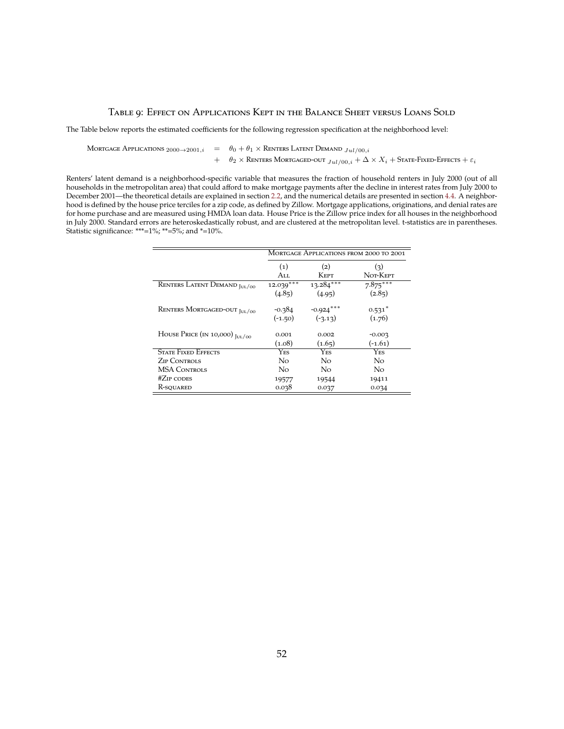## Table 9: Effect on Applications Kept in the Balance Sheet versus Loans Sold

<span id="page-52-0"></span>The Table below reports the estimated coefficients for the following regression specification at the neighborhood level:

Mortgage Applications  $_{2000\rightarrow 2001,i}$  =  $\theta_0 + \theta_1 \times$  Renters Latent Demand  $_{Jul/00,i}$ 

+  $\theta_2 \times$  Renters Mortgaged-out  $_{Jul/00,i} + \Delta \times X_i +$  State-Fixed-Effects +  $\varepsilon_i$ 

Renters' latent demand is a neighborhood-specific variable that measures the fraction of household renters in July 2000 (out of all households in the metropolitan area) that could afford to make mortgage payments after the decline in interest rates from July 2000 to December 2001—the theoretical details are explained in section [2.2,](#page-9-0) and the numerical details are presented in section [4.4.](#page-26-0) A neighborhood is defined by the house price terciles for a zip code, as defined by Zillow. Mortgage applications, originations, and denial rates are for home purchase and are measured using HMDA loan data. House Price is the Zillow price index for all houses in the neighborhood in July 2000. Standard errors are heteroskedastically robust, and are clustered at the metropolitan level. t-statistics are in parentheses. Statistic significance: \*\*\*=1%; \*\*=5%; and \*=10%.

|                                            | MORTGAGE APPLICATIONS FROM 2000 TO 2001 |                          |                        |  |  |
|--------------------------------------------|-----------------------------------------|--------------------------|------------------------|--|--|
|                                            | (1)<br>All                              | (2)<br><b>KEPT</b>       | (3)<br><b>Not-Kept</b> |  |  |
| <b>RENTERS LATENT DEMAND JUL/00</b>        | $12.039***$<br>(4.85)                   | $13.284***$<br>(4.95)    | $7.875***$<br>(2.85)   |  |  |
| RENTERS MORTGAGED-OUT JUL/00               | $-0.384$<br>$(-1.50)$                   | $-0.924***$<br>$(-3.13)$ | $0.531*$<br>(1.76)     |  |  |
| HOUSE PRICE (IN 10,000) $_{\text{JUL/00}}$ | 0.001<br>(1.08)                         | 0.002<br>(1.65)          | $-0.003$<br>$(-1.61)$  |  |  |
| <b>STATE FIXED EFFECTS</b>                 | Yes.                                    | Yes                      | Yes                    |  |  |
| <b>ZIP CONTROLS</b>                        | No                                      | No                       | No                     |  |  |
| <b>MSA CONTROLS</b>                        | No                                      | No                       | No                     |  |  |
| $#ZIP$ CODES                               | 19577                                   | 19544                    | 19411                  |  |  |
| R-SOUARED                                  | 0.038                                   | 0.037                    | 0.034                  |  |  |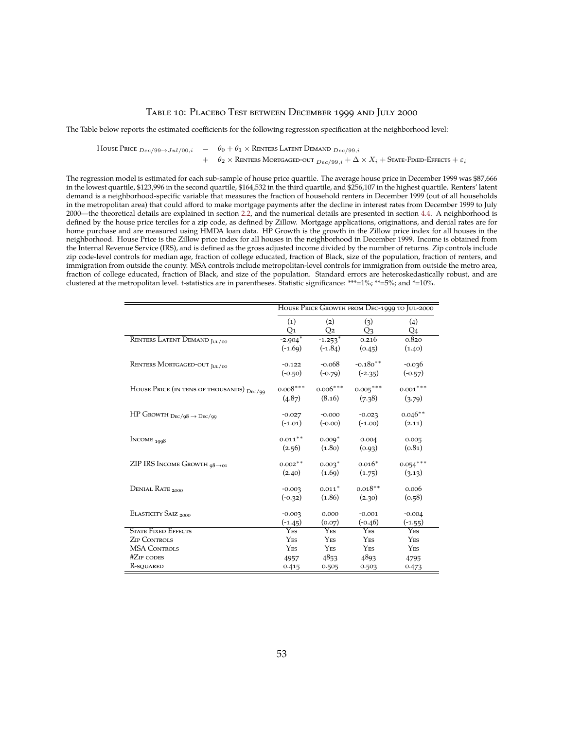## Table 10: Placebo Test between December 1999 and July 2000

<span id="page-53-0"></span>The Table below reports the estimated coefficients for the following regression specification at the neighborhood level:

House Price  $Dec/99 \rightarrow Jul/00,i = \theta_0 + \theta_1 \times$  Renters Latent Demand  $Dec/99,i$  $+$   $\theta_2 \times$  Renters Mortgaged-out  $\theta_1 e^{(99)}$ ,  $+ \Delta \times X_i +$  State-Fixed-Effects  $+ \varepsilon_i$ 

The regression model is estimated for each sub-sample of house price quartile. The average house price in December 1999 was \$87,666 in the lowest quartile, \$123,996 in the second quartile, \$164,532 in the third quartile, and \$256,107 in the highest quartile. Renters' latent demand is a neighborhood-specific variable that measures the fraction of household renters in December 1999 (out of all households in the metropolitan area) that could afford to make mortgage payments after the decline in interest rates from December 1999 to July 2000—the theoretical details are explained in section [2.2,](#page-9-0) and the numerical details are presented in section [4.4.](#page-26-0) A neighborhood is defined by the house price terciles for a zip code, as defined by Zillow. Mortgage applications, originations, and denial rates are for home purchase and are measured using HMDA loan data. HP Growth is the growth in the Zillow price index for all houses in the neighborhood. House Price is the Zillow price index for all houses in the neighborhood in December 1999. Income is obtained from the Internal Revenue Service (IRS), and is defined as the gross adjusted income divided by the number of returns. Zip controls include zip code-level controls for median age, fraction of college educated, fraction of Black, size of the population, fraction of renters, and immigration from outside the county. MSA controls include metropolitan-level controls for immigration from outside the metro area, fraction of college educated, fraction of Black, and size of the population. Standard errors are heteroskedastically robust, and are clustered at the metropolitan level. t-statistics are in parentheses. Statistic significance: \*\*\*=1%; \*\*=5%; and \*=10%.

|                                                              | HOUSE PRICE GROWTH FROM DEC-1999 TO JUL-2000 |                |            |            |  |
|--------------------------------------------------------------|----------------------------------------------|----------------|------------|------------|--|
|                                                              | (1)                                          | (2)            | (3)        | (4)        |  |
|                                                              | Q <sub>1</sub>                               | Q <sub>2</sub> | Qз         | Q4         |  |
| <b>RENTERS LATENT DEMAND JUL/00</b>                          | $-2.904*$                                    | $-1.253$ *     | 0.216      | 0.820      |  |
|                                                              | $(-1.69)$                                    | $(-1.84)$      | (0.45)     | (1.40)     |  |
| RENTERS MORTGAGED-OUT JUL/00                                 | $-0.122$                                     | $-0.068$       | $-0.180**$ | $-0.036$   |  |
|                                                              | $(-0.50)$                                    | $(-0.79)$      | $(-2.35)$  | $(-0.57)$  |  |
| HOUSE PRICE (IN TENS OF THOUSANDS) $_{\text{Dec}/\text{99}}$ | $0.008***$                                   | $0.006***$     | $0.005***$ | $0.001***$ |  |
|                                                              | (4.87)                                       | (8.16)         | (7.38)     | (3.79)     |  |
| HP GROWTH ${\rm Dec}/98 \rightarrow {\rm Dec}/99$            | $-0.027$                                     | $-0.000$       | $-0.023$   | $0.046**$  |  |
|                                                              | $(-1.01)$                                    | $(-0.00)$      | $(-1.00)$  | (2.11)     |  |
| INCOME <sub>1998</sub>                                       | $0.011***$                                   | $0.009*$       | 0.004      | 0.005      |  |
|                                                              | (2.56)                                       | (1.80)         | (0.93)     | (0.81)     |  |
| ZIP IRS INCOME GROWTH $98 \rightarrow 01$                    | $0.002***$                                   | $0.003*$       | $0.016*$   | $0.054***$ |  |
|                                                              | (2.40)                                       | (1.69)         | (1.75)     | (3.13)     |  |
| DENIAL RATE 2000                                             | $-0.003$                                     | $0.011*$       | $0.018***$ | 0.006      |  |
|                                                              | $(-0.32)$                                    | (1.86)         | (2.30)     | (0.58)     |  |
| ELASTICITY SAIZ 2000                                         | $-0.003$                                     | 0.000          | $-0.001$   | $-0.004$   |  |
|                                                              | $(-1.45)$                                    | (0.07)         | $(-0.46)$  | $(-1.55)$  |  |
| <b>STATE FIXED EFFECTS</b>                                   | YES                                          | YES            | <b>YES</b> | YES        |  |
| <b>ZIP CONTROLS</b>                                          | <b>YES</b>                                   | Yes            | <b>YES</b> | <b>YES</b> |  |
| <b>MSA CONTROLS</b>                                          | <b>YES</b>                                   | <b>YES</b>     | <b>YES</b> | <b>YES</b> |  |
| #ZIP CODES                                                   | 4957                                         | 4853           | 4893       | 4795       |  |
| R-SOUARED                                                    | 0.415                                        | 0.505          | 0.503      | 0.473      |  |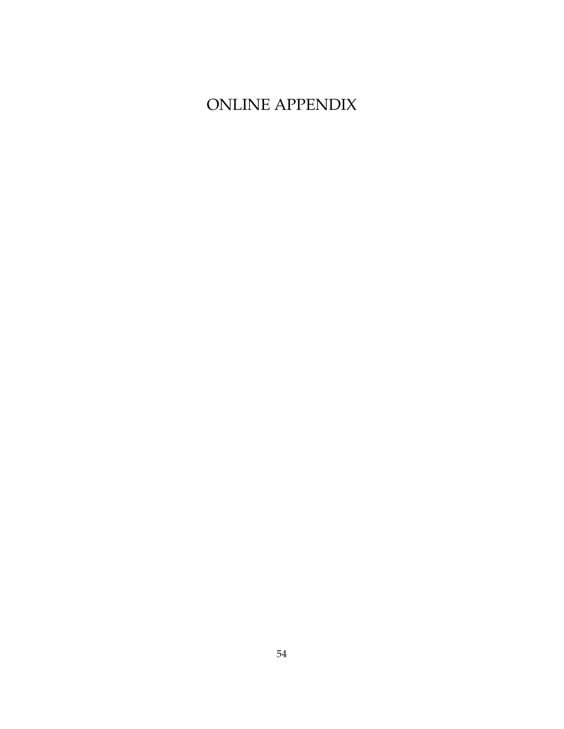# ONLINE APPENDIX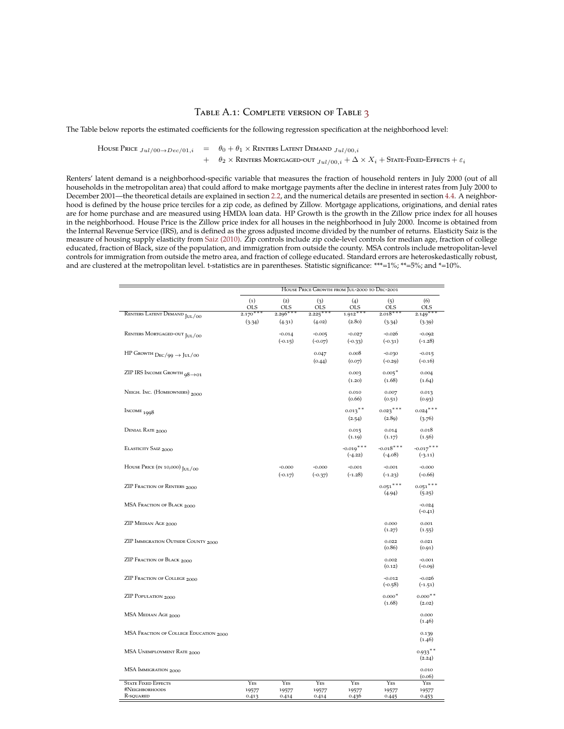## Table A.1: Complete version of Table [3](#page-44-0)

The Table below reports the estimated coefficients for the following regression specification at the neighborhood level:

House Price  $_{Jul/00\rightarrow Dec/01,i}$  =  $\theta_0 + \theta_1 \times$  Renters Latent Demand  $_{Jul/00,i}$ +  $\theta_2 \times$  Renters Mortgaged-out  $_{Jul/00,i} + \Delta \times X_i +$  State-Fixed-Effects +  $\varepsilon_i$ 

Renters' latent demand is a neighborhood-specific variable that measures the fraction of household renters in July 2000 (out of all households in the metropolitan area) that could afford to make mortgage payments after the decline in interest rates from July 2000 to December 2001—the theoretical details are explained in section [2.2,](#page-9-0) and the numerical details are presented in section [4.4.](#page-26-0) A neighborhood is defined by the house price terciles for a zip code, as defined by Zillow. Mortgage applications, originations, and denial rates are for home purchase and are measured using HMDA loan data. HP Growth is the growth in the Zillow price index for all houses in the neighborhood. House Price is the Zillow price index for all houses in the neighborhood in July 2000. Income is obtained from the Internal Revenue Service (IRS), and is defined as the gross adjusted income divided by the number of returns. Elasticity Saiz is the measure of housing supply elasticity from [Saiz \(2010\).](#page-42-1) Zip controls include zip code-level controls for median age, fraction of college educated, fraction of Black, size of the population, and immigration from outside the county. MSA controls include metropolitan-level controls for immigration from outside the metro area, and fraction of college educated. Standard errors are heteroskedastically robust, and are clustered at the metropolitan level. t-statistics are in parentheses. Statistic significance: \*\*\*=1%; \*\*=5%; and \*=10%.

|                                                |                   | HOUSE PRICE GROWTH FROM JUL-2000 TO DEC-2001 |                   |                   |                       |                       |  |
|------------------------------------------------|-------------------|----------------------------------------------|-------------------|-------------------|-----------------------|-----------------------|--|
|                                                | (1)<br><b>OLS</b> | (2)<br><b>OLS</b>                            | (3)<br><b>OLS</b> | (4)<br><b>OLS</b> | (5)<br><b>OLS</b>     | (6)<br><b>OLS</b>     |  |
| RENTERS LATENT DEMAND JUL/00                   | $2.170**$         | $2.296***$                                   | $2.225***$        | $1.912***$        | $2.018***$            | $2.149**$             |  |
|                                                | (3.34)            | (4.31)                                       | (4.02)            | (2.80)            | (3.34)                | (3.39)                |  |
| RENTERS MORTGAGED-OUT JUL/00                   |                   | $-0.014$                                     | $-0.005$          | $-0.027$          | $-0.026$              | $-0.092$              |  |
|                                                |                   | $(-0.15)$                                    | $(-0.07)$         | $(-0.33)$         | $(-0.31)$             | $(-1.28)$             |  |
| HP GROWTH $Dec/99 \rightarrow JUL/00$          |                   |                                              | 0.047             | 0.008             | $-0.030$              | $-0.015$              |  |
|                                                |                   |                                              | (0.44)            | (0.07)            | $(-0.29)$             | $(-0.16)$             |  |
| ZIP IRS INCOME GROWTH $_{98}\rightarrow \!$ 01 |                   |                                              |                   | 0.003             | $0.005*$              | 0.004                 |  |
|                                                |                   |                                              |                   | (1.20)            | (1.68)                | (1.64)                |  |
| NEIGH. INC. (HOMEOWNERS) 2000                  |                   |                                              |                   | 0.010             | 0.007                 | 0.013                 |  |
|                                                |                   |                                              |                   | (0.66)            | (0.51)                | (0.93)                |  |
| INCOME 1998                                    |                   |                                              |                   | $0.013***$        | $0.023***$            | $0.024***$            |  |
|                                                |                   |                                              |                   | (2.54)            | (2.89)                | (3.76)                |  |
| DENIAL RATE 2000                               |                   |                                              |                   | 0.015             | 0.014                 | 0.018                 |  |
|                                                |                   |                                              |                   | (1.19)            | (1.17)                | (1.56)                |  |
| ELASTICITY SAIZ 2000                           |                   |                                              |                   | $-0.019***$       | $-0.018***$           | $-0.017***$           |  |
|                                                |                   |                                              |                   | $(-4.22)$         | $(-4.08)$             | $(-3.11)$             |  |
| HOUSE PRICE (IN 10,000) JUL/00                 |                   | $-0.000$                                     | $-0.000$          | $-0.001$          | $-0.001$              | $-0.000$              |  |
|                                                |                   | $(-0.17)$                                    | $(-0.37)$         | $(-1.28)$         | $(-1.23)$             | $(-0.66)$             |  |
| ZIP FRACTION OF RENTERS 2000                   |                   |                                              |                   |                   | $0.051***$            | $0.051***$            |  |
|                                                |                   |                                              |                   |                   | (4.94)                | (5.25)                |  |
| MSA FRACTION OF BLACK 2000                     |                   |                                              |                   |                   |                       | $-0.024$              |  |
|                                                |                   |                                              |                   |                   |                       | $(-0.41)$             |  |
| ZIP MEDIAN AGE 2000                            |                   |                                              |                   |                   | 0.000                 | 0.001                 |  |
|                                                |                   |                                              |                   |                   | (1.27)                | (1.55)                |  |
| ZIP IMMIGRATION OUTSIDE COUNTY 2000            |                   |                                              |                   |                   | 0.022                 | 0.021                 |  |
|                                                |                   |                                              |                   |                   | (0.86)                | (0.91)                |  |
| ZIP FRACTION OF BLACK 2000                     |                   |                                              |                   |                   | 0.002<br>(0.12)       | $-0.001$              |  |
|                                                |                   |                                              |                   |                   |                       | $(-0.09)$             |  |
| ZIP FRACTION OF COLLEGE 2000                   |                   |                                              |                   |                   | $-0.012$<br>$(-0.58)$ | $-0.026$<br>$(-1.51)$ |  |
|                                                |                   |                                              |                   |                   |                       |                       |  |
| ZIP POPULATION 2000                            |                   |                                              |                   |                   | $0.000*$<br>(1.68)    | $0.000$ **<br>(2.02)  |  |
| MSA MEDIAN AGE 2000                            |                   |                                              |                   |                   |                       |                       |  |
|                                                |                   |                                              |                   |                   |                       | 0.000<br>(1.46)       |  |
| MSA FRACTION OF COLLEGE EDUCATION 2000         |                   |                                              |                   |                   |                       | 0.139                 |  |
|                                                |                   |                                              |                   |                   |                       | (1.46)                |  |
| MSA UNEMPLOYMENT RATE 2000                     |                   |                                              |                   |                   |                       | $0.933***$            |  |
|                                                |                   |                                              |                   |                   |                       | (2.24)                |  |
| MSA IMMIGRATION 2000                           |                   |                                              |                   |                   |                       | 0.010                 |  |
|                                                |                   |                                              |                   |                   |                       | (0.06)                |  |
| <b>STATE FIXED EFFECTS</b><br>#NEIGHBORHOODS   | YES               | YES                                          | YES               | YES               | YES                   | <b>YES</b>            |  |
| R-SQUARED                                      | 19577<br>0.413    | 19577<br>0.414                               | 19577<br>0.414    | 19577<br>0.436    | 19577<br>0.445        | 19577<br>0.453        |  |
|                                                |                   |                                              |                   |                   |                       |                       |  |

 $\equiv$